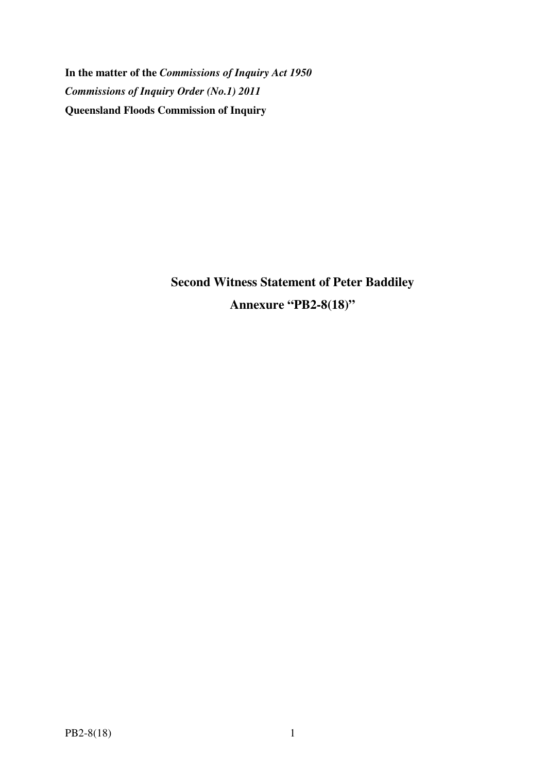**In the matter of the** *Commissions of Inquiry Act 1950 Commissions of Inquiry Order (No.1) 2011* **Queensland Floods Commission of Inquiry** 

> **Second Witness Statement of Peter Baddiley Annexure "PB2-8(18)"**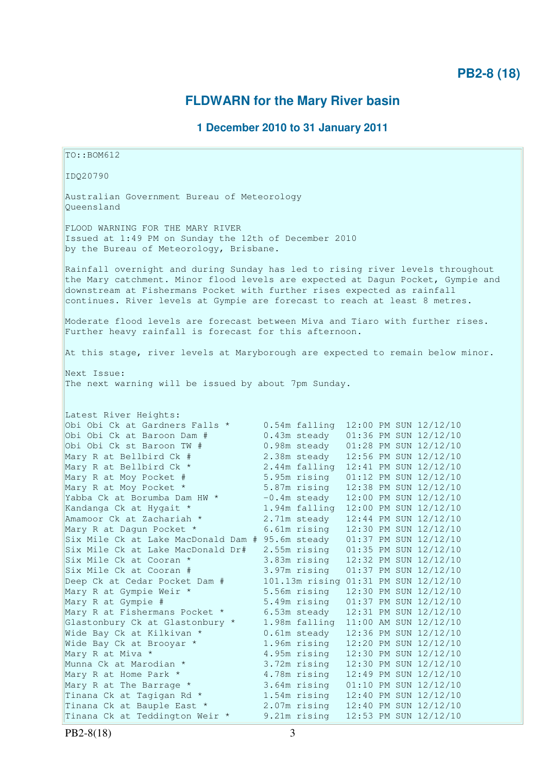# **PB2-8 (18)**

# **FLDWARN for the Mary River basin**

# **1 December 2010 to 31 January 2011**

TO::BOM612 IDQ20790 Australian Government Bureau of Meteorology Queensland FLOOD WARNING FOR THE MARY RIVER Issued at 1:49 PM on Sunday the 12th of December 2010 by the Bureau of Meteorology, Brisbane. Rainfall overnight and during Sunday has led to rising river levels throughout the Mary catchment. Minor flood levels are expected at Dagun Pocket, Gympie and downstream at Fishermans Pocket with further rises expected as rainfall continues. River levels at Gympie are forecast to reach at least 8 metres. Moderate flood levels are forecast between Miva and Tiaro with further rises. Further heavy rainfall is forecast for this afternoon. At this stage, river levels at Maryborough are expected to remain below minor. Next Issue: The next warning will be issued by about 7pm Sunday. Latest River Heights: Obi Obi Ck at Gardners Falls \* 0.54m falling 12:00 PM SUN 12/12/10 Obi Obi Ck at Baroon Dam # 0.43m steady 01:36 PM SUN 12/12/10 Obi Obi Ck st Baroon TW # 0.98m steady 01:28 PM SUN 12/12/10 Mary R at Bellbird Ck # 2.38m steady 12:56 PM SUN 12/12/10<br>
Mary R at Bellbird Ck \* 2.44m falling 12:41 PM SUN 12/12/10<br>
Mary R at Moy Pocket # 5.95m rising 01:12 PM SUN 12/12/10<br>
Mary R at Moy Pocket \* 5.87m rising 12:38  $2.44m$  falling  $12:41$  PM SUN  $12/12/10$ 5.95m rising 01:12 PM SUN 12/12/10<br>5.87m rising 12:38 PM SUN 12/12/10 Mary R at Moy Pocket \* 5.87m rising 12:38 PM SUN 12/12/10 Yabba Ck at Borumba Dam HW  $\star$  -0.4m steady 12:00 PM SUN 12/12/10 Kandanga Ck at Hygait \* 1.94m falling 12:00 PM SUN 12/12/10 Amamoor Ck at Zachariah  $\star$  2.71m steady  $12:44$  PM SUN  $12/12/10$ Mary R at Dagun Pocket \* 6.61m rising 12:30 PM SUN 12/12/10 Six Mile Ck at Lake MacDonald Dam # 95.6m steady 01:37 PM SUN 12/12/10 Six Mile Ck at Lake MacDonald Dr# 2.55m rising 01:35 PM SUN 12/12/10 Six Mile Ck at Cooran \* 3.83m rising 12:32 PM SUN 12/12/10 Six Mile Ck at Cooran # 3.97m rising 01:37 PM SUN 12/12/10 Deep Ck at Cedar Pocket Dam # 101.13m rising 01:31 PM SUN 12/12/10 Mary R at Gympie Weir \* 5.56m rising 12:30 PM SUN 12/12/10 Mary R at Gympie # 5.49m rising 01:37 PM SUN 12/12/10 Mary R at Fishermans Pocket \* 6.53m steady 12:31 PM SUN 12/12/10 Glastonbury Ck at Glastonbury \* 1.98m falling 11:00 AM SUN 12/12/10 Wide Bay Ck at Kilkivan \* 0.61m steady 12:36 PM SUN 12/12/10 Wide Bay Ck at Brooyar \* 1.96m rising 12:20 PM SUN 12/12/10 Mary R at Miva \* 4.95m rising 12:30 PM SUN 12/12/10 Munna Ck at Marodian \* 3.72m rising 12:30 PM SUN 12/12/10 Mary R at Home Park \* 4.78m rising 12:49 PM SUN 12/12/10 Mary R at The Barrage \* 3.64m rising 01:10 PM SUN 12/12/10 Tinana Ck at Tagigan Rd  $*$  1.54m rising 12:40 PM SUN 12/12/10 Tinana Ck at Bauple East \* 2.07m rising 12:40 PM SUN 12/12/10 Tinana Ck at Bauple East \*  $2.0 \text{ m}$  rising  $12:40 \text{ PM}$  SUN  $12/12/10$ <br>Tinana Ck at Teddington Weir \* 9.21m rising  $12:53 \text{ PM}$  SUN  $12/12/10$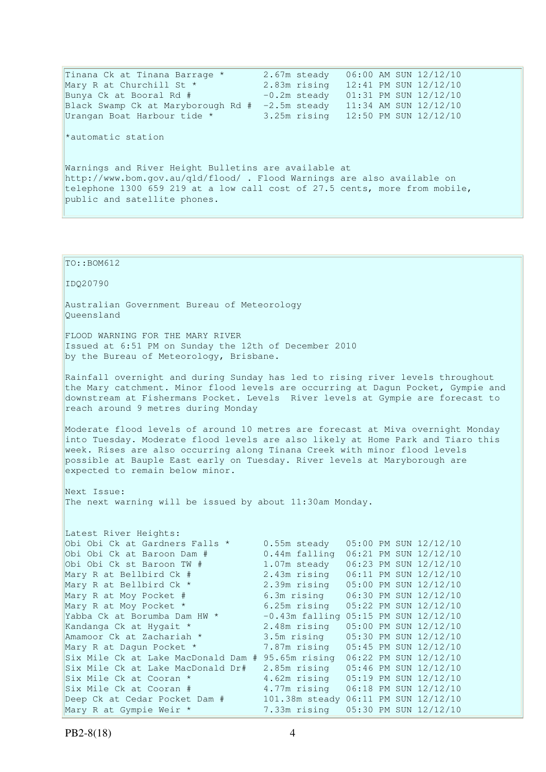Tinana Ck at Tinana Barrage \* 2.67m steady 06:00 AM SUN 12/12/10 Mary R at Churchill St \* 2.83m rising 12:41 PM SUN 12/12/10 Bunya Ck at Booral Rd # -0.2m steady 01:31 PM SUN 12/12/10 Black Swamp Ck at Maryborough Rd # -2.5m steady 11:34 AM SUN 12/12/10 Urangan Boat Harbour tide \* 3.25m rising 12:50 PM SUN 12/12/10 \*automatic station Warnings and River Height Bulletins are available at http://www.bom.gov.au/qld/flood/ . Flood Warnings are also available on telephone 1300 659 219 at a low call cost of 27.5 cents, more from mobile, public and satellite phones.

TO::BOM612 IDQ20790 Australian Government Bureau of Meteorology Queensland FLOOD WARNING FOR THE MARY RIVER Issued at 6:51 PM on Sunday the 12th of December 2010 by the Bureau of Meteorology, Brisbane. Rainfall overnight and during Sunday has led to rising river levels throughout the Mary catchment. Minor flood levels are occurring at Dagun Pocket, Gympie and downstream at Fishermans Pocket. Levels River levels at Gympie are forecast to reach around 9 metres during Monday Moderate flood levels of around 10 metres are forecast at Miva overnight Monday into Tuesday. Moderate flood levels are also likely at Home Park and Tiaro this week. Rises are also occurring along Tinana Creek with minor flood levels possible at Bauple East early on Tuesday. River levels at Maryborough are expected to remain below minor. Next Issue: The next warning will be issued by about 11:30am Monday. Latest River Heights: Obi Obi Ck at Gardners Falls \* 0.55m steady 05:00 PM SUN 12/12/10<br>Obi Obi Ck at Baroon Dam # 0.44m falling 06:21 PM SUN 12/12/10 Obi Obi Ck at Baroon Dam # 0.44m falling 06:21 PM SUN 12/12/10<br>
Obi Obi Ck st Baroon TW # 1.07m steady 06:23 PM SUN 12/12/10 Obi Obi Ck st Baroon TW # 1.07m steady 06:23 PM SUN 12/12/10 Mary R at Bellbird Ck # 2.43m rising 06:11 PM SUN 12/12/10 Mary R at Bellbird Ck \* 2.39m rising 05:00 PM SUN 12/12/10 Mary R at Moy Pocket # 6.3m rising 06:30 PM SUN 12/12/10 Mary R at Moy Pocket \* 6.25m rising 05:22 PM SUN 12/12/10 Yabba Ck at Borumba Dam HW  $\star$  -0.43m falling 05:15 PM SUN 12/12/10 Kandanga Ck at Hygait \* 2.48m rising 05:00 PM SUN 12/12/10 Amamoor Ck at Zachariah \* 3.5m rising 05:30 PM SUN 12/12/10 Mary R at Dagun Pocket \* 7.87m rising 05:45 PM SUN 12/12/10 Six Mile Ck at Lake MacDonald Dam # 95.65m rising 06:22 PM SUN 12/12/10 Six Mile Ck at Lake MacDonald Dr# 2.85m rising 05:46 PM SUN 12/12/10 Six Mile Ck at Cooran \* 4.62m rising 05:19 PM SUN 12/12/10 Six Mile Ck at Cooran # 4.77m rising 06:18 PM SUN 12/12/10 Deep Ck at Cedar Pocket Dam # 101.38m steady 06:11 PM SUN 12/12/10 Mary R at Gympie Weir \* 7.33m rising 05:30 PM SUN 12/12/10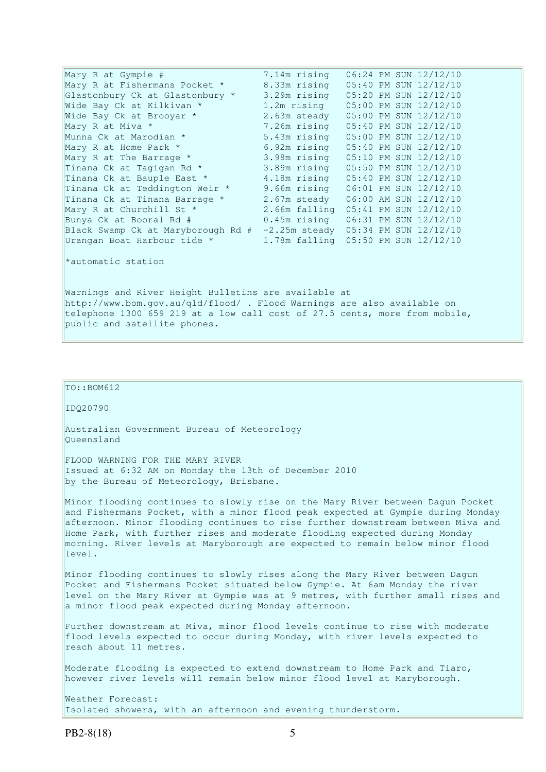| Mary R at Gympie #                 | 7.14m rising                              |  | 06:24 PM SUN 12/12/10 |
|------------------------------------|-------------------------------------------|--|-----------------------|
| Mary R at Fishermans Pocket *      | 8.33m rising                              |  | 05:40 PM SUN 12/12/10 |
| Glastonbury Ck at Glastonbury *    | 3.29m rising                              |  | 05:20 PM SUN 12/12/10 |
| Wide Bay Ck at Kilkivan *          | 1.2m rising                               |  | 05:00 PM SUN 12/12/10 |
| Wide Bay Ck at Brooyar *           | 2.63m steady                              |  | 05:00 PM SUN 12/12/10 |
| Mary R at Miva *                   | 7.26m rising                              |  | 05:40 PM SUN 12/12/10 |
| Munna Ck at Marodian *             | 5.43m rising                              |  | 05:00 PM SUN 12/12/10 |
| Mary R at Home Park *              | 6.92m rising                              |  | 05:40 PM SUN 12/12/10 |
| Mary R at The Barrage *            | 3.98m rising                              |  | 05:10 PM SUN 12/12/10 |
| Tinana Ck at Tagigan Rd *          | 3.89m rising                              |  | 05:50 PM SUN 12/12/10 |
| Tinana Ck at Bauple East *         | 4.18m rising                              |  | 05:40 PM SUN 12/12/10 |
| Tinana Ck at Teddington Weir *     | 9.66m rising                              |  | 06:01 PM SUN 12/12/10 |
| Tinana Ck at Tinana Barrage *      | 2.67m steady                              |  | 06:00 AM SUN 12/12/10 |
| Mary R at Churchill St *           | 2.66m falling 05:41 PM SUN 12/12/10       |  |                       |
| Bunya Ck at Booral Rd #            | $0.45m$ rising                            |  | 06:31 PM SUN 12/12/10 |
| Black Swamp Ck at Maryborough Rd # | $-2.25m$ steady $05:34$ PM SUN $12/12/10$ |  |                       |
| Urangan Boat Harbour tide *        | 1.78m falling 05:50 PM SUN 12/12/10       |  |                       |
|                                    |                                           |  |                       |
| *automatic station                 |                                           |  |                       |

Warnings and River Height Bulletins are available at http://www.bom.gov.au/qld/flood/ . Flood Warnings are also available on telephone 1300 659 219 at a low call cost of 27.5 cents, more from mobile, public and satellite phones.

### $\vert$ TO::BOM612

IDQ20790

Australian Government Bureau of Meteorology Queensland

FLOOD WARNING FOR THE MARY RIVER Issued at 6:32 AM on Monday the 13th of December 2010 by the Bureau of Meteorology, Brisbane.

Minor flooding continues to slowly rise on the Mary River between Dagun Pocket and Fishermans Pocket, with a minor flood peak expected at Gympie during Monday afternoon. Minor flooding continues to rise further downstream between Miva and Home Park, with further rises and moderate flooding expected during Monday morning. River levels at Maryborough are expected to remain below minor flood level.

Minor flooding continues to slowly rises along the Mary River between Dagun Pocket and Fishermans Pocket situated below Gympie. At 6am Monday the river level on the Mary River at Gympie was at 9 metres, with further small rises and a minor flood peak expected during Monday afternoon.

Further downstream at Miva, minor flood levels continue to rise with moderate flood levels expected to occur during Monday, with river levels expected to reach about 11 metres.

Moderate flooding is expected to extend downstream to Home Park and Tiaro, however river levels will remain below minor flood level at Maryborough.

Weather Forecast: Isolated showers, with an afternoon and evening thunderstorm.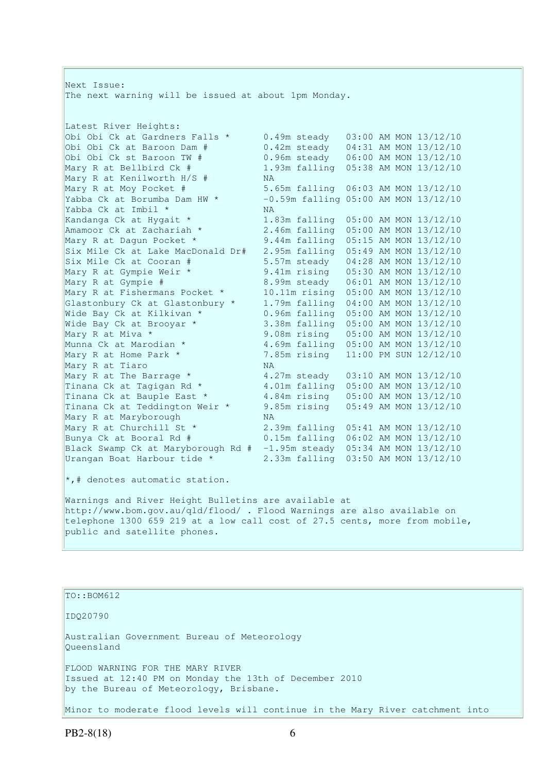Next Issue: The next warning will be issued at about 1pm Monday. Latest River Heights: Obi Obi Ck at Gardners Falls \* 0.49m steady 03:00 AM MON 13/12/10 Obi Obi Ck at Baroon Dam # 0.42m steady 04:31 AM MON 13/12/10 Obi Obi Ck st Baroon TW # 0.96m steady 06:00 AM MON 13/12/10 0bi Obi Ck st Baroon TW # 0.96m steady 06:00 AM MON 13/12/10<br>Mary R at Bellbird Ck # 1.93m falling 05:38 AM MON 13/12/10<br>Mary R at Kenilworth H/S # NA Mary R at Kenilworth H/S  $#$ <br>Mary R at Moy Pocket  $#$ Mary R at Moy Pocket # 5.65m falling 06:03 AM MON 13/12/10 Yabba Ck at Borumba Dam HW  $\star$  -0.59m falling 05:00 AM MON 13/12/10 Yabba Ck at Imbil \* NA<br>
Kandanga Ck at Hygait \* 1.8<br>
Amamoor Ck at Zachariah \* 2.4 1.83m falling 05:00 AM MON 13/12/10 Amamoor Ck at Zachariah \* 2.46m falling 05:00 AM MON 13/12/10 Mary R at Dagun Pocket \* 9.44m falling 05:15 AM MON 13/12/10 Six Mile Ck at Lake MacDonald Dr# 2.95m falling 05:49 AM MON 13/12/10 Six Mile Ck at Cooran # 5.57m steady 04:28 AM MON 13/12/10 Mary R at Gympie Weir \* 9.41m rising 05:30 AM MON 13/12/10 Mary R at Gympie # 8.99m steady 06:01 AM MON 13/12/10 Mary R at Fishermans Pocket \* 10.11m rising 05:00 AM MON 13/12/10 Glastonbury Ck at Glastonbury  $*$  1.79m falling  $04:00$  AM MON  $13/12/10$ Wide Bay Ck at Kilkivan \* 0.96m falling 05:00 AM MON 13/12/10 Wide Bay Ck at Brooyar \* 3.38m falling 05:00 AM MON 13/12/10 Mary R at Miva \* 9.08m rising 05:00 AM MON 13/12/10 Munna Ck at Marodian \* 4.69m falling 05:00 AM MON 13/12/10 Mary R at Home Park \* 7.85m rising 11:00 PM SUN 12/12/10 Munna Ck at Marodian \* 4.6<br>
Mary R at Home Park \* 7.8<br>
Mary R at Tiaro MA Mary R at The Barrage  $*$   $4.27$ m steady  $03:10$  AM MON  $13/12/10$ Tinana Ck at Tagigan Rd \* 4.01m falling 05:00 AM MON 13/12/10 Tinana Ck at Bauple East \* 4.84m rising 05:00 AM MON 13/12/10 Tinana Ck at Teddington Weir \* 9.85m rising 05:49 AM MON 13/12/10 Mary R at Maryborough NA Mary R at Churchill St \* 2.39m falling 05:41 AM MON 13/12/10 Bunya Ck at Booral Rd # 0.15m falling 06:02 AM MON 13/12/10 Black Swamp Ck at Maryborough Rd # -1.95m steady 05:34 AM MON 13/12/10 Urangan Boat Harbour tide \* 2.33m falling 03:50 AM MON 13/12/10 \*,# denotes automatic station. Warnings and River Height Bulletins are available at http://www.bom.gov.au/qld/flood/ . Flood Warnings are also available on telephone 1300 659 219 at a low call cost of 27.5 cents, more from mobile, public and satellite phones.

TO::BOM612

IDQ20790

Australian Government Bureau of Meteorology Queensland

FLOOD WARNING FOR THE MARY RIVER Issued at 12:40 PM on Monday the 13th of December 2010 by the Bureau of Meteorology, Brisbane.

Minor to moderate flood levels will continue in the Mary River catchment into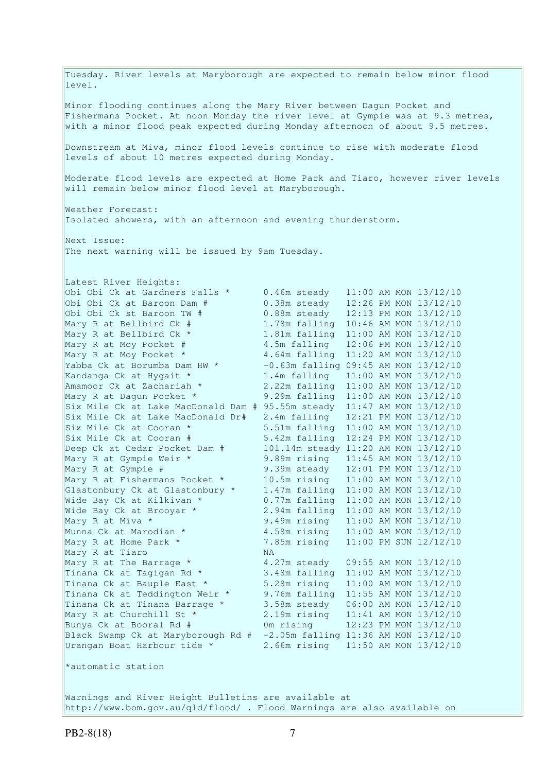Tuesday. River levels at Maryborough are expected to remain below minor flood level. Minor flooding continues along the Mary River between Dagun Pocket and Fishermans Pocket. At noon Monday the river level at Gympie was at 9.3 metres, with a minor flood peak expected during Monday afternoon of about 9.5 metres. Downstream at Miva, minor flood levels continue to rise with moderate flood levels of about 10 metres expected during Monday. Moderate flood levels are expected at Home Park and Tiaro, however river levels will remain below minor flood level at Maryborough. Weather Forecast: Isolated showers, with an afternoon and evening thunderstorm. Next Issue: The next warning will be issued by 9am Tuesday. Latest River Heights: Obi Obi Ck at Gardners Falls \* 0.46m steady 11:00 AM MON 13/12/10 Obi Obi Ck at Baroon Dam # 0.38m steady 12:26 PM MON 13/12/10 Obi Obi Ck st Baroon TW # 0.88m steady 12:13 PM MON 13/12/10 Mary R at Bellbird Ck # 1.78m falling 10:46 AM MON 13/12/10 Mary R at Bellbird Ck \* 1.81m falling 11:00 AM MON 13/12/10 Mary R at Moy Pocket # 4.5m falling 12:06 PM MON 13/12/10 Mary R at Moy Pocket \* 4.64m falling 11:20 AM MON 13/12/10 Yabba Ck at Borumba Dam HW  $\star$  -0.63m falling 09:45 AM MON 13/12/10 Kandanga Ck at Hygait \* 1.4m falling 11:00 AM MON 13/12/10 Amamoor Ck at Zachariah \* 2.22m falling 11:00 AM MON 13/12/10 Mary R at Dagun Pocket \* 9.29m falling 11:00 AM MON 13/12/10 Six Mile Ck at Lake MacDonald Dam # 95.55m steady 11:47 AM MON 13/12/10 Six Mile Ck at Lake MacDonald Dam # 95.55m steady  $11:47$  AM MON  $13/12/10$ <br>Six Mile Ck at Lake MacDonald Dr# 2.4m falling  $12:21$  PM MON  $13/12/10$ Six Mile Ck at Cooran \* 5.51m falling 11:00 AM MON 13/12/10 Six Mile Ck at Cooran # 5.42m falling 12:24 PM MON 13/12/10 Deep Ck at Cedar Pocket Dam # 101.14m steady 11:20 AM MON 13/12/10 Mary R at Gympie Weir \* 9.89m rising 11:45 AM MON 13/12/10 Mary R at Gympie # 9.39m steady 12:01 PM MON 13/12/10 Mary R at Fishermans Pocket \* 10.5m rising 11:00 AM MON 13/12/10 Glastonbury Ck at Glastonbury \* 1.47m falling 11:00 AM MON 13/12/10 Wide Bay Ck at Kilkivan \* 0.77m falling 11:00 AM MON 13/12/10 Wide Bay Ck at Brooyar \* 2.94m falling 11:00 AM MON 13/12/10 Mary R at Miva \* 9.49m rising 11:00 AM MON 13/12/10<br>Munna Ck at Marodian \* 4.58m rising 11:00 AM MON 13/12/10 4.58m rising 11:00 AM MON 13/12/10 Mary R at Home Park \* 7.85m rising 11:00 PM SUN 12/12/10 Mary R at Tiaro NA Mary R at The Barrage  $*$   $4.27$ m steady  $09:55$  AM MON  $13/12/10$ Tinana Ck at Tagigan Rd \* 3.48m falling 11:00 AM MON 13/12/10 Tinana Ck at Bauple East \* 5.28m rising 11:00 AM MON 13/12/10 Tinana Ck at Teddington Weir \* 9.76m falling 11:55 AM MON 13/12/10 Tinana Ck at Tinana Barrage \* 3.58m steady 06:00 AM MON 13/12/10 Mary R at Churchill St \* 2.19m rising 11:41 AM MON 13/12/10 Bunya Ck at Booral Rd # 0m rising 12:23 PM MON 13/12/10 Black Swamp Ck at Maryborough Rd  $# -2.05$ m falling 11:36 AM MON 13/12/10 Urangan Boat Harbour tide \* 2.66m rising 11:50 AM MON 13/12/10 \*automatic station Warnings and River Height Bulletins are available at http://www.bom.gov.au/qld/flood/ . Flood Warnings are also available on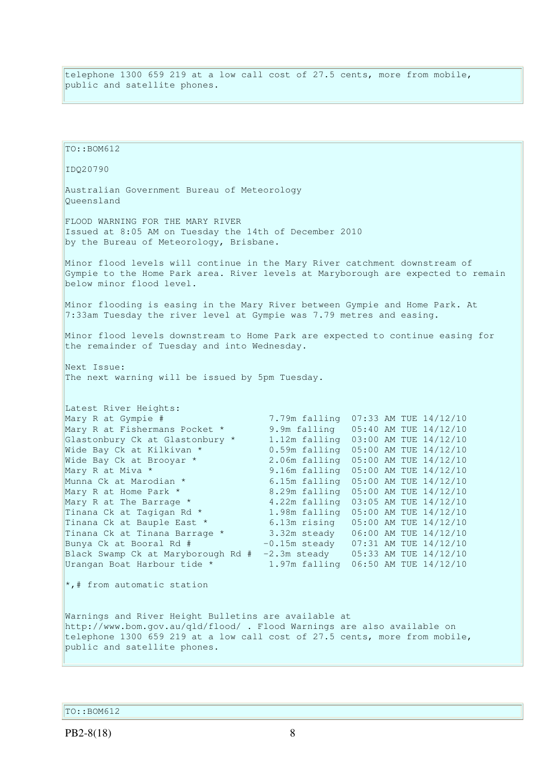telephone 1300 659 219 at a low call cost of 27.5 cents, more from mobile, public and satellite phones.

TO::BOM612 IDQ20790 Australian Government Bureau of Meteorology Queensland FLOOD WARNING FOR THE MARY RIVER Issued at 8:05 AM on Tuesday the 14th of December 2010 by the Bureau of Meteorology, Brisbane. Minor flood levels will continue in the Mary River catchment downstream of Gympie to the Home Park area. River levels at Maryborough are expected to remain below minor flood level. Minor flooding is easing in the Mary River between Gympie and Home Park. At 7:33am Tuesday the river level at Gympie was 7.79 metres and easing. Minor flood levels downstream to Home Park are expected to continue easing for the remainder of Tuesday and into Wednesday. Next Issue: The next warning will be issued by 5pm Tuesday. Latest River Heights: Mary R at Gympie # 7.79m falling 07:33 AM TUE 14/12/10 Mary R at Fishermans Pocket \* 9.9m falling 05:40 AM TUE 14/12/10 Glastonbury Ck at Glastonbury \* 1.12m falling 03:00 AM TUE 14/12/10 Wide Bay Ck at Kilkivan \* 0.59m falling 05:00 AM TUE 14/12/10 Wide Bay Ck at Brooyar \*  $\begin{array}{ccc} 0.59m & \text{falling} & 05:00 \text{ AM TUE} & 14/12/10 \\ \text{Wide Bay Ck at Kilkivan * & 2.06m falling} & 05:00 \text{ AM TUE} & 14/12/10 \\ \end{array}$ Mary R at Miva \* 3.16m falling 05:00 AM TUE 14/12/10 Munna Ck at Marodian \* 6.15m falling 05:00 AM TUE 14/12/10 Mary R at Home Park \* 8.29m falling 05:00 AM TUE 14/12/10<br>Mary R at The Barrage \* 4.22m falling 03:05 AM TUE 14/12/10 Mary R at The Barrage \*  $4.22$ m falling 03:05 AM TUE 14/12/10<br>
Tinana Ck at Tagigan Rd \*  $1.98$ m falling 05:00 AM TUE 14/12/10<br>
Tinana Ck at Tinana Parroce \* 6.13m rising 05:00 AM TUE 14/12/10<br>
Tinana Ck at Tinana Parroce 1.98m falling 05:00 AM TUE 14/12/10 6.13m rising 05:00 AM TUE 14/12/10 Tinana Ck at Tinana Barrage \* 3.32m steady 06:00 AM TUE 14/12/10<br>Bunya Ck at Booral Rd # -0.15m steady 07:31 AM TUE 14/12/10 Bunya Ck at Booral Rd # -0.15m steady 07:31 AM TUE 14/12/10 Black Swamp Ck at Maryborough Rd # -2.3m steady 05:33 AM TUE 14/12/10 Urangan Boat Harbour tide \* 1.97m falling 06:50 AM TUE 14/12/10  $\star$ ,# from automatic station Warnings and River Height Bulletins are available at http://www.bom.gov.au/qld/flood/ . Flood Warnings are also available on telephone 1300 659 219 at a low call cost of 27.5 cents, more from mobile, public and satellite phones.

TO::BOM612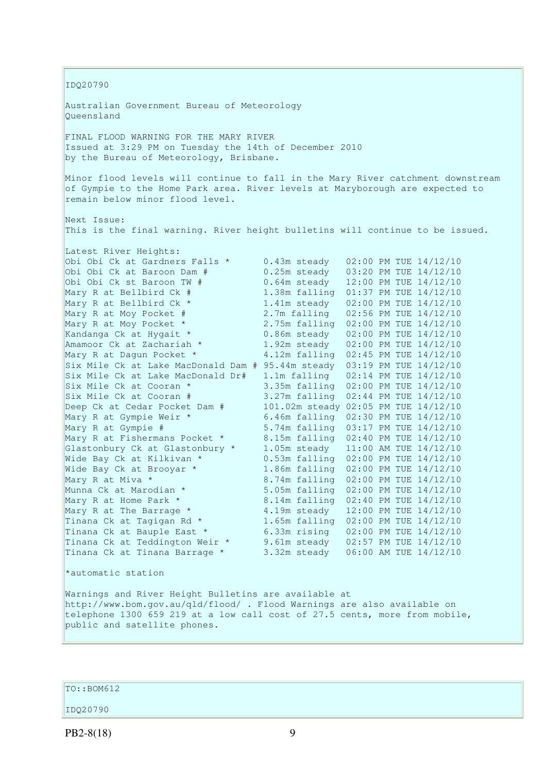IDQ20790 Australian Government Bureau of Meteorology Queensland FINAL FLOOD WARNING FOR THE MARY RIVER Issued at 3:29 PM on Tuesday the 14th of December 2010 by the Bureau of Meteorology, Brisbane. Minor flood levels will continue to fall in the Mary River catchment downstream of Gympie to the Home Park area. River levels at Maryborough are expected to remain below minor flood level. Next Issue: This is the final warning. River height bulletins will continue to be issued. Latest River Heights: Obi Obi Ck at Gardners Falls  $\star$  0.43m steady 02:00 PM TUE  $14/12/10$ Obi Obi Ck at Baroon Dam # 0.25m steady 03:20 PM TUE 14/12/10 Obi Obi Ck st Baroon TW # 0.64m steady 12:00 PM TUE 14/12/10 Mary R at Bellbird Ck # 1.38m falling 01:37 PM TUE 14/12/10 Mary R at Bellbird Ck \* 1.41m steady 02:00 PM TUE 14/12/10 Mary R at Moy Pocket # 2.7m falling 02:56 PM TUE 14/12/10 Mary R at Moy Pocket \* 2.75m falling 02:00 PM TUE 14/12/10 Kandanga Ck at Hygait \* 0.86m steady 02:00 PM TUE 14/12/10 Amamoor Ck at Zachariah  $\star$  1.92m steady 02:00 PM TUE 14/12/10 Mary R at Dagun Pocket \* 4.12m falling 02:45 PM TUE 14/12/10  $\overline{\text{Six}}$  Mile Ck at Lake MacDonald Dam # 95.44m steady 03:19 PM TUE 14/12/10 Six Mile Ck at Lake MacDonald Dr#  $1.1m$  falling  $02:14$  PM TUE  $14/12/10$ Six Mile Ck at Cooran \* 3.35m falling 02:00 PM TUE 14/12/10<br>Six Mile Ck at Cooran \* 3.35m falling 02:00 PM TUE 14/12/10 Six Mile Ck at Cooran # 3.27m falling 02:44 PM TUE 14/12/10 Deep Ck at Cedar Pocket Dam # 101.02m steady 02:05 PM TUE 14/12/10 Mary R at Gympie Weir \* 6.46m falling 02:30 PM TUE 14/12/10 Mary R at Gympie # 5.74m falling 03:17 PM TUE 14/12/10 Mary R at Fishermans Pocket \* 8.15m falling 02:40 PM TUE 14/12/10 Glastonbury Ck at Glastonbury \* 1.05m steady 11:00 AM TUE 14/12/10 Wide Bay Ck at Kilkivan \* 0.53m falling 02:00 PM TUE 14/12/10 Wide Bay Ck at Kilkivan \* 0.53m falling 02:00 PM TUE 14/12/10<br>Wide Bay Ck at Brooyar \* 1.86m falling 02:00 PM TUE 14/12/10<br>Mary R at Miva \* 8.74m falling 02:00 PM TUE 14/12/10 Mary R at Miva \* 8.74m falling 02:00 PM TUE 14/12/10<br>
Munna Ck at Marodian \* 5.05m falling 02:00 PM TUE 14/12/10 Munna Ck at Marodian \* 5.05m falling 02:00 PM TUE 14/12/10<br>Mary R at Home Park \* 8.14m falling 02:40 PM TUE 14/12/10 Mary R at Home Park \* 8.14m falling 02:40 PM TUE 14/12/10<br>Mary R at The Barrage \* 4.19m steady 12:00 PM TUE 14/12/10 Mary R at The Barrage  $*$   $4.19$ m steady  $12:00$  PM TUE  $14/12/10$ Tinana Ck at Tagigan Rd  $*$  1.65m falling 02:00 PM TUE 14/12/10 Tinana Ck at Bauple East \* 6.33m rising 02:00 PM TUE 14/12/10 Tinana Ck at Teddington Weir \* 9.61m steady 02:57 PM TUE 14/12/10 Tinana Ck at Tinana Barrage \* 3.32m steady 06:00 AM TUE 14/12/10 \*automatic station Warnings and River Height Bulletins are available at http://www.bom.gov.au/qld/flood/ . Flood Warnings are also available on telephone 1300 659 219 at a low call cost of 27.5 cents, more from mobile, public and satellite phones.

TO::BOM612

IDQ20790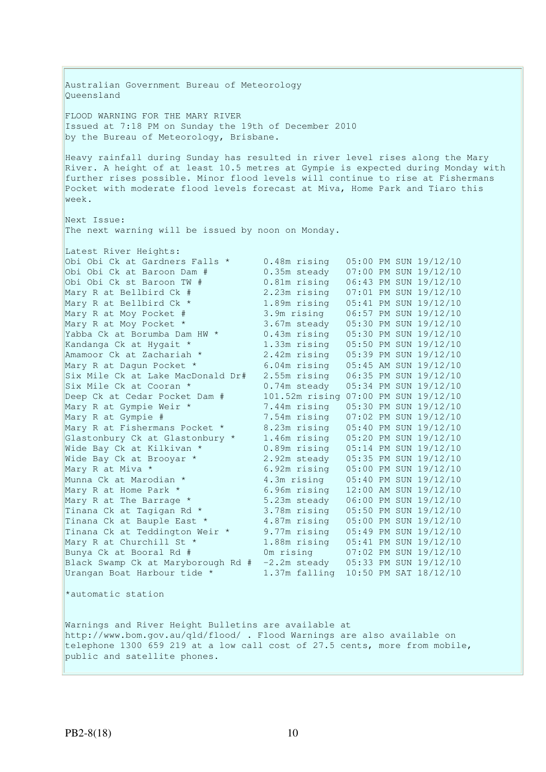Australian Government Bureau of Meteorology Queensland FLOOD WARNING FOR THE MARY RIVER Issued at 7:18 PM on Sunday the 19th of December 2010 by the Bureau of Meteorology, Brisbane. Heavy rainfall during Sunday has resulted in river level rises along the Mary River. A height of at least 10.5 metres at Gympie is expected during Monday with further rises possible. Minor flood levels will continue to rise at Fishermans Pocket with moderate flood levels forecast at Miva, Home Park and Tiaro this week. Next Issue: The next warning will be issued by noon on Monday. Latest River Heights: Obi Obi Ck at Gardners Falls \* 0.48m rising 05:00 PM SUN 19/12/10 Obi Obi Ck at Baroon Dam # 0.35m steady 07:00 PM SUN 19/12/10 Obi Obi Ck st Baroon TW # 0.81m rising 06:43 PM SUN 19/12/10 Mary R at Bellbird Ck # 2.23m rising 07:01 PM SUN 19/12/10 Mary R at Bellbird Ck \* 1.89m rising 05:41 PM SUN 19/12/10 Mary R at Moy Pocket # 3.9m rising 06:57 PM SUN 19/12/10 Mary R at Moy Pocket \* 3.67m steady 05:30 PM SUN 19/12/10 Yabba Ck at Borumba Dam HW \* 0.43m rising 05:30 PM SUN 19/12/10 Kandanga Ck at Hygait \* 1.33m rising 05:50 PM SUN 19/12/10 Amamoor Ck at Zachariah \* 2.42m rising 05:39 PM SUN 19/12/10 Mary R at Dagun Pocket \* 6.04m rising 05:45 AM SUN 19/12/10 Six Mile Ck at Lake MacDonald Dr# 2.55m rising 06:35 PM SUN 19/12/10 Six Mile Ck at Cooran \* 0.74m steady 05:34 PM SUN 19/12/10 Deep Ck at Cedar Pocket Dam # 101.52m rising 07:00 PM SUN 19/12/10 Mary R at Gympie Weir \* 7.44m rising 05:30 PM SUN 19/12/10 Mary R at Gympie # 7.54m rising 07:02 PM SUN 19/12/10 Mary R at Fishermans Pocket \* 8.23m rising 05:40 PM SUN 19/12/10 Glastonbury Ck at Glastonbury \* 1.46m rising 05:20 PM SUN 19/12/10 Wide Bay Ck at Kilkivan \* 0.89m rising 05:14 PM SUN 19/12/10 Wide Bay Ck at Brooyar \* 2.92m steady 05:35 PM SUN 19/12/10 Mary R at Miva \* 6.92m rising 05:00 PM SUN 19/12/10 Munna Ck at Marodian \* 4.3m rising 05:40 PM SUN 19/12/10<br>
Mary R at Home Park \* 6.96m rising 12:00 AM SUN 19/12/10<br>
Mary R at The Barrage \* 5.23m steady 06:00 PM SUN 19/12/10 Mary R at Home Park \* 6.96m rising 12:00 AM SUN 19/12/10 Mary R at The Barrage  $*$  5.23m steady  $6:00$  PM SUN 19/12/10 Tinana Ck at Tagigan Rd \* 3.78m rising 05:50 PM SUN 19/12/10 Tinana Ck at Bauple East \* 4.87m rising 05:00 PM SUN 19/12/10 Tinana Ck at Teddington Weir \* 9.77m rising 05:49 PM SUN 19/12/10 Mary R at Churchill St \* 1.88m rising 05:41 PM SUN 19/12/10 Bunya Ck at Booral Rd # 0m rising 07:02 PM SUN 19/12/10 Black Swamp Ck at Maryborough Rd # -2.2m steady 05:33 PM SUN 19/12/10 Urangan Boat Harbour tide \* 1.37m falling 10:50 PM SAT 18/12/10 \*automatic station Warnings and River Height Bulletins are available at http://www.bom.gov.au/qld/flood/ . Flood Warnings are also available on telephone 1300 659 219 at a low call cost of 27.5 cents, more from mobile, public and satellite phones.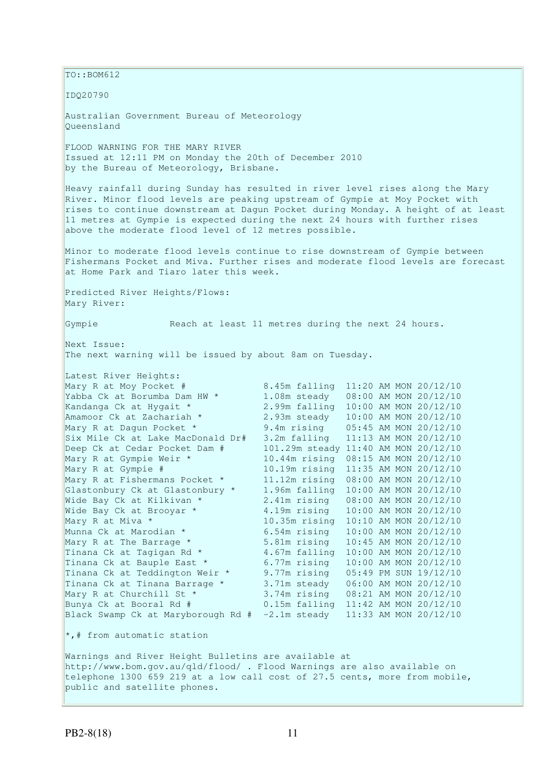$|$ TO::BOM612 IDQ20790 Australian Government Bureau of Meteorology Queensland FLOOD WARNING FOR THE MARY RIVER Issued at 12:11 PM on Monday the 20th of December 2010 by the Bureau of Meteorology, Brisbane. Heavy rainfall during Sunday has resulted in river level rises along the Mary River. Minor flood levels are peaking upstream of Gympie at Moy Pocket with rises to continue downstream at Dagun Pocket during Monday. A height of at least 11 metres at Gympie is expected during the next 24 hours with further rises above the moderate flood level of 12 metres possible. Minor to moderate flood levels continue to rise downstream of Gympie between Fishermans Pocket and Miva. Further rises and moderate flood levels are forecast at Home Park and Tiaro later this week. Predicted River Heights/Flows: Mary River: Gympie Reach at least 11 metres during the next 24 hours. Next Issue: The next warning will be issued by about 8am on Tuesday. Latest River Heights: Mary R at Moy Pocket # 8.45m falling 11:20 AM MON 20/12/10<br>Yabba Ck at Borumba Dam HW \* 1.08m steady 08:00 AM MON 20/12/10 Yabba Ck at Borumba Dam HW \* 1.08m steady 08:00 AM MON 20/12/10<br>Kandanga Ck at Hygait \* 2.99m falling 10:00 AM MON 20/12/10 2.99m falling 10:00 AM MON 20/12/10 Amamoor Ck at Zachariah \* 2.93m steady 10:00 AM MON 20/12/10 Mary R at Dagun Pocket \* 9.4m rising 05:45 AM MON 20/12/10 Six Mile Ck at Lake MacDonald Dr# 3.2m falling 11:13 AM MON 20/12/10 Deep Ck at Cedar Pocket Dam # 101.29m steady 11:40 AM MON 20/12/10 Mary R at Gympie Weir \* 10.44m rising 08:15 AM MON 20/12/10 Mary R at Gympie # 10.19m rising 11:35 AM MON 20/12/10 Mary R at Fishermans Pocket \* 11.12m rising 08:00 AM MON 20/12/10 Glastonbury Ck at Glastonbury \* 1.96m falling 10:00 AM MON 20/12/10 Wide Bay Ck at Kilkivan \* 2.41m rising 08:00 AM MON 20/12/10<br>Wide Bay Ck at Broovar \* 4.19m rising 10:00 AM MON 20/12/10 Wide Bay Ck at Brooyar  $*$  4.19m rising  $10:00$  AM MON 20/12/10 Mary R at Miva \* 10.35m rising 10:10 AM MON 20/12/10 Munna Ck at Marodian \* 6.54m rising 10:00 AM MON 20/12/10 Mary R at The Barrage \* 5.81m rising 10:45 AM MON 20/12/10<br>Tinana Ck at Tagigan Rd \* 4.67m falling 10:00 AM MON 20/12/10 Tinana Ck at Tagigan Rd \* 4.67m falling 10:00 AM MON 20/12/10<br>Tinana Ck at Bauple East \* 6.77m rising 10:00 AM MON 20/12/10 Tinana Ck at Bauple East \* 6.77m rising 10:00 AM MON 20/12/10<br>Tinana Ck at Teddington Weir \* 9.77m rising 05:49 PM SUN 19/12/10 9.77m rising 05:49 PM SUN 19/12/10 Tinana Ck at Tinana Barrage \* 3.71m steady 06:00 AM MON 20/12/10 Mary R at Churchill St \* 3.74m rising 08:21 AM MON 20/12/10 Bunya Ck at Booral Rd # 0.15m falling 11:42 AM MON 20/12/10 Black Swamp Ck at Maryborough Rd  $# -2.1m$  steady  $11:33$  AM MON 20/12/10  $\star$ ,# from automatic station Warnings and River Height Bulletins are available at http://www.bom.gov.au/qld/flood/ . Flood Warnings are also available on telephone 1300 659 219 at a low call cost of 27.5 cents, more from mobile, public and satellite phones.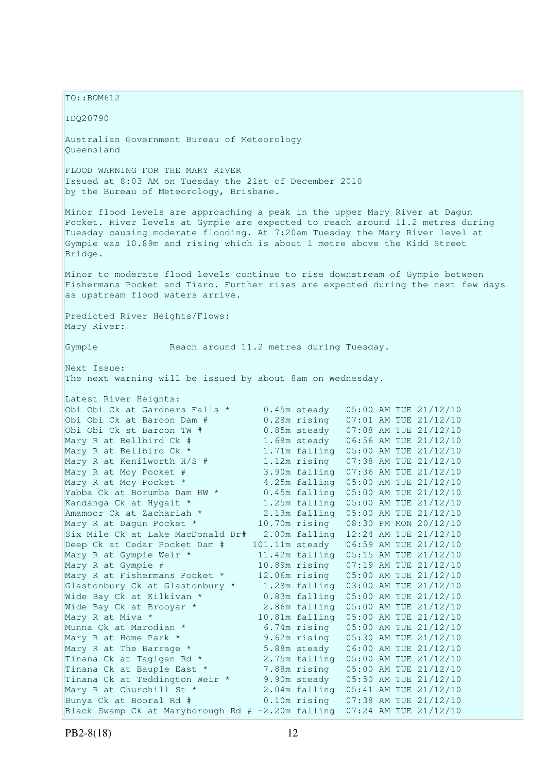$TO: **ROM612**$ IDQ20790 Australian Government Bureau of Meteorology Queensland FLOOD WARNING FOR THE MARY RIVER Issued at 8:03 AM on Tuesday the 21st of December 2010 by the Bureau of Meteorology, Brisbane. Minor flood levels are approaching a peak in the upper Mary River at Dagun Pocket. River levels at Gympie are expected to reach around 11.2 metres during Tuesday causing moderate flooding. At 7:20am Tuesday the Mary River level at Gympie was 10.89m and rising which is about 1 metre above the Kidd Street Bridge. Minor to moderate flood levels continue to rise downstream of Gympie between Fishermans Pocket and Tiaro. Further rises are expected during the next few days as upstream flood waters arrive. Predicted River Heights/Flows: Mary River: Gympie Reach around 11.2 metres during Tuesday. Next Issue: The next warning will be issued by about 8am on Wednesday. Latest River Heights: Obi Obi Ck at Gardners Falls \* 0.45m steady 05:00 AM TUE 21/12/10<br>Obi Obi Ck at Baroon Dam # 0.28m rising 07:01 AM TUE 21/12/10 0.28m rising 07:01 AM TUE 21/12/10 Obi Obi Ck st Baroon TW # 0.85m steady 07:08 AM TUE 21/12/10<br>
Mary R at Bellbird Ck # 1.68m steady 06:56 AM TUE 21/12/10<br>
Mary R at Bellbird Ck \* 1.71m falling 05:00 AM TUE 21/12/10 1.68m steady 06:56 AM TUE 21/12/10 1.71m falling 05:00 AM TUE 21/12/10 Mary R at Kenilworth H/S # 1.12m rising 07:38 AM TUE 21/12/10<br>Mary R at Moy Pocket # 3.90m falling 07:36 AM TUE 21/12/10 3.90m falling 07:36 AM TUE 21/12/10 Mary R at Moy Pocket  $*$  4.25m falling 05:00 AM TUE 21/12/10 Yabba Ck at Borumba Dam HW \* 0.45m falling 05:00 AM TUE 21/12/10 Kandanga Ck at Hygait \* 1.25m falling 05:00 AM TUE 21/12/10 Amamoor Ck at Zachariah  $\star$  2.13m falling 05:00 AM TUE 21/12/10 Mary R at Dagun Pocket \* 10.70m rising 08:30 PM MON 20/12/10 Six Mile Ck at Lake MacDonald Dr# 2.00m falling 12:24 AM TUE 21/12/10 Deep Ck at Cedar Pocket Dam # 101.11m steady 06:59 AM TUE 21/12/10<br>Mary R at Gympie Weir \* 11.42m falling 05:15 AM TUE 21/12/10 11.42m falling 05:15 AM TUE 21/12/10 Mary R at Gympie # 10.89m rising 07:19 AM TUE 21/12/10 Mary R at Gympie #10.89m rising 07:19 AM TUE 21/12/10<br>Mary R at Fishermans Pocket \*12.06m rising 05:00 AM TUE 21/12/10<br>Glastonbury Ck at Glastonbury \*1.28m falling 03:00 AM TUE 21/12/10 Glastonbury Ck at Glastonbury \* 1.28m falling 03:00 AM TUE 21/12/10 Wide Bay Ck at Kilkivan \* 0.83m falling 05:00 AM TUE 21/12/10 Wide Bay Ck at Brooyar \* 2.86m falling 05:00 AM TUE 21/12/10 Mary R at Miva \* 10.81m falling 05:00 AM TUE 21/12/10<br>Munna Ck at Marodian \* 6.74m rising 05:00 AM TUE 21/12/10<br>0.62m rising 05:30 AM TUE 21/12/10 Munna Ck at Marodian \* 6.74m rising 05:00 AM TUE 21/12/10 Mary R at Home Park \* 9.62m rising 05:30 AM TUE 21/12/10 Mary R at The Barrage  $\star$  5.88m steady 06:00 AM TUE 21/12/10 Mary R at The Barrage \* 5.88m steady 06:00 AM TUE 21/12/10<br>
Tinana Ck at Tagigan Rd \* 2.75m falling 05:00 AM TUE 21/12/10<br>
Tinana Ck at Bauple East \* 7.88m rising 05:00 AM TUE 21/12/10 Tinana Ck at Bauple East \* 7.88m rising 05:00 AM TUE 21/12/10 Tinana Ck at Teddington Weir \* 9.90m steady 05:50 AM TUE 21/12/10 Mary R at Churchill St \* 2.04m falling 05:41 AM TUE 21/12/10 Bunya Ck at Booral Rd # 0.10m rising 07:38 AM TUE 21/12/10 Black Swamp Ck at Maryborough Rd # -2.20m falling 07:24 AM TUE 21/12/10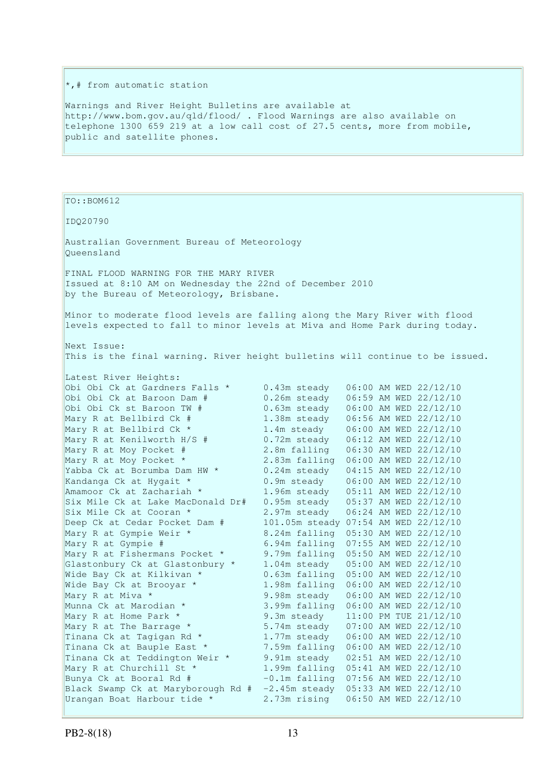### \*,# from automatic station

Warnings and River Height Bulletins are available at http://www.bom.gov.au/qld/flood/ . Flood Warnings are also available on telephone 1300 659 219 at a low call cost of 27.5 cents, more from mobile, public and satellite phones.

TO::BOM612 IDQ20790 Australian Government Bureau of Meteorology Queensland FINAL FLOOD WARNING FOR THE MARY RIVER Issued at 8:10 AM on Wednesday the 22nd of December 2010 by the Bureau of Meteorology, Brisbane. Minor to moderate flood levels are falling along the Mary River with flood levels expected to fall to minor levels at Miva and Home Park during today. Next Issue: This is the final warning. River height bulletins will continue to be issued. Latest River Heights: Obi Obi Ck at Gardners Falls \* 0.43m steady 06:00 AM WED 22/12/10<br>
Obi Obi Ck at Baroon Dam # 0.26m steady 06:59 AM WED 22/12/10 0.26m steady 06:59 AM WED 22/12/10 Obi Obi Ck st Baroon TW # 0.63m steady 06:00 AM WED 22/12/10 1.38m steady 06:56 AM WED 22/12/10 Mary R at Bellbird Ck #1.38m steady 06:56 AM WED 22/12/10<br>Mary R at Bellbird Ck \*1.4m steady 06:00 AM WED 22/12/10<br>Mary R at Kenilworth H/S #0.72m steady 06:12 AM WED 22/12/10 Mary R at Kenilworth H/S # 0.72m steady 06:12 AM WED 22/12/10<br>
Mary R at Moy Pocket # 2.8m falling 06:30 AM WED 22/12/10<br>
Yabba Ck at Borumba Dam HW \* 0.24m steady 04:15 AM WED 22/12/10 2.8m falling 06:30 AM WED 22/12/10 2.83m falling 06:00 AM WED 22/12/10  $0.24$ m steady  $04:15$  AM WED  $22/12/10$ Kandanga Ck at Hygait \* 0.9m steady 06:00 AM WED 22/12/10 Amamoor Ck at Zachariah \* 1.96m steady 05:11 AM WED 22/12/10 Six Mile Ck at Lake MacDonald Dr# 0.95m steady 05:37 AM WED 22/12/10 Six Mile Ck at Cooran \* 2.97m steady 06:24 AM WED 22/12/10 Deep Ck at Cedar Pocket Dam # 101.05m steady 07:54 AM WED 22/12/10 Mary R at Gympie Weir \* 8.24m falling 05:30 AM WED 22/12/10 Mary R at Gympie # 6.94m falling 07:55 AM WED 22/12/10 Mary R at Fishermans Pocket \* 9.79m falling 05:50 AM WED 22/12/10 Glastonbury Ck at Glastonbury \* 1.04m steady 05:00 AM WED 22/12/10 Wide Bay Ck at Kilkivan \* 0.63m falling 05:00 AM WED 22/12/10 Wide Bay Ck at Brooyar \* 1.98m falling 06:00 AM WED 22/12/10 Mary R at Miva \* 9.98m steady 06:00 AM WED 22/12/10<br>
Munna Ck at Marodian \* 3.99m falling 06:00 AM WED 22/12/10<br>
Mary R at The Barrage \* 5.74m steady 07:00 AM WED 22/12/10 3.99m falling 06:00 AM WED 22/12/10 9.3m steady 11:00 PM TUE 21/12/10 5.74m steady 07:00 AM WED 22/12/10<br>1.77m steady 06:00 AM WED 22/12/10 Tinana Ck at Tagigan Rd \* 1.77m steady 06:00 AM WED 22/12/10<br>Tinana Ck at Bauple East \* 7.59m falling 06:00 AM WED 22/12/10 Tinana Ck at Bauple East \* 7.59m falling 06:00 AM WED 22/12/10 Tinana Ck at Teddington Weir \* 9.91m steady 02:51 AM WED 22/12/10 Mary R at Churchill St \* 1.99m falling 05:41 AM WED 22/12/10 Bunya Ck at Booral Rd # -0.1m falling 07:56 AM WED 22/12/10 Black Swamp Ck at Maryborough Rd # -2.45m steady 05:33 AM WED 22/12/10 Urangan Boat Harbour tide \* 2.73m rising 06:50 AM WED 22/12/10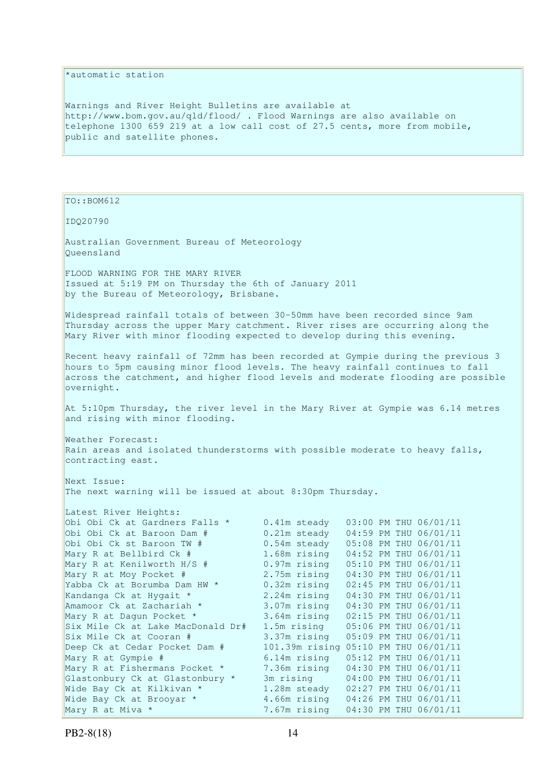### \*automatic station

Warnings and River Height Bulletins are available at http://www.bom.gov.au/qld/flood/ . Flood Warnings are also available on telephone 1300 659 219 at a low call cost of 27.5 cents, more from mobile, public and satellite phones.

TO::BOM612

IDQ20790

Australian Government Bureau of Meteorology Queensland

FLOOD WARNING FOR THE MARY RIVER Issued at 5:19 PM on Thursday the 6th of January 2011 by the Bureau of Meteorology, Brisbane.

Widespread rainfall totals of between 30-50mm have been recorded since 9am Thursday across the upper Mary catchment. River rises are occurring along the Mary River with minor flooding expected to develop during this evening.

Recent heavy rainfall of 72mm has been recorded at Gympie during the previous 3 hours to 5pm causing minor flood levels. The heavy rainfall continues to fall across the catchment, and higher flood levels and moderate flooding are possible overnight.

At 5:10pm Thursday, the river level in the Mary River at Gympie was 6.14 metres and rising with minor flooding.

Weather Forecast: Rain areas and isolated thunderstorms with possible moderate to heavy falls, contracting east.

Next Issue: The next warning will be issued at about 8:30pm Thursday.

| Latest River Heights:             |                  |  |                       |
|-----------------------------------|------------------|--|-----------------------|
| Obi Obi Ck at Gardners Falls *    | 0.41m steady     |  | 03:00 PM THU 06/01/11 |
| Obi Obi Ck at Baroon Dam #        | $0.21m$ steady   |  | 04:59 PM THU 06/01/11 |
| Obi Obi Ck st Baroon TW #         | $0.54m$ steady   |  | 05:08 PM THU 06/01/11 |
| Mary R at Bellbird Ck #           | 1.68m rising     |  | 04:52 PM THU 06/01/11 |
| Mary R at Kenilworth $H/S$ #      | $0.97m$ rising   |  | 05:10 PM THU 06/01/11 |
| Mary R at Moy Pocket #            | 2.75m rising     |  | 04:30 PM THU 06/01/11 |
| Yabba Ck at Borumba Dam HW *      | $0.32m$ rising   |  | 02:45 PM THU 06/01/11 |
| Kandanga Ck at Hygait *           | 2.24m rising     |  | 04:30 PM THU 06/01/11 |
| Amamoor Ck at Zachariah *         | 3.07m rising     |  | 04:30 PM THU 06/01/11 |
| Mary R at Dagun Pocket *          | 3.64m rising     |  | 02:15 PM THU 06/01/11 |
| Six Mile Ck at Lake MacDonald Dr# | 1.5m rising      |  | 05:06 PM THU 06/01/11 |
| Six Mile Ck at Cooran #           | 3.37m rising     |  | 05:09 PM THU 06/01/11 |
| Deep Ck at Cedar Pocket Dam #     | $101.39m$ rising |  | 05:10 PM THU 06/01/11 |
| Mary R at Gympie #                | $6.14m$ rising   |  | 05:12 PM THU 06/01/11 |
| Mary R at Fishermans Pocket *     | 7.36m rising     |  | 04:30 PM THU 06/01/11 |
| Glastonbury Ck at Glastonbury *   | 3m rising        |  | 04:00 PM THU 06/01/11 |
| Wide Bay Ck at Kilkivan *         | 1.28m steady     |  | 02:27 PM THU 06/01/11 |
| Wide Bay Ck at Brooyar *          | 4.66m rising     |  | 04:26 PM THU 06/01/11 |
| Mary R at Miva *                  | 7.67m rising     |  | 04:30 PM THU 06/01/11 |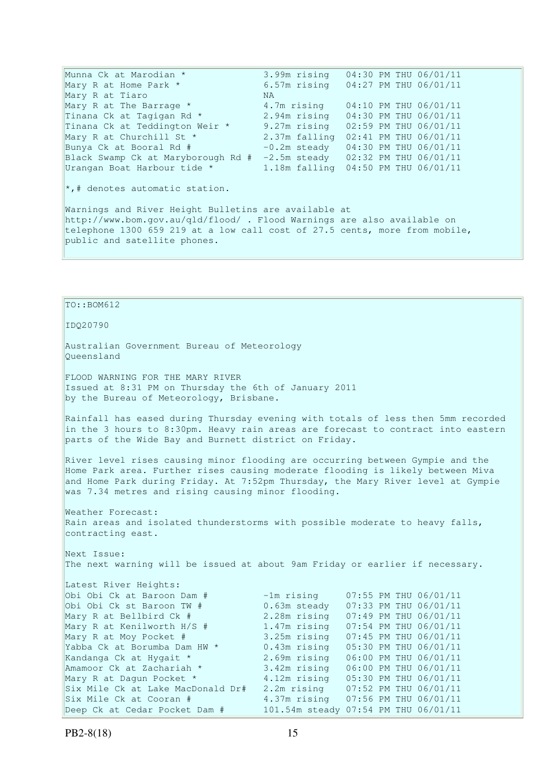Munna Ck at Marodian \* 3.99m rising 04:30 PM THU 06/01/11 Mary R at Home Park \* 6.57m rising 04:27 PM THU 06/01/11 Mary R at Tiaro MA<br>Mary R at The Barrage \* 4. Mary R at The Barrage  $*$   $4.7$ m rising  $04:10$  PM THU 06/01/11 Tinana Ck at Tagigan Rd \* 2.94m rising 04:30 PM THU 06/01/11 Tinana Ck at Teddington Weir \* 9.27m rising 02:59 PM THU 06/01/11 Mary R at Churchill St \* 2.37m falling 02:41 PM THU 06/01/11 Bunya Ck at Booral Rd  $\#$   $-0.2$ m steady  $04:30$  PM THU  $06/01/11$ Black Swamp Ck at Maryborough Rd # -2.5m steady 02:32 PM THU 06/01/11 Urangan Boat Harbour tide \* 1.18m falling 04:50 PM THU 06/01/11 \*,# denotes automatic station. Warnings and River Height Bulletins are available at http://www.bom.gov.au/qld/flood/ . Flood Warnings are also available on telephone 1300 659 219 at a low call cost of 27.5 cents, more from mobile, public and satellite phones.

 $To::BOM612$ IDQ20790 Australian Government Bureau of Meteorology Queensland FLOOD WARNING FOR THE MARY RIVER Issued at 8:31 PM on Thursday the 6th of January 2011 by the Bureau of Meteorology, Brisbane. Rainfall has eased during Thursday evening with totals of less then 5mm recorded in the 3 hours to 8:30pm. Heavy rain areas are forecast to contract into eastern parts of the Wide Bay and Burnett district on Friday. River level rises causing minor flooding are occurring between Gympie and the Home Park area. Further rises causing moderate flooding is likely between Miva and Home Park during Friday. At 7:52pm Thursday, the Mary River level at Gympie was 7.34 metres and rising causing minor flooding. Weather Forecast: Rain areas and isolated thunderstorms with possible moderate to heavy falls, contracting east. Next Issue: The next warning will be issued at about 9am Friday or earlier if necessary. Latest River Heights: Obi Obi Ck at Baroon Dam # -1m rising 07:55 PM THU 06/01/11<br>
Obi Obi Ck st Baroon TW # 0.63m steady 07:33 PM THU 06/01/11 0.63m steady 07:33 PM THU 06/01/11 Mary R at Bellbird Ck # 2.28m rising 07:49 PM THU 06/01/11<br>Mary R at Kenilworth H/S # 1.47m rising 07:54 PM THU 06/01/11 Mary R at Kenilworth H/S # 1.47m rising 07:54 PM THU 06/01/11 Mary R at Moy Pocket # 3.25m rising 07:45 PM THU 06/01/11 Yabba Ck at Borumba Dam HW \* 0.43m rising 05:30 PM THU 06/01/11 Kandanga Ck at Hygait \* 2.69m rising 06:00 PM THU 06/01/11 Amamoor Ck at Zachariah \* 3.42m rising 06:00 PM THU 06/01/11 Mary R at Dagun Pocket \* 4.12m rising 05:30 PM THU 06/01/11 Six Mile Ck at Lake MacDonald Dr# 2.2m rising 07:52 PM THU 06/01/11 Six Mile Ck at Cooran # 4.37m rising 07:56 PM THU 06/01/11

Deep Ck at Cedar Pocket Dam # 101.54m steady 07:54 PM THU 06/01/11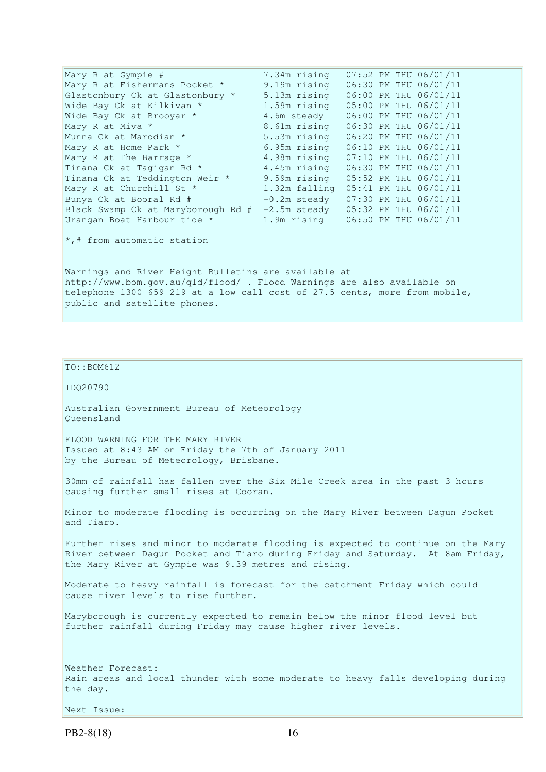Mary R at Gympie # 7.34m rising 07:52 PM THU 06/01/11 Mary R at Fishermans Pocket \* 9.19m rising 06:30 PM THU 06/01/11 Glastonbury Ck at Glastonbury \* 5.13m rising 06:00 PM THU 06/01/11 Wide Bay Ck at Kilkivan \* 1.59m rising 05:00 PM THU 06/01/11 Wide Bay Ck at Brooyar  $*$  4.6m steady 06:00 PM THU 06/01/11 Mary R at Miva \* 8.61m rising 06:30 PM THU 06/01/11 Munna Ck at Marodian \* 5.53m rising 06:20 PM THU 06/01/11 Mary R at Home Park \* 6.95m rising 06:10 PM THU 06/01/11<br>Mary R at The Barrage \* 4.98m rising 07:10 PM THU 06/01/11 Mary R at The Barrage \* 4.98m rising 07:10 PM THU 06/01/11<br>Tinana Ck at Tagigan Rd \* 4.45m rising 06:30 PM THU 06/01/11 Tinana Ck at Tagigan Rd  $*$  4.45m rising  $06:30$  PM THU 06/01/11 Tinana Ck at Teddington Weir \* 9.59m rising 05:52 PM THU 06/01/11 Mary R at Churchill St \* 1.32m falling 05:41 PM THU 06/01/11 Bunya Ck at Booral Rd # -0.2m steady 07:30 PM THU 06/01/11 Black Swamp Ck at Maryborough Rd # -2.5m steady 05:32 PM THU 06/01/11 Urangan Boat Harbour tide \* 1.9m rising 06:50 PM THU 06/01/11  $\star$ ,# from automatic station Warnings and River Height Bulletins are available at http://www.bom.gov.au/qld/flood/ . Flood Warnings are also available on telephone 1300 659 219 at a low call cost of 27.5 cents, more from mobile, public and satellite phones.

```
TO::BOM612
```
IDQ20790

Australian Government Bureau of Meteorology Queensland

FLOOD WARNING FOR THE MARY RIVER Issued at 8:43 AM on Friday the 7th of January 2011 by the Bureau of Meteorology, Brisbane.

30mm of rainfall has fallen over the Six Mile Creek area in the past 3 hours causing further small rises at Cooran.

Minor to moderate flooding is occurring on the Mary River between Dagun Pocket and Tiaro.

Further rises and minor to moderate flooding is expected to continue on the Mary River between Dagun Pocket and Tiaro during Friday and Saturday. At 8am Friday, the Mary River at Gympie was 9.39 metres and rising.

Moderate to heavy rainfall is forecast for the catchment Friday which could cause river levels to rise further.

Maryborough is currently expected to remain below the minor flood level but further rainfall during Friday may cause higher river levels.

Weather Forecast: Rain areas and local thunder with some moderate to heavy falls developing during the day.

Next Issue: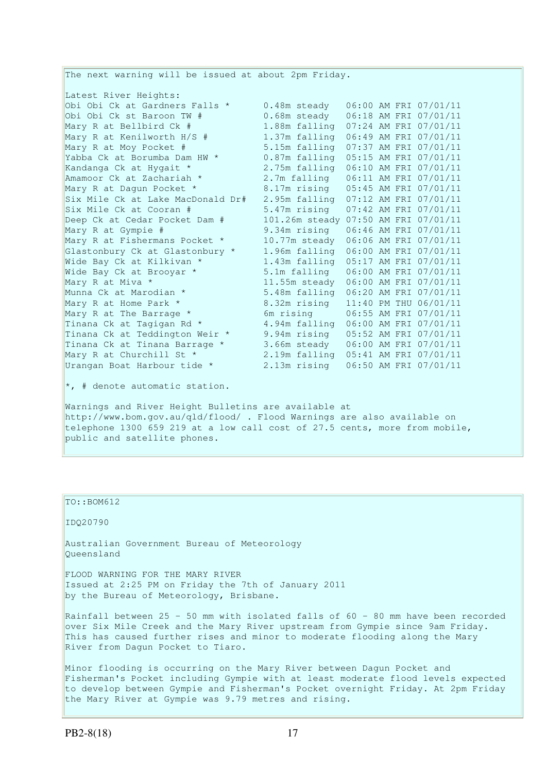The next warning will be issued at about 2pm Friday. Latest River Heights: Obi Obi Ck at Gardners Falls \* 0.48m steady 06:00 AM FRI 07/01/11 Obi Obi Ck st Baroon TW # 0.68m steady 06:18 AM FRI 07/01/11 Mary R at Bellbird Ck # 1.88m falling 07:24 AM FRI 07/01/11<br>Mary R at Kenilworth H/S # 1.37m falling 06:49 AM FRI 07/01/11 1.37m falling 06:49 AM FRI 07/01/11 Mary R at Moy Pocket #  $5.15$ m falling  $07:37$  AM FRI  $07/01/11$ <br>Yabba Ck at Borumba Dam HW \*  $0.87$ m falling  $05:15$  AM FRI  $07/01/11$ Yabba Ck at Borumba Dam HW \* 0.87m falling 05:15 AM FRI 07/01/11 Kandanga Ck at Hygait \* 2.75m falling 06:10 AM FRI 07/01/11 Amamoor Ck at Zachariah \* 2.7m falling 06:11 AM FRI 07/01/11 Mary R at Dagun Pocket \* 8.17m rising 05:45 AM FRI 07/01/11 Six Mile Ck at Lake MacDonald Dr# 2.95m falling 07:12 AM FRI 07/01/11 Six Mile Ck at Cooran # 5.47m rising 07:42 AM FRI 07/01/11 Deep Ck at Cedar Pocket Dam # 101.26m steady 07:50 AM FRI 07/01/11 Mary R at Gympie # 9.34m rising 06:46 AM FRI 07/01/11 Mary R at Fishermans Pocket \* 10.77m steady 06:06 AM FRI 07/01/11 Glastonbury Ck at Glastonbury \* 1.96m falling 06:00 AM FRI 07/01/11 Wide Bay Ck at Kilkivan \* 1.43m falling 05:17 AM FRI 07/01/11 Wide Bay Ck at Kilkivan \* 1.43m falling  $05:17$  AM FRI 07/01/11<br>Wide Bay Ck at Brooyar \* 5.1m falling  $06:00$  AM FRI 07/01/11 Mary R at Miva \* 11.55m steady 06:00 AM FRI 07/01/11 Munna Ck at Marodian \* 5.48m falling 06:20 AM FRI 07/01/11<br>Mary R at Home Park \* 8.32m rising 11:40 PM THU 06/01/11<br>Controlled The Barrage \* 6m rising 06:55 AM FRI 07/01/11 Mary R at Home Park \* 8.32m rising 11:40 PM THU 06/01/11 Mary R at The Barrage  $\star$  6m rising 06:55 AM FRI 07/01/11 Tinana Ck at Tagigan Rd \* 4.94m falling 06:00 AM FRI 07/01/11 Tinana Ck at Teddington Weir \* 9.94m rising 05:52 AM FRI 07/01/11 Tinana Ck at Tinana Barrage \* 3.66m steady 06:00 AM FRI 07/01/11 Mary R at Churchill St \* 2.19m falling 05:41 AM FRI 07/01/11 Urangan Boat Harbour tide \* 2.13m rising 06:50 AM FRI 07/01/11 \*, # denote automatic station. Warnings and River Height Bulletins are available at http://www.bom.gov.au/qld/flood/ . Flood Warnings are also available on

telephone 1300 659 219 at a low call cost of 27.5 cents, more from mobile, public and satellite phones.

### TO::BOM612

IDQ20790

Australian Government Bureau of Meteorology Queensland

FLOOD WARNING FOR THE MARY RIVER Issued at 2:25 PM on Friday the 7th of January 2011 by the Bureau of Meteorology, Brisbane.

Rainfall between 25 - 50 mm with isolated falls of 60 - 80 mm have been recorded over Six Mile Creek and the Mary River upstream from Gympie since 9am Friday. This has caused further rises and minor to moderate flooding along the Mary River from Dagun Pocket to Tiaro.

Minor flooding is occurring on the Mary River between Dagun Pocket and Fisherman's Pocket including Gympie with at least moderate flood levels expected to develop between Gympie and Fisherman's Pocket overnight Friday. At 2pm Friday the Mary River at Gympie was 9.79 metres and rising.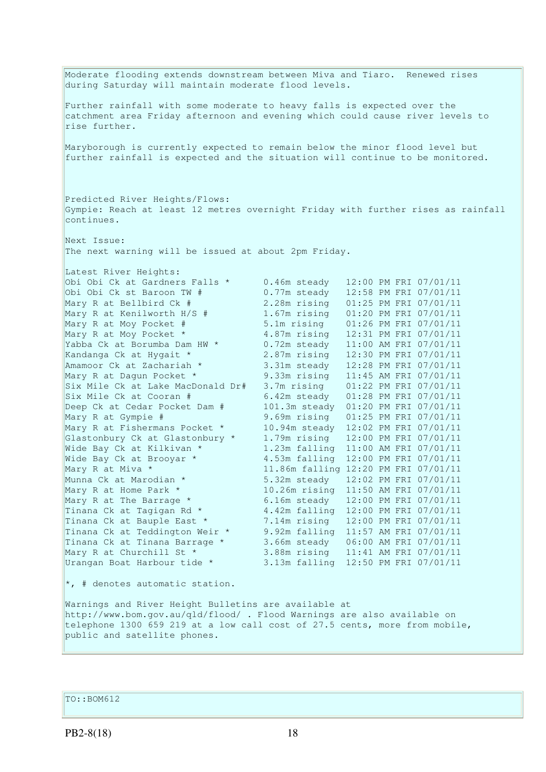Moderate flooding extends downstream between Miva and Tiaro. Renewed rises during Saturday will maintain moderate flood levels. Further rainfall with some moderate to heavy falls is expected over the catchment area Friday afternoon and evening which could cause river levels to rise further. Maryborough is currently expected to remain below the minor flood level but further rainfall is expected and the situation will continue to be monitored. Predicted River Heights/Flows: Gympie: Reach at least 12 metres overnight Friday with further rises as rainfall continues. Next Issue: The next warning will be issued at about 2pm Friday. Latest River Heights: Obi Obi Ck at Gardners Falls \* 0.46m steady 12:00 PM FRI 07/01/11 Obi Obi Ck st Baroon TW # 0.77m steady 12:58 PM FRI 07/01/11 Mary R at Bellbird Ck # 2.28m rising 01:25 PM FRI 07/01/11 Mary R at Kenilworth H/S # 1.67m rising 01:20 PM FRI 07/01/11 Mary R at Moy Pocket # 5.1m rising 01:26 PM FRI 07/01/11 Mary R at Moy Pocket \* 4.87m rising 12:31 PM FRI 07/01/11 Yabba Ck at Borumba Dam HW  $\star$  0.72m steady 11:00 AM FRI 07/01/11 Kandanga Ck at Hygait \* 2.87m rising 12:30 PM FRI 07/01/11 Amamoor Ck at Zachariah \* 3.31m steady 12:28 PM FRI 07/01/11 Mary R at Dagun Pocket \* 9.33m rising 11:45 AM FRI 07/01/11 Six Mile Ck at Lake MacDonald Dr# 3.7m rising 01:22 PM FRI 07/01/11 Six Mile Ck at Cooran # 6.42m steady 01:28 PM FRI 07/01/11 Deep Ck at Cedar Pocket Dam # 101.3m steady 01:20 PM FRI 07/01/11 Mary R at Gympie # 9.69m rising 01:25 PM FRI 07/01/11 Mary R at Fishermans Pocket \* 10.94m steady 12:02 PM FRI 07/01/11 Glastonbury Ck at Glastonbury \* 1.79m rising 12:00 PM FRI 07/01/11 Wide Bay Ck at Kilkivan \* 1.23m falling 11:00 AM FRI 07/01/11 Glastonbury Ck at Glastonbury  $\begin{array}{ccc} 1.75 \text{m} & 1.23 \text{m} & 1.200 \text{ AM FRI} & 07/01/11 \\ \text{Wide Bay Ck at Kilkivan * & 4.53m falling 12:00 PM FRI 07/01/11} \end{array}$ Mary R at Miva \* 11.86m falling 12:20 PM FRI 07/01/11<br>Munna Ck at Marodian \* 5.32m steady 12:02 PM FRI 07/01/11 5.32m steady 12:02 PM FRI 07/01/11 Mary R at Home Park \* 10.26m rising 11:50 AM FRI 07/01/11 Mary R at The Barrage  $*$  6.16m steady 12:00 PM FRI 07/01/11 Tinana Ck at Tagigan Rd  $*$  4.42m falling 12:00 PM FRI 07/01/11 Tinana Ck at Bauple East \* 7.14m rising 12:00 PM FRI 07/01/11 Tinana Ck at Teddington Weir \* 9.92m falling 11:57 AM FRI 07/01/11 Tinana Ck at Tinana Barrage \* 3.66m steady 06:00 AM FRI 07/01/11 Mary R at Churchill St \* 3.88m rising 11:41 AM FRI 07/01/11 Urangan Boat Harbour tide \* 3.13m falling 12:50 PM FRI 07/01/11 \*, # denotes automatic station. Warnings and River Height Bulletins are available at http://www.bom.gov.au/qld/flood/ . Flood Warnings are also available on telephone 1300 659 219 at a low call cost of 27.5 cents, more from mobile, public and satellite phones.

TO::BOM612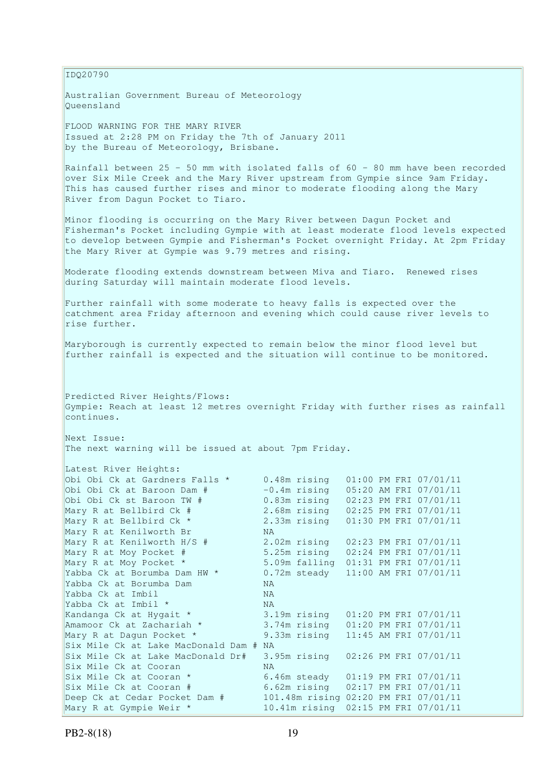IDQ20790

Australian Government Bureau of Meteorology Queensland

FLOOD WARNING FOR THE MARY RIVER Issued at 2:28 PM on Friday the 7th of January 2011 by the Bureau of Meteorology, Brisbane.

Rainfall between 25 - 50 mm with isolated falls of 60 - 80 mm have been recorded over Six Mile Creek and the Mary River upstream from Gympie since 9am Friday. This has caused further rises and minor to moderate flooding along the Mary River from Dagun Pocket to Tiaro.

Minor flooding is occurring on the Mary River between Dagun Pocket and Fisherman's Pocket including Gympie with at least moderate flood levels expected to develop between Gympie and Fisherman's Pocket overnight Friday. At 2pm Friday the Mary River at Gympie was 9.79 metres and rising.

Moderate flooding extends downstream between Miva and Tiaro. Renewed rises during Saturday will maintain moderate flood levels.

Further rainfall with some moderate to heavy falls is expected over the catchment area Friday afternoon and evening which could cause river levels to rise further.

Maryborough is currently expected to remain below the minor flood level but further rainfall is expected and the situation will continue to be monitored.

Predicted River Heights/Flows: Gympie: Reach at least 12 metres overnight Friday with further rises as rainfall continues.

Next Issue: The next warning will be issued at about 7pm Friday.

| Latest River Heights:                  |                                      |  |                       |
|----------------------------------------|--------------------------------------|--|-----------------------|
| Obi Obi Ck at Gardners Falls *         | $0.48$ m rising                      |  | 01:00 PM FRI 07/01/11 |
| Obi Obi Ck at Baroon Dam #             | $-0.4$ m rising                      |  | 05:20 AM FRI 07/01/11 |
| Obi Obi Ck st Baroon TW #              | 0.83m rising                         |  | 02:23 PM FRI 07/01/11 |
| Mary R at Bellbird Ck #                | 2.68m rising                         |  | 02:25 PM FRI 07/01/11 |
| Mary R at Bellbird Ck *                | 2.33m rising                         |  | 01:30 PM FRI 07/01/11 |
| Mary R at Kenilworth Br                | NA.                                  |  |                       |
| Mary R at Kenilworth H/S #             | 2.02m rising                         |  | 02:23 PM FRI 07/01/11 |
| Mary R at Moy Pocket #                 | 5.25m rising                         |  | 02:24 PM FRI 07/01/11 |
| Mary R at Moy Pocket *                 | 5.09m falling                        |  | 01:31 PM FRI 07/01/11 |
| Yabba Ck at Borumba Dam HW *           | 0.72m steady 11:00 AM FRI 07/01/11   |  |                       |
| Yabba Ck at Borumba Dam                | <b>NA</b>                            |  |                       |
| Yabba Ck at Imbil                      | NA.                                  |  |                       |
| Yabba Ck at Imbil *                    | <b>NA</b>                            |  |                       |
| Kandanga Ck at Hygait *                | 3.19m rising                         |  | 01:20 PM FRI 07/01/11 |
| Amamoor Ck at Zachariah *              | 3.74m rising                         |  | 01:20 PM FRI 07/01/11 |
| Mary R at Dagun Pocket *               | 9.33m rising                         |  | 11:45 AM FRI 07/01/11 |
| Six Mile Ck at Lake MacDonald Dam # NA |                                      |  |                       |
| Six Mile Ck at Lake MacDonald Dr#      | 3.95m rising                         |  | 02:26 PM FRI 07/01/11 |
| Six Mile Ck at Cooran                  | <b>NA</b>                            |  |                       |
| Six Mile Ck at Cooran *                | 6.46m steady                         |  | 01:19 PM FRI 07/01/11 |
| Six Mile Ck at Cooran #                | 6.62m rising                         |  | 02:17 PM FRI 07/01/11 |
| Deep Ck at Cedar Pocket Dam #          | 101.48m rising 02:20 PM FRI 07/01/11 |  |                       |
| Mary R at Gympie Weir *                |                                      |  |                       |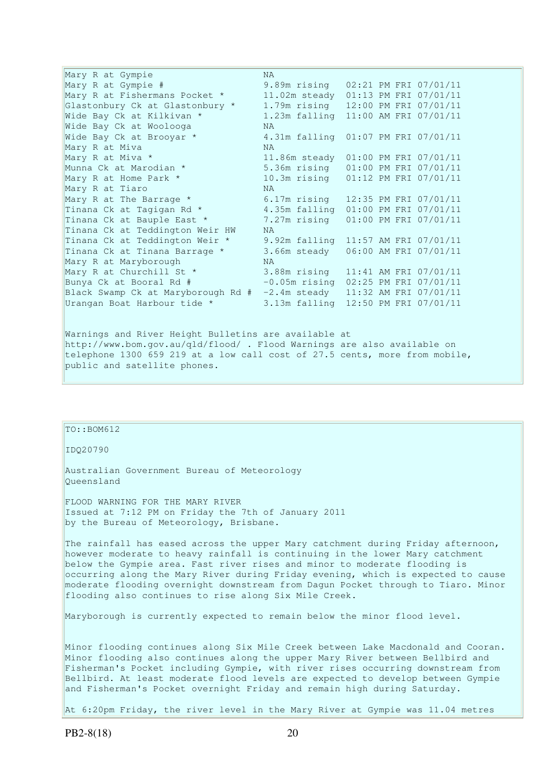| Mary R at Gympie                   | NA.                                      |  |                       |
|------------------------------------|------------------------------------------|--|-----------------------|
| Mary R at Gympie #                 | 9.89m rising 02:21 PM FRI 07/01/11       |  |                       |
| Mary R at Fishermans Pocket *      | 11.02m steady 01:13 PM FRI 07/01/11      |  |                       |
| Glastonbury Ck at Glastonbury *    | 1.79m rising 12:00 PM FRI 07/01/11       |  |                       |
| Wide Bay Ck at Kilkivan *          | 1.23m falling 11:00 AM FRI 07/01/11      |  |                       |
| Wide Bay Ck at Woolooga            | NA.                                      |  |                       |
| Wide Bay Ck at Brooyar *           | 4.31m falling 01:07 PM FRI 07/01/11      |  |                       |
| Mary R at Miva                     | NA.                                      |  |                       |
| Mary R at Miva *                   | 11.86m steady 01:00 PM FRI 07/01/11      |  |                       |
| Munna Ck at Marodian *             | 5.36m rising 01:00 PM FRI 07/01/11       |  |                       |
| Mary R at Home Park *              | 10.3m rising   01:12 PM FRI 07/01/11     |  |                       |
| Mary R at Tiaro                    | NA.                                      |  |                       |
| Mary R at The Barrage *            | 6.17m rising 12:35 PM FRI 07/01/11       |  |                       |
| Tinana Ck at Tagigan Rd *          | 4.35m falling                            |  | 01:00 PM FRI 07/01/11 |
| Tinana Ck at Bauple East *         | 7.27m rising  01:00 PM FRI 07/01/11      |  |                       |
| Tinana Ck at Teddington Weir HW    | NA.                                      |  |                       |
| Tinana Ck at Teddington Weir *     | 9.92m falling 11:57 AM FRI 07/01/11      |  |                       |
| Tinana Ck at Tinana Barrage *      | 3.66m steady                             |  | 06:00 AM FRI 07/01/11 |
| Mary R at Maryborough              | NA.                                      |  |                       |
| Mary R at Churchill St *           | 3.88m rising 11:41 AM FRI 07/01/11       |  |                       |
| Bunya Ck at Booral Rd #            | $-0.05$ m rising $02:25$ PM FRI 07/01/11 |  |                       |
| Black Swamp Ck at Maryborough Rd # | $-2.4$ m steady 11:32 AM FRI 07/01/11    |  |                       |
| Urangan Boat Harbour tide *        | 3.13m falling 12:50 PM FRI 07/01/11      |  |                       |
|                                    |                                          |  |                       |
|                                    |                                          |  |                       |

Warnings and River Height Bulletins are available at http://www.bom.gov.au/qld/flood/ . Flood Warnings are also available on telephone 1300 659 219 at a low call cost of 27.5 cents, more from mobile, public and satellite phones.

# TO::BOM612

IDQ20790

Australian Government Bureau of Meteorology Queensland

FLOOD WARNING FOR THE MARY RIVER Issued at 7:12 PM on Friday the 7th of January 2011 by the Bureau of Meteorology, Brisbane.

The rainfall has eased across the upper Mary catchment during Friday afternoon, however moderate to heavy rainfall is continuing in the lower Mary catchment below the Gympie area. Fast river rises and minor to moderate flooding is occurring along the Mary River during Friday evening, which is expected to cause moderate flooding overnight downstream from Dagun Pocket through to Tiaro. Minor flooding also continues to rise along Six Mile Creek.

Maryborough is currently expected to remain below the minor flood level.

Minor flooding continues along Six Mile Creek between Lake Macdonald and Cooran. Minor flooding also continues along the upper Mary River between Bellbird and Fisherman's Pocket including Gympie, with river rises occurring downstream from Bellbird. At least moderate flood levels are expected to develop between Gympie and Fisherman's Pocket overnight Friday and remain high during Saturday.

At 6:20pm Friday, the river level in the Mary River at Gympie was 11.04 metres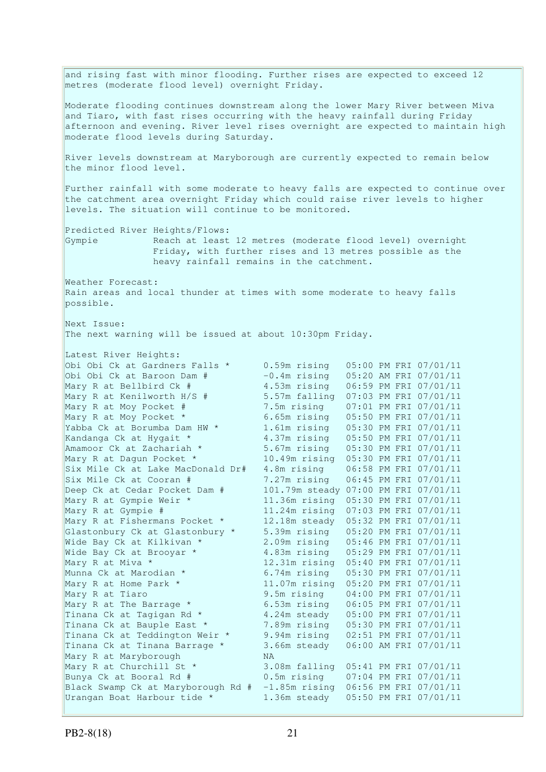and rising fast with minor flooding. Further rises are expected to exceed 12 metres (moderate flood level) overnight Friday. Moderate flooding continues downstream along the lower Mary River between Miva and Tiaro, with fast rises occurring with the heavy rainfall during Friday afternoon and evening. River level rises overnight are expected to maintain high moderate flood levels during Saturday. River levels downstream at Maryborough are currently expected to remain below the minor flood level. Further rainfall with some moderate to heavy falls are expected to continue over the catchment area overnight Friday which could raise river levels to higher levels. The situation will continue to be monitored. Predicted River Heights/Flows: Gympie Reach at least 12 metres (moderate flood level) overnight Friday, with further rises and 13 metres possible as the heavy rainfall remains in the catchment. Weather Forecast: Rain areas and local thunder at times with some moderate to heavy falls possible. Next Issue: The next warning will be issued at about 10:30pm Friday. Latest River Heights: Obi Obi Ck at Gardners Falls \* 0.59m rising 05:00 PM FRI 07/01/11<br>
Obi Obi Ck at Baroon Dam # -0.4m rising 05:20 AM FRI 07/01/11 Obi Obi Ck at Baroon Dam # -0.4m rising 05:20 AM FRI 07/01/11 Mary R at Bellbird Ck # 4.53m rising 06:59 PM FRI 07/01/11 Mary R at Kenilworth H/S # 5.57m falling 07:03 PM FRI 07/01/11<br>Mary R at Moy Pocket # 7.5m rising 07:01 PM FRI 07/01/11 Mary R at Moy Pocket # 7.5m rising 07:01 PM FRI 07/01/11 Mary R at Moy Pocket \* 6.65m rising 05:50 PM FRI 07/01/11 Yabba Ck at Borumba Dam HW \* 1.61m rising 05:30 PM FRI 07/01/11 Kandanga Ck at Hygait \* 4.37m rising 05:50 PM FRI 07/01/11 Amamoor Ck at Zachariah \* 5.67m rising 05:30 PM FRI 07/01/11 Mary R at Dagun Pocket \* 10.49m rising 05:30 PM FRI 07/01/11 Six Mile Ck at Lake MacDonald Dr# 4.8m rising 06:58 PM FRI 07/01/11 Six Mile Ck at Cooran # 7.27m rising 06:45 PM FRI 07/01/11 Deep Ck at Cedar Pocket Dam # 101.79m steady 07:00 PM FRI 07/01/11 Mary R at Gympie Weir \* 11.36m rising 05:30 PM FRI 07/01/11 Mary R at Gympie # 11.24m rising 07:03 PM FRI 07/01/11 Mary R at Fishermans Pocket \* 12.18m steady 05:32 PM FRI 07/01/11 Glastonbury Ck at Glastonbury \* 5.39m rising 05:20 PM FRI 07/01/11 Wide Bay Ck at Kilkivan \*  $\frac{1}{2.09m}$  rising 05:46 PM FRI 07/01/11<br>Wide Bay Ck at Brooyar \*  $\frac{1}{4.83m}$  rising 05:29 PM FRI 07/01/11 4.83m rising 05:29 PM FRI 07/01/11 Mary R at Miva \* 12.31m rising 05:40 PM FRI 07/01/11 Munna Ck at Marodian \* 6.74m rising 05:30 PM FRI 07/01/11 Mary R at Home Park \* 11.07m rising 05:20 PM FRI 07/01/11 Mary R at Tiaro 9.5m rising 04:00 PM FRI 07/01/11 Mary R at The Barrage \* 6.53m rising 06:05 PM FRI 07/01/11 Tinana Ck at Tagigan Rd \* 4.24m steady 05:00 PM FRI 07/01/11 Tinana Ck at Bauple East \* 7.89m rising 05:30 PM FRI 07/01/11 Tinana Ck at Teddington Weir \* 9.94m rising 02:51 PM FRI 07/01/11 Tinana Ck at Tinana Barrage \* 3.66m steady 06:00 AM FRI 07/01/11 Mary R at Maryborough NA Mary R at Churchill St \* 3.08m falling 05:41 PM FRI 07/01/11 Bunya Ck at Booral Rd # 0.5m rising 07:04 PM FRI 07/01/11 Black Swamp Ck at Maryborough Rd # -1.85m rising 06:56 PM FRI 07/01/11 Urangan Boat Harbour tide \* 1.36m steady 05:50 PM FRI 07/01/11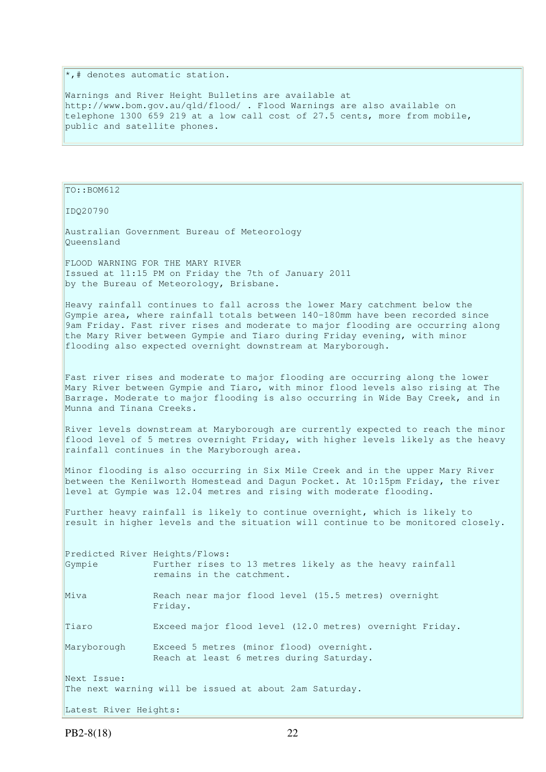$\ast$ , # denotes automatic station.

Warnings and River Height Bulletins are available at http://www.bom.gov.au/qld/flood/ . Flood Warnings are also available on telephone 1300 659 219 at a low call cost of 27.5 cents, more from mobile, public and satellite phones.

TO::BOM612

IDQ20790

Australian Government Bureau of Meteorology Queensland

FLOOD WARNING FOR THE MARY RIVER Issued at 11:15 PM on Friday the 7th of January 2011 by the Bureau of Meteorology, Brisbane.

Heavy rainfall continues to fall across the lower Mary catchment below the Gympie area, where rainfall totals between 140-180mm have been recorded since 9am Friday. Fast river rises and moderate to major flooding are occurring along the Mary River between Gympie and Tiaro during Friday evening, with minor flooding also expected overnight downstream at Maryborough.

Fast river rises and moderate to major flooding are occurring along the lower Mary River between Gympie and Tiaro, with minor flood levels also rising at The Barrage. Moderate to major flooding is also occurring in Wide Bay Creek, and in Munna and Tinana Creeks.

River levels downstream at Maryborough are currently expected to reach the minor flood level of 5 metres overnight Friday, with higher levels likely as the heavy rainfall continues in the Maryborough area.

Minor flooding is also occurring in Six Mile Creek and in the upper Mary River between the Kenilworth Homestead and Dagun Pocket. At 10:15pm Friday, the river level at Gympie was 12.04 metres and rising with moderate flooding.

Further heavy rainfall is likely to continue overnight, which is likely to result in higher levels and the situation will continue to be monitored closely.

| Predicted River Heights/Flows: |                                                                                      |
|--------------------------------|--------------------------------------------------------------------------------------|
| Gympie                         | Further rises to 13 metres likely as the heavy rainfall<br>remains in the catchment. |
|                                |                                                                                      |
| Miva                           | Reach near major flood level (15.5 metres) overnight<br>Friday.                      |
| Tiaro                          | Exceed major flood level (12.0 metres) overnight Friday.                             |
| Maryborough                    | Exceed 5 metres (minor flood) overnight.<br>Reach at least 6 metres during Saturday. |
| Next Issue:                    |                                                                                      |
|                                | The next warning will be issued at about 2am Saturday.                               |
| Latest River Heights:          |                                                                                      |

PB2-8(18) 22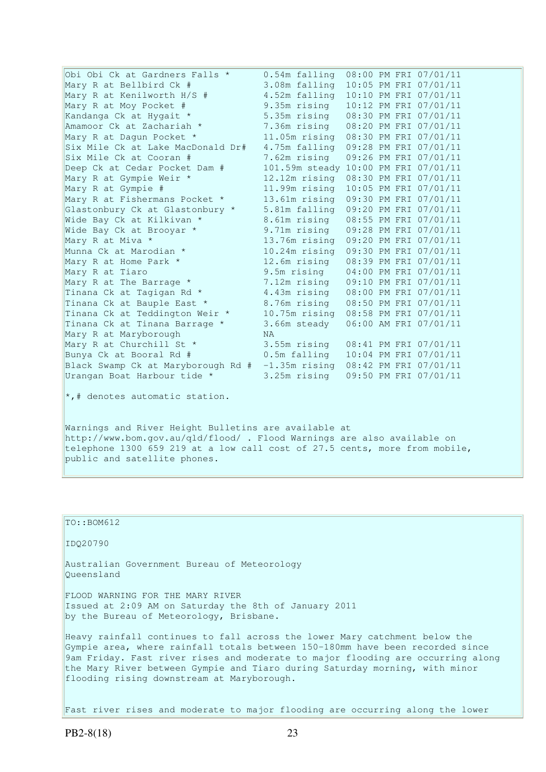| Obi Obi Ck at Gardners Falls *     | $0.54m$ falling                      |  | 08:00 PM FRI 07/01/11 |
|------------------------------------|--------------------------------------|--|-----------------------|
| Mary R at Bellbird Ck #            | 3.08m falling                        |  | 10:05 PM FRI 07/01/11 |
| Mary R at Kenilworth H/S #         | 4.52m falling                        |  | 10:10 PM FRI 07/01/11 |
| Mary R at Moy Pocket #             | 9.35m rising                         |  | 10:12 PM FRI 07/01/11 |
| Kandanga Ck at Hygait *            | 5.35m rising                         |  | 08:30 PM FRI 07/01/11 |
| Amamoor Ck at Zachariah *          | 7.36m rising                         |  | 08:20 PM FRI 07/01/11 |
| Mary R at Dagun Pocket *           | $11.05m$ rising                      |  | 08:30 PM FRI 07/01/11 |
| Six Mile Ck at Lake MacDonald Dr#  | 4.75m falling                        |  | 09:28 PM FRI 07/01/11 |
| Six Mile Ck at Cooran #            | 7.62m rising                         |  | 09:26 PM FRI 07/01/11 |
| Deep Ck at Cedar Pocket Dam #      | 101.59m steady 10:00 PM FRI 07/01/11 |  |                       |
| Mary R at Gympie Weir *            | 12.12m rising                        |  | 08:30 PM FRI 07/01/11 |
| Mary R at Gympie #                 | 11.99m rising                        |  | 10:05 PM FRI 07/01/11 |
| Mary R at Fishermans Pocket *      | 13.61m rising                        |  | 09:30 PM FRI 07/01/11 |
| Glastonbury Ck at Glastonbury *    | 5.81m falling                        |  | 09:20 PM FRI 07/01/11 |
| Wide Bay Ck at Kilkivan *          | 8.61m rising                         |  | 08:55 PM FRI 07/01/11 |
| Wide Bay Ck at Brooyar *           | 9.71m rising                         |  | 09:28 PM FRI 07/01/11 |
| Mary R at Miva *                   | 13.76m rising                        |  | 09:20 PM FRI 07/01/11 |
| Munna Ck at Marodian *             | 10.24m rising                        |  | 09:30 PM FRI 07/01/11 |
| Mary R at Home Park *              | 12.6m rising                         |  | 08:39 PM FRI 07/01/11 |
| Mary R at Tiaro                    | 9.5m rising                          |  | 04:00 PM FRI 07/01/11 |
| Mary R at The Barrage *            | 7.12m rising                         |  | 09:10 PM FRI 07/01/11 |
| Tinana Ck at Tagigan Rd *          | 4.43m rising                         |  | 08:00 PM FRI 07/01/11 |
| Tinana Ck at Bauple East *         | 8.76m rising                         |  | 08:50 PM FRI 07/01/11 |
| Tinana Ck at Teddington Weir *     | $10.75m$ rising                      |  | 08:58 PM FRI 07/01/11 |
| Tinana Ck at Tinana Barrage *      | 3.66m steady                         |  | 06:00 AM FRI 07/01/11 |
| Mary R at Maryborough              | <b>NA</b>                            |  |                       |
| Mary R at Churchill St *           | 3.55m rising                         |  | 08:41 PM FRI 07/01/11 |
| Bunya Ck at Booral Rd #            | 0.5m falling                         |  | 10:04 PM FRI 07/01/11 |
| Black Swamp Ck at Maryborough Rd # | $-1.35m$ rising                      |  | 08:42 PM FRI 07/01/11 |
| Urangan Boat Harbour tide *        | 3.25m rising                         |  | 09:50 PM FRI 07/01/11 |
|                                    |                                      |  |                       |

 $\star$ ,# denotes automatic station.

Warnings and River Height Bulletins are available at http://www.bom.gov.au/qld/flood/ . Flood Warnings are also available on telephone 1300 659 219 at a low call cost of 27.5 cents, more from mobile, public and satellite phones.

TO::BOM612 IDQ20790 Australian Government Bureau of Meteorology Queensland FLOOD WARNING FOR THE MARY RIVER Issued at 2:09 AM on Saturday the 8th of January 2011 by the Bureau of Meteorology, Brisbane. Heavy rainfall continues to fall across the lower Mary catchment below the Gympie area, where rainfall totals between 150-180mm have been recorded since 9am Friday. Fast river rises and moderate to major flooding are occurring along the Mary River between Gympie and Tiaro during Saturday morning, with minor flooding rising downstream at Maryborough.

Fast river rises and moderate to major flooding are occurring along the lower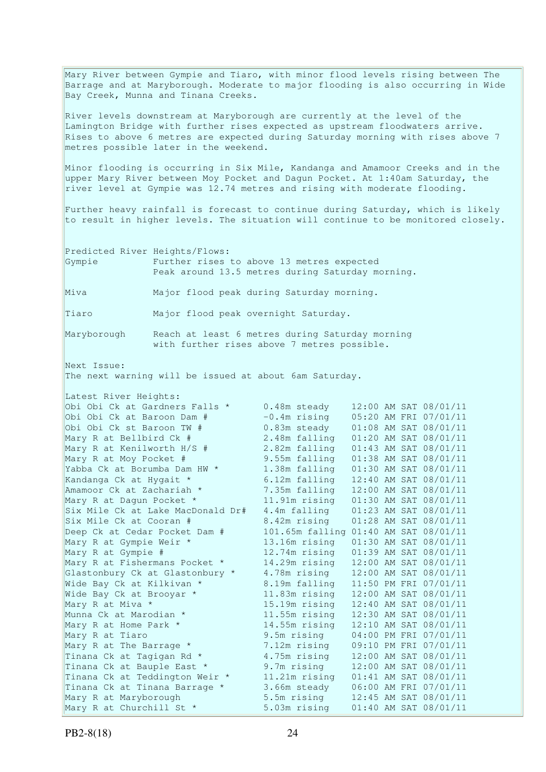Mary River between Gympie and Tiaro, with minor flood levels rising between The Barrage and at Maryborough. Moderate to major flooding is also occurring in Wide Bay Creek, Munna and Tinana Creeks. River levels downstream at Maryborough are currently at the level of the Lamington Bridge with further rises expected as upstream floodwaters arrive. Rises to above 6 metres are expected during Saturday morning with rises above 7 metres possible later in the weekend. Minor flooding is occurring in Six Mile, Kandanga and Amamoor Creeks and in the upper Mary River between Moy Pocket and Dagun Pocket. At 1:40am Saturday, the river level at Gympie was 12.74 metres and rising with moderate flooding. Further heavy rainfall is forecast to continue during Saturday, which is likely to result in higher levels. The situation will continue to be monitored closely. Predicted River Heights/Flows: Gympie Further rises to above 13 metres expected Peak around 13.5 metres during Saturday morning. Miva Major flood peak during Saturday morning. Tiaro Major flood peak overnight Saturday. Maryborough Reach at least 6 metres during Saturday morning with further rises above 7 metres possible. Next Issue: The next warning will be issued at about 6am Saturday. Latest River Heights: Obi Obi Ck at Gardners Falls \* 0.48m steady 12:00 AM SAT 08/01/11<br>Obi Obi Ck at Baroon Dam # -0.4m rising 05:20 AM FRI 07/01/11 Obi Obi Ck at Baroon Dam # -0.4m rising 05:20 AM FRI 07/01/11 Obi Obi Ck st Baroon TW # 0.83m steady 01:08 AM SAT 08/01/11 Mary R at Bellbird Ck # 2.48m falling 01:20 AM SAT 08/01/11 Mary R at Kenilworth H/S # 2.82m falling 01:43 AM SAT 08/01/11 Mary R at Moy Pocket # 9.55m falling 01:38 AM SAT 08/01/11 Yabba Ck at Borumba Dam HW \* 1.38m falling 01:30 AM SAT 08/01/11 Kandanga Ck at Hygait \* 6.12m falling 12:40 AM SAT 08/01/11 Amamoor Ck at Zachariah \* 7.35m falling 12:00 AM SAT 08/01/11 Mary R at Dagun Pocket \* 11.91m rising 01:30 AM SAT 08/01/11 Six Mile Ck at Lake MacDonald Dr# 4.4m falling 01:23 AM SAT 08/01/11 Six Mile Ck at Cooran # 8.42m rising 01:28 AM SAT 08/01/11 Deep Ck at Cedar Pocket Dam # 101.65m falling 01:40 AM SAT 08/01/11 Mary R at Gympie Weir \* 13.16m rising 01:30 AM SAT 08/01/11 Mary R at Gympie # 12.74m rising 01:39 AM SAT 08/01/11 Mary R at Fishermans Pocket \* 14.29m rising 12:00 AM SAT 08/01/11 Glastonbury Ck at Glastonbury \* 4.78m rising 12:00 AM SAT 08/01/11 Wide Bay Ck at Kilkivan \*  $\begin{array}{cc} 8.19 \text{m} \ \text{falling} & 11:50 \ \text{PM} \ \text{FRI} \ \ 07/01/11 \end{array}$ <br>Wide Bay Ck at Broovar \*  $\begin{array}{cc} 11.83 \text{m} \ \text{rising} & 12:00 \ \text{AM} \ \text{SAT} \ \ 08/01/11 \end{array}$ Wide Bay Ck at Brooyar \* 11.83m rising 12:00 AM SAT 08/01/11 Mary R at Miva \* 15.19m rising 12:40 AM SAT 08/01/11 Munna Ck at Marodian \* 11.55m rising 12:30 AM SAT 08/01/11 Mary R at Home Park \* 14.55m rising 12:10 AM SAT 08/01/11 Mary R at Tiaro 9.5m rising 04:00 PM FRI 07/01/11 Mary R at The Barrage \* 7.12m rising 09:10 PM FRI 07/01/11 Tinana Ck at Tagigan Rd  $*$  4.75m rising  $12:00$  AM SAT 08/01/11 Tinana Ck at Bauple East \* 9.7m rising 12:00 AM SAT 08/01/11 Tinana Ck at Teddington Weir \* 11.21m rising 01:41 AM SAT 08/01/11 Tinana Ck at Tinana Barrage \* 3.66m steady 06:00 AM FRI 07/01/11 Mary R at Maryborough 5.5m rising 12:45 AM SAT 08/01/11 Mary R at Churchill St \* 5.03m rising 01:40 AM SAT 08/01/11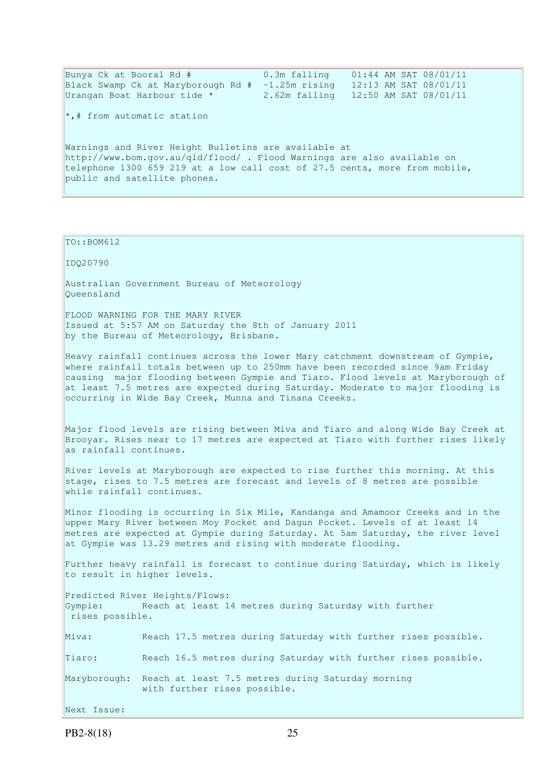Bunya Ck at Booral Rd # 0.3m falling 01:44 AM SAT 08/01/11 Black Swamp Ck at Maryborough Rd  $# -1.25$ m rising 12:13 AM SAT 08/01/11 Urangan Boat Harbour tide \* 2.62m falling 12:50 AM SAT 08/01/11  $\star$ ,# from automatic station Warnings and River Height Bulletins are available at http://www.bom.gov.au/qld/flood/ . Flood Warnings are also available on telephone 1300 659 219 at a low call cost of 27.5 cents, more from mobile, public and satellite phones.

#### $TO::BOM612$

IDQ20790

Australian Government Bureau of Meteorology Queensland

FLOOD WARNING FOR THE MARY RIVER Issued at 5:57 AM on Saturday the 8th of January 2011 by the Bureau of Meteorology, Brisbane.

Heavy rainfall continues across the lower Mary catchment downstream of Gympie, where rainfall totals between up to 250mm have been recorded since 9am Friday causing major flooding between Gympie and Tiaro. Flood levels at Maryborough of at least 7.5 metres are expected during Saturday. Moderate to major flooding is occurring in Wide Bay Creek, Munna and Tinana Creeks.

Major flood levels are rising between Miva and Tiaro and along Wide Bay Creek at Brooyar. Rises near to 17 metres are expected at Tiaro with further rises likely as rainfall continues.

River levels at Maryborough are expected to rise further this morning. At this stage, rises to 7.5 metres are forecast and levels of 8 metres are possible while rainfall continues.

Minor flooding is occurring in Six Mile, Kandanga and Amamoor Creeks and in the upper Mary River between Moy Pocket and Dagun Pocket. Levels of at least 14 metres are expected at Gympie during Saturday. At 5am Saturday, the river level at Gympie was 13.29 metres and rising with moderate flooding.

Further heavy rainfall is forecast to continue during Saturday, which is likely to result in higher levels.

Predicted River Heights/Flows: Gympie: Reach at least 14 metres during Saturday with further rises possible.

Miva: Reach 17.5 metres during Saturday with further rises possible. Tiaro: Reach 16.5 metres during Saturday with further rises possible. Maryborough: Reach at least 7.5 metres during Saturday morning with further rises possible. Next Issue: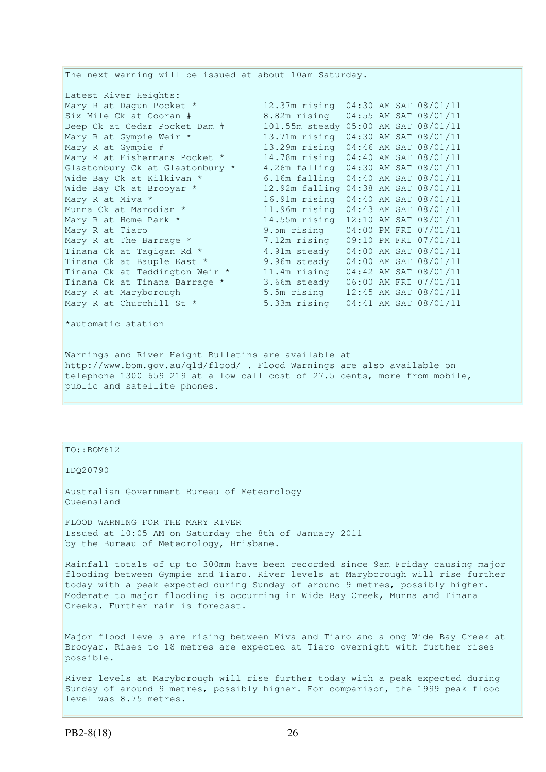The next warning will be issued at about 10am Saturday. Latest River Heights:<br>Mary R at Dagun Pocket \*<br>Six Mile Ck at Cooran # 12.37m rising 04:30 AM SAT 08/01/11 Six Mile Ck at Cooran # 8.82m rising 04:55 AM SAT 08/01/11 Deep Ck at Cedar Pocket Dam # 101.55m steady 05:00 AM SAT 08/01/11 Mary R at Gympie Weir \* 13.71m rising 04:30 AM SAT 08/01/11 Mary R at Gympie # 13.29m rising 04:46 AM SAT 08/01/11 Mary R at Fishermans Pocket \* 14.78m rising 04:40 AM SAT 08/01/11 Glastonbury Ck at Glastonbury \* 4.26m falling 04:30 AM SAT 08/01/11 Wide Bay Ck at Kilkivan \* 6.16m falling 04:40 AM SAT 08/01/11 Wide Bay Ck at Brooyar \* 12.92m falling 04:38 AM SAT 08/01/11 Mary R at Miva \* 16.91m rising 04:40 AM SAT 08/01/11<br>
Munna Ck at Marodian \* 11.96m rising 04:43 AM SAT 08/01/11<br>
Mary R at Home Park \* 14.55m rising 12:10 AM SAT 08/01/11 11.96m rising 04:43 AM SAT 08/01/11 14.55m rising 12:10 AM SAT 08/01/11 Mary R at Tiaro 9.5m rising 04:00 PM FRI 07/01/11<br>Mary R at The Barrage \* 7.12m rising 09:10 PM FRI 07/01/11 Mary R at The Barrage \* 7.12m rising 09:10 PM FRI 07/01/11 Tinana Ck at Tagigan Rd  $*$  4.91m steady 04:00 AM SAT 08/01/11 Tinana Ck at Bauple East  $*$  9.96m steady 04:00 AM SAT 08/01/11 Tinana Ck at Teddington Weir \* 11.4m rising 04:42 AM SAT 08/01/11 Tinana Ck at Tinana Barrage \* 3.66m steady 06:00 AM FRI 07/01/11 Mary R at Maryborough 5.5m rising 12:45 AM SAT 08/01/11 Mary R at Churchill St \* 5.33m rising 04:41 AM SAT 08/01/11 \*automatic station Warnings and River Height Bulletins are available at http://www.bom.gov.au/qld/flood/ . Flood Warnings are also available on telephone 1300 659 219 at a low call cost of 27.5 cents, more from mobile,

### TO::BOM612

public and satellite phones.

IDQ20790

Australian Government Bureau of Meteorology Queensland

FLOOD WARNING FOR THE MARY RIVER Issued at 10:05 AM on Saturday the 8th of January 2011 by the Bureau of Meteorology, Brisbane.

Rainfall totals of up to 300mm have been recorded since 9am Friday causing major flooding between Gympie and Tiaro. River levels at Maryborough will rise further today with a peak expected during Sunday of around 9 metres, possibly higher. Moderate to major flooding is occurring in Wide Bay Creek, Munna and Tinana Creeks. Further rain is forecast.

Major flood levels are rising between Miva and Tiaro and along Wide Bay Creek at Brooyar. Rises to 18 metres are expected at Tiaro overnight with further rises possible.

River levels at Maryborough will rise further today with a peak expected during Sunday of around 9 metres, possibly higher. For comparison, the 1999 peak flood level was 8.75 metres.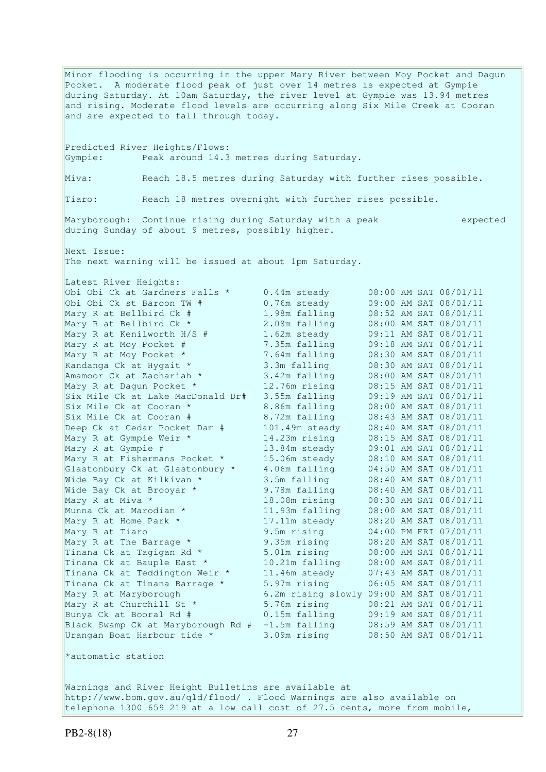Minor flooding is occurring in the upper Mary River between Moy Pocket and Dagun Pocket. A moderate flood peak of just over 14 metres is expected at Gympie during Saturday. At 10am Saturday, the river level at Gympie was 13.94 metres and rising. Moderate flood levels are occurring along Six Mile Creek at Cooran and are expected to fall through today. Predicted River Heights/Flows: Gympie: Peak around 14.3 metres during Saturday. Miva: Reach 18.5 metres during Saturday with further rises possible. Tiaro: Reach 18 metres overnight with further rises possible. Maryborough: Continue rising during Saturday with a peak expected during Sunday of about 9 metres, possibly higher. Next Issue: The next warning will be issued at about 1pm Saturday. Latest River Heights: Obi Obi Ck at Gardners Falls \* 0.44m steady 08:00 AM SAT 08/01/11 Obi Obi Ck st Baroon TW # 0.76m steady 09:00 AM SAT 08/01/11 Mary R at Bellbird Ck # 1.98m falling 08:52 AM SAT 08/01/11 Mary R at Bellbird Ck \* 2.08m falling 08:00 AM SAT 08/01/11 Mary R at Kenilworth H/S # 1.62m steady 09:11 AM SAT 08/01/11 Mary R at Moy Pocket # 7.35m falling 09:18 AM SAT 08/01/11 Mary R at Moy Pocket \* 7.64m falling 08:30 AM SAT 08/01/11 Kandanga Ck at Hygait \* 3.3m falling 08:30 AM SAT 08/01/11 Amamoor Ck at Zachariah \* 3.42m falling 08:00 AM SAT 08/01/11 Mary R at Dagun Pocket \* 12.76m rising 08:15 AM SAT 08/01/11 Six Mile Ck at Lake MacDonald Dr# 3.55m falling 09:19 AM SAT 08/01/11 Six Mile Ck at Cooran \* 3.86m falling 08:00 AM SAT 08/01/11 Six Mile Ck at Cooran # 8.72m falling 08:43 AM SAT 08/01/11 Deep Ck at Cedar Pocket Dam # 101.49m steady 08:40 AM SAT 08/01/11 Mary R at Gympie Weir \* 14.23m rising 08:15 AM SAT 08/01/11 Mary R at Gympie # 13.84m steady 09:01 AM SAT 08/01/11 Mary R at Fishermans Pocket \* 15.06m steady 08:10 AM SAT 08/01/11 Glastonbury Ck at Glastonbury \* 4.06m falling 04:50 AM SAT 08/01/11 Wide Bay Ck at Kilkivan \* 3.5m falling 08:40 AM SAT 08/01/11 Wide Bay Ck at Brooyar \* 9.78m falling 08:40 AM SAT 08/01/11 Mary R at Miva \* 18.08m rising 08:30 AM SAT 08/01/11 Munna Ck at Marodian \* 11.93m falling 08:00 AM SAT 08/01/11 Mary R at Home Park \* 17.11m steady 08:20 AM SAT 08/01/11 Mary R at Tiaro 9.5m rising 04:00 PM FRI 07/01/11 Mary R at The Barrage \* 9.35m rising 08:20 AM SAT 08/01/11 Tinana Ck at Tagigan Rd  $*$  5.01m rising  $0.08:00$  AM SAT 08/01/11 Tinana Ck at Bauple East \* 10.21m falling 08:00 AM SAT 08/01/11 Tinana Ck at Teddington Weir \* 11.46m steady 07:43 AM SAT 08/01/11 Tinana Ck at Tinana Barrage \* 5.97m rising 06:05 AM SAT 08/01/11 Mary R at Maryborough 6.2m rising slowly 09:00 AM SAT 08/01/11 Mary R at Churchill St \* 5.76m rising 08:21 AM SAT 08/01/11 Bunya Ck at Booral Rd # 0.15m falling 09:19 AM SAT 08/01/11 Black Swamp Ck at Maryborough Rd # -1.5m falling 08:59 AM SAT 08/01/11 Urangan Boat Harbour tide \* 3.09m rising 08:50 AM SAT 08/01/11 \*automatic station

Warnings and River Height Bulletins are available at http://www.bom.gov.au/qld/flood/ . Flood Warnings are also available on telephone 1300 659 219 at a low call cost of 27.5 cents, more from mobile,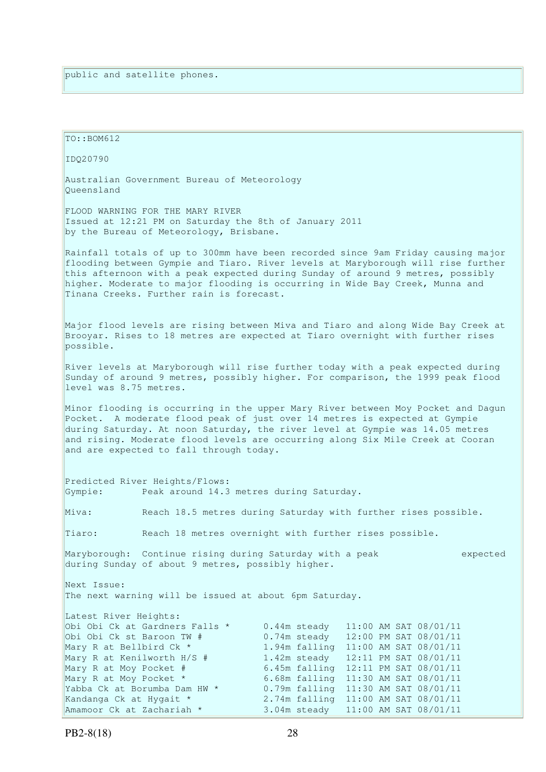| TO:: BOM612                                                                                                                                                                                                                                                                                                                                                                        |                                                                                                                                                                                                                                                                                                                                                                     |  |  |  |  |  |  |
|------------------------------------------------------------------------------------------------------------------------------------------------------------------------------------------------------------------------------------------------------------------------------------------------------------------------------------------------------------------------------------|---------------------------------------------------------------------------------------------------------------------------------------------------------------------------------------------------------------------------------------------------------------------------------------------------------------------------------------------------------------------|--|--|--|--|--|--|
| IDQ20790                                                                                                                                                                                                                                                                                                                                                                           |                                                                                                                                                                                                                                                                                                                                                                     |  |  |  |  |  |  |
| Australian Government Bureau of Meteorology<br>Oueensland                                                                                                                                                                                                                                                                                                                          |                                                                                                                                                                                                                                                                                                                                                                     |  |  |  |  |  |  |
| FLOOD WARNING FOR THE MARY RIVER<br>Issued at 12:21 PM on Saturday the 8th of January 2011<br>by the Bureau of Meteorology, Brisbane.                                                                                                                                                                                                                                              |                                                                                                                                                                                                                                                                                                                                                                     |  |  |  |  |  |  |
| Rainfall totals of up to 300mm have been recorded since 9am Friday causing major<br>flooding between Gympie and Tiaro. River levels at Maryborough will rise further<br>this afternoon with a peak expected during Sunday of around 9 metres, possibly<br>higher. Moderate to major flooding is occurring in Wide Bay Creek, Munna and<br>Tinana Creeks. Further rain is forecast. |                                                                                                                                                                                                                                                                                                                                                                     |  |  |  |  |  |  |
| possible.                                                                                                                                                                                                                                                                                                                                                                          | Major flood levels are rising between Miva and Tiaro and along Wide Bay Creek at<br>Brooyar. Rises to 18 metres are expected at Tiaro overnight with further rises                                                                                                                                                                                                  |  |  |  |  |  |  |
| level was 8.75 metres.                                                                                                                                                                                                                                                                                                                                                             | River levels at Maryborough will rise further today with a peak expected during<br>Sunday of around 9 metres, possibly higher. For comparison, the 1999 peak flood                                                                                                                                                                                                  |  |  |  |  |  |  |
| Minor flooding is occurring in the upper Mary River between Moy Pocket and Dagun<br>Pocket. A moderate flood peak of just over 14 metres is expected at Gympie<br>during Saturday. At noon Saturday, the river level at Gympie was 14.05 metres<br>and rising. Moderate flood levels are occurring along Six Mile Creek at Cooran<br>and are expected to fall through today.       |                                                                                                                                                                                                                                                                                                                                                                     |  |  |  |  |  |  |
| Predicted River Heights/Flows:<br>Gympie:<br>Peak around 14.3 metres during Saturday.                                                                                                                                                                                                                                                                                              |                                                                                                                                                                                                                                                                                                                                                                     |  |  |  |  |  |  |
| Miva:                                                                                                                                                                                                                                                                                                                                                                              | Reach 18.5 metres during Saturday with further rises possible.                                                                                                                                                                                                                                                                                                      |  |  |  |  |  |  |
| Tiaro:                                                                                                                                                                                                                                                                                                                                                                             | Reach 18 metres overnight with further rises possible.                                                                                                                                                                                                                                                                                                              |  |  |  |  |  |  |
| Maryborough: Continue rising during Saturday with a peak<br>during Sunday of about 9 metres, possibly higher.                                                                                                                                                                                                                                                                      | expected                                                                                                                                                                                                                                                                                                                                                            |  |  |  |  |  |  |
| Next Issue:<br>The next warning will be issued at about 6pm Saturday.                                                                                                                                                                                                                                                                                                              |                                                                                                                                                                                                                                                                                                                                                                     |  |  |  |  |  |  |
| Latest River Heights:<br>Obi Obi Ck at Gardners Falls *<br>Obi Obi Ck st Baroon TW #<br>Mary R at Bellbird Ck *<br>Mary R at Kenilworth H/S #<br>Mary R at Moy Pocket #<br>Mary R at Moy Pocket *<br>Yabba Ck at Borumba Dam HW *<br>Kandanga Ck at Hygait *<br>Amamoor Ck at Zachariah *                                                                                          | 11:00 AM SAT 08/01/11<br>0.44m steady<br>0.74m steady<br>12:00 PM SAT 08/01/11<br>1.94m falling 11:00 AM SAT 08/01/11<br>1.42m steady<br>12:11 PM SAT 08/01/11<br>6.45m falling 12:11 PM SAT 08/01/11<br>6.68m falling 11:30 AM SAT 08/01/11<br>0.79m falling 11:30 AM SAT 08/01/11<br>2.74m falling 11:00 AM SAT 08/01/11<br>3.04m steady<br>11:00 AM SAT 08/01/11 |  |  |  |  |  |  |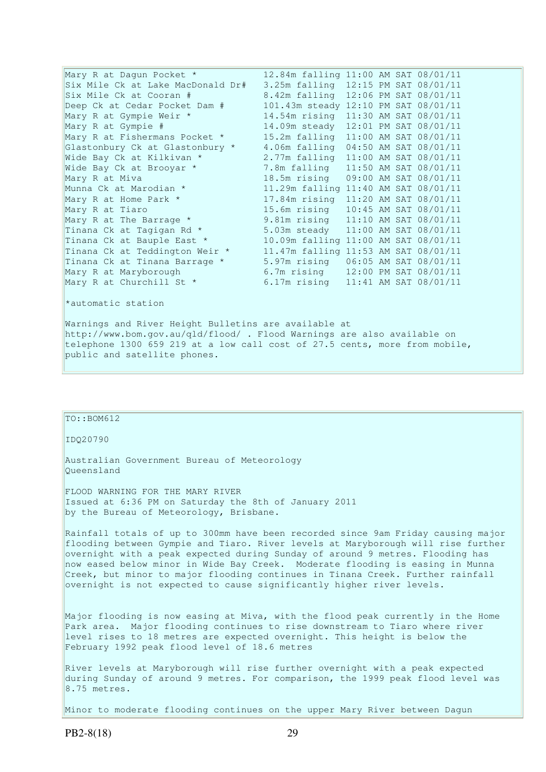| Mary R at Dagun Pocket *                                                      | 12.84m falling 11:00 AM SAT 08/01/11 |  |  |
|-------------------------------------------------------------------------------|--------------------------------------|--|--|
| Six Mile Ck at Lake MacDonald Dr#                                             | 3.25m falling 12:15 PM SAT 08/01/11  |  |  |
| Six Mile Ck at Cooran #                                                       | 8.42m falling 12:06 PM SAT 08/01/11  |  |  |
| Deep Ck at Cedar Pocket Dam #                                                 | 101.43m steady 12:10 PM SAT 08/01/11 |  |  |
| Mary R at Gympie Weir *                                                       | 14.54m rising 11:30 AM SAT 08/01/11  |  |  |
| Mary R at Gympie #                                                            | 14.09m steady 12:01 PM SAT 08/01/11  |  |  |
| Mary R at Fishermans Pocket *                                                 | 15.2m falling 11:00 AM SAT 08/01/11  |  |  |
| Glastonbury Ck at Glastonbury *                                               | 4.06m falling 04:50 AM SAT 08/01/11  |  |  |
| Wide Bay Ck at Kilkivan *                                                     | 2.77m falling 11:00 AM SAT 08/01/11  |  |  |
| Wide Bay Ck at Brooyar *                                                      | 7.8m falling 11:50 AM SAT 08/01/11   |  |  |
| Mary R at Miva<br>Munna Ck at Marodian * 11.29m falling 11:40 AM SAT 08/01/11 |                                      |  |  |
|                                                                               |                                      |  |  |
| Mary R at Home Park * $17.84$ m rising $11:20$ AM SAT 08/01/11                |                                      |  |  |
| Mary R at Tiaro                                                               | 15.6m rising 10:45 AM SAT 08/01/11   |  |  |
| Mary R at The Barrage * 9.81m rising 11:10 AM SAT 08/01/11                    |                                      |  |  |
| Tinana Ck at Tagigan Rd * 5.03m steady 11:00 AM SAT 08/01/11                  |                                      |  |  |
| Tinana Ck at Bauple East * 10.09m falling 11:00 AM SAT 08/01/11               |                                      |  |  |
| Tinana Ck at Teddington Weir *                                                | 11.47m falling 11:53 AM SAT 08/01/11 |  |  |
| Tinana Ck at Tinana Barrage *                                                 | 5.97m rising 06:05 AM SAT 08/01/11   |  |  |
| Mary R at Maryborough                                                         | 6.7m rising 12:00 PM SAT 08/01/11    |  |  |
| Mary R at Churchill St *                                                      | 6.17m rising 11:41 AM SAT 08/01/11   |  |  |
| *automatic station                                                            |                                      |  |  |
| Warnings and River Height Bulletins are available at                          |                                      |  |  |

http://www.bom.gov.au/qld/flood/ . Flood Warnings are also available on telephone 1300 659 219 at a low call cost of 27.5 cents, more from mobile, public and satellite phones.

# $TO:  $BOM612$$ IDQ20790 Australian Government Bureau of Meteorology Queensland FLOOD WARNING FOR THE MARY RIVER Issued at 6:36 PM on Saturday the 8th of January 2011 by the Bureau of Meteorology, Brisbane. Rainfall totals of up to 300mm have been recorded since 9am Friday causing major flooding between Gympie and Tiaro. River levels at Maryborough will rise further overnight with a peak expected during Sunday of around 9 metres. Flooding has now eased below minor in Wide Bay Creek. Moderate flooding is easing in Munna Creek, but minor to major flooding continues in Tinana Creek. Further rainfall overnight is not expected to cause significantly higher river levels. Major flooding is now easing at Miva, with the flood peak currently in the Home Park area. Major flooding continues to rise downstream to Tiaro where river level rises to 18 metres are expected overnight. This height is below the February 1992 peak flood level of 18.6 metres River levels at Maryborough will rise further overnight with a peak expected during Sunday of around 9 metres. For comparison, the 1999 peak flood level was

Minor to moderate flooding continues on the upper Mary River between Dagun

8.75 metres.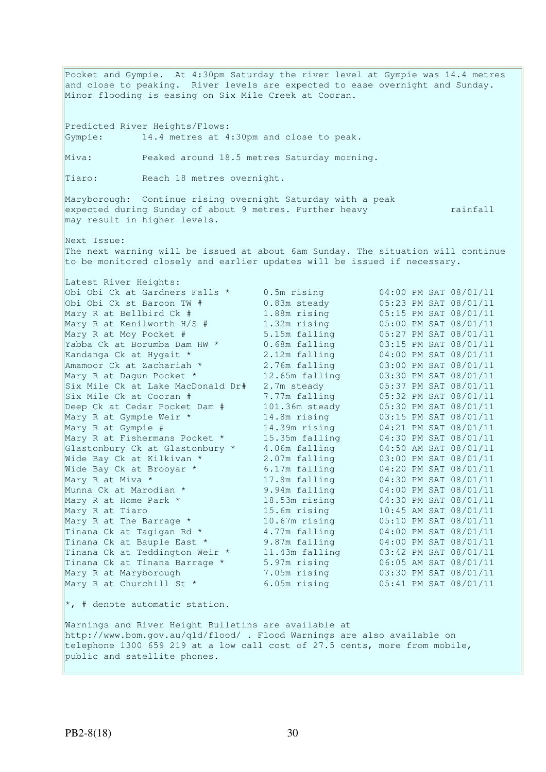Pocket and Gympie. At 4:30pm Saturday the river level at Gympie was 14.4 metres and close to peaking. River levels are expected to ease overnight and Sunday. Minor flooding is easing on Six Mile Creek at Cooran. Predicted River Heights/Flows: Gympie: 14.4 metres at 4:30pm and close to peak. Miva: Peaked around 18.5 metres Saturday morning. Tiaro: Reach 18 metres overnight. Maryborough: Continue rising overnight Saturday with a peak expected during Sunday of about 9 metres. Further heavy rainfall rainfall rainfall may result in higher levels. Next Issue: The next warning will be issued at about 6am Sunday. The situation will continue to be monitored closely and earlier updates will be issued if necessary. Latest River Heights: Obi Obi Ck at Gardners Falls \* 0.5m rising 04:00 PM SAT 08/01/11 Obi Obi Ck st Baroon TW # 0.83m steady 05:23 PM SAT 08/01/11 Mary R at Bellbird Ck # 1.88m rising 05:15 PM SAT 08/01/11 Mary R at Kenilworth H/S # 1.32m rising 05:00 PM SAT 08/01/11 Mary R at Moy Pocket # 5.15m falling 05:27 PM SAT 08/01/11 Yabba Ck at Borumba Dam HW \* 0.68m falling 03:15 PM SAT 08/01/11 Kandanga Ck at Hygait \* 2.12m falling 04:00 PM SAT 08/01/11 Amamoor Ck at Zachariah \* 2.76m falling 03:00 PM SAT 08/01/11 Mary R at Dagun Pocket \* 12.65m falling 03:30 PM SAT 08/01/11 Six Mile Ck at Lake MacDonald Dr# 2.7m steady 05:37 PM SAT 08/01/11 Six Mile Ck at Cooran # 7.77m falling 05:32 PM SAT 08/01/11 Deep Ck at Cedar Pocket Dam # 101.36m steady 05:30 PM SAT 08/01/11 Mary R at Gympie Weir \* 14.8m rising 03:15 PM SAT 08/01/11 Mary R at Gympie # 14.39m rising 04:21 PM SAT 08/01/11 Mary R at Fishermans Pocket \* 15.35m falling 04:30 PM SAT 08/01/11 Glastonbury Ck at Glastonbury \* 4.06m falling 04:50 AM SAT 08/01/11 Wide Bay Ck at Kilkivan \* 2.07m falling 03:00 PM SAT 08/01/11 Wide Bay Ck at Brooyar \* 6.17m falling 04:20 PM SAT 08/01/11 Mary R at Miva \* 17.8m falling 04:30 PM SAT 08/01/11 Munna Ck at Marodian \* 9.94m falling 04:00 PM SAT 08/01/11 Mary R at Home Park \* 18.53m rising 04:30 PM SAT 08/01/11 Mary R at Tiaro 15.6m rising 10:45 AM SAT 08/01/11 Mary R at The Barrage \* 10.67m rising 05:10 PM SAT 08/01/11 Tinana Ck at Tagigan Rd  $*$  4.77m falling  $04:00$  PM SAT 08/01/11 Tinana Ck at Bauple East \* 9.87m falling 04:00 PM SAT 08/01/11 Tinana Ck at Teddington Weir \* 11.43m falling 03:42 PM SAT 08/01/11 Tinana Ck at Tinana Barrage \* 5.97m rising 06:05 AM SAT 08/01/11 Mary R at Maryborough 7.05m rising 03:30 PM SAT 08/01/11 Mary R at Churchill St \* 6.05m rising 05:41 PM SAT 08/01/11 \*, # denote automatic station. Warnings and River Height Bulletins are available at http://www.bom.gov.au/qld/flood/ . Flood Warnings are also available on telephone 1300 659 219 at a low call cost of 27.5 cents, more from mobile, public and satellite phones.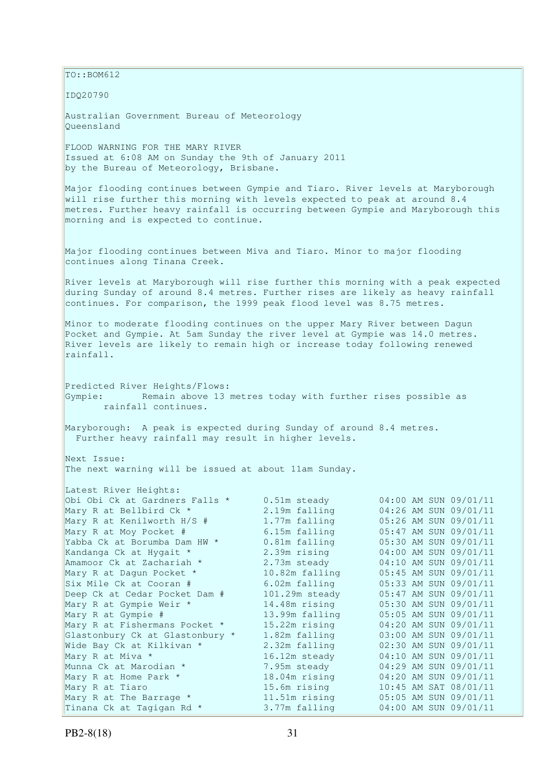$\vert$ TO::BOM612

IDQ20790

Australian Government Bureau of Meteorology Queensland

FLOOD WARNING FOR THE MARY RIVER Issued at 6:08 AM on Sunday the 9th of January 2011 by the Bureau of Meteorology, Brisbane.

Major flooding continues between Gympie and Tiaro. River levels at Maryborough will rise further this morning with levels expected to peak at around 8.4 metres. Further heavy rainfall is occurring between Gympie and Maryborough this morning and is expected to continue.

Major flooding continues between Miva and Tiaro. Minor to major flooding continues along Tinana Creek.

River levels at Maryborough will rise further this morning with a peak expected during Sunday of around 8.4 metres. Further rises are likely as heavy rainfall continues. For comparison, the 1999 peak flood level was 8.75 metres.

Minor to moderate flooding continues on the upper Mary River between Dagun Pocket and Gympie. At 5am Sunday the river level at Gympie was 14.0 metres. River levels are likely to remain high or increase today following renewed rainfall.

Predicted River Heights/Flows: Gympie: Remain above 13 metres today with further rises possible as rainfall continues.

Maryborough: A peak is expected during Sunday of around 8.4 metres. Further heavy rainfall may result in higher levels.

Next Issue: The next warning will be issued at about 11am Sunday.

| Latest River Heights:           |                |                       |
|---------------------------------|----------------|-----------------------|
| Obi Obi Ck at Gardners Falls *  | 0.51m steady   | 04:00 AM SUN 09/01/11 |
| Mary R at Bellbird Ck *         | 2.19m falling  | 04:26 AM SUN 09/01/11 |
| Mary R at Kenilworth H/S #      | 1.77m falling  | 05:26 AM SUN 09/01/11 |
| Mary R at Moy Pocket #          | 6.15m falling  | 05:47 AM SUN 09/01/11 |
| Yabba Ck at Borumba Dam HW *    | 0.81m falling  | 05:30 AM SUN 09/01/11 |
| Kandanga Ck at Hygait *         | 2.39m rising   | 04:00 AM SUN 09/01/11 |
| Amamoor Ck at Zachariah *       | 2.73m steady   | 04:10 AM SUN 09/01/11 |
| Mary R at Dagun Pocket *        | 10.82m falling | 05:45 AM SUN 09/01/11 |
| Six Mile Ck at Cooran #         | 6.02m falling  | 05:33 AM SUN 09/01/11 |
| Deep Ck at Cedar Pocket Dam #   | 101.29m steady | 05:47 AM SUN 09/01/11 |
| Mary R at Gympie Weir *         | 14.48m rising  | 05:30 AM SUN 09/01/11 |
| Mary R at Gympie #              | 13.99m falling | 05:05 AM SUN 09/01/11 |
| Mary R at Fishermans Pocket *   | 15.22m rising  | 04:20 AM SUN 09/01/11 |
| Glastonbury Ck at Glastonbury * | 1.82m falling  | 03:00 AM SUN 09/01/11 |
| Wide Bay Ck at Kilkivan *       | 2.32m falling  | 02:30 AM SUN 09/01/11 |
| Mary R at Miva *                | 16.12m steady  | 04:10 AM SUN 09/01/11 |
| Munna Ck at Marodian *          | 7.95m steady   | 04:29 AM SUN 09/01/11 |
| Mary R at Home Park *           | 18.04m rising  | 04:20 AM SUN 09/01/11 |
| Mary R at Tiaro                 | 15.6m rising   | 10:45 AM SAT 08/01/11 |
| Mary R at The Barrage *         | 11.51m rising  | 05:05 AM SUN 09/01/11 |
| Tinana Ck at Tagigan Rd *       | 3.77m falling  | 04:00 AM SUN 09/01/11 |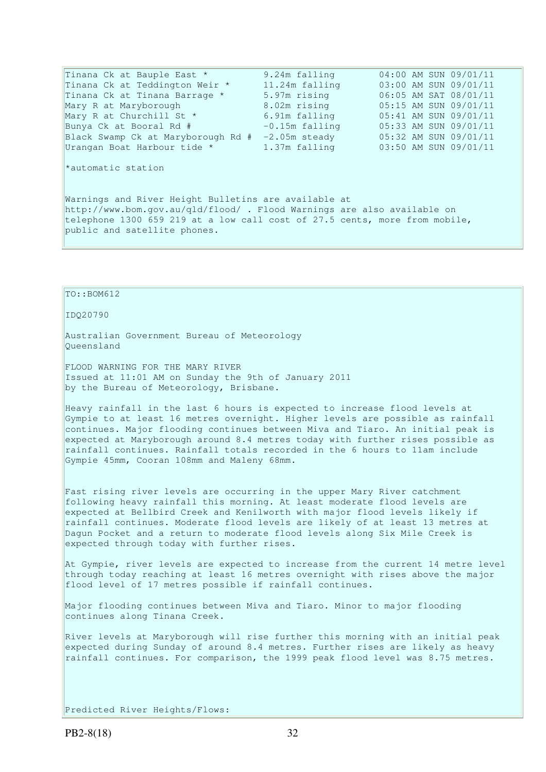| Tinana Ck at Bauple East *         | 9.24m falling    | 04:00 AM SUN 09/01/11 |
|------------------------------------|------------------|-----------------------|
| Tinana Ck at Teddington Weir *     | 11.24m falling   | 03:00 AM SUN 09/01/11 |
| Tinana Ck at Tinana Barrage *      | 5.97m rising     | 06:05 AM SAT 08/01/11 |
| Mary R at Maryborough              | 8.02m rising     | 05:15 AM SUN 09/01/11 |
| Mary R at Churchill St *           | 6.91m falling    | 05:41 AM SUN 09/01/11 |
| Bunya Ck at Booral Rd #            | $-0.15m$ falling | 05:33 AM SUN 09/01/11 |
| Black Swamp Ck at Maryborough Rd # | $-2.05m$ steady  | 05:32 AM SUN 09/01/11 |
| Urangan Boat Harbour tide *        | 1.37m falling    | 03:50 AM SUN 09/01/11 |
|                                    |                  |                       |
|                                    |                  |                       |

\*automatic station

Warnings and River Height Bulletins are available at http://www.bom.gov.au/qld/flood/ . Flood Warnings are also available on telephone 1300 659 219 at a low call cost of 27.5 cents, more from mobile, public and satellite phones.

TO::BOM612

#### IDQ20790

Australian Government Bureau of Meteorology Queensland

FLOOD WARNING FOR THE MARY RIVER Issued at 11:01 AM on Sunday the 9th of January 2011 by the Bureau of Meteorology, Brisbane.

Heavy rainfall in the last 6 hours is expected to increase flood levels at Gympie to at least 16 metres overnight. Higher levels are possible as rainfall continues. Major flooding continues between Miva and Tiaro. An initial peak is expected at Maryborough around 8.4 metres today with further rises possible as rainfall continues. Rainfall totals recorded in the 6 hours to 11am include Gympie 45mm, Cooran 108mm and Maleny 68mm.

Fast rising river levels are occurring in the upper Mary River catchment following heavy rainfall this morning. At least moderate flood levels are expected at Bellbird Creek and Kenilworth with major flood levels likely if rainfall continues. Moderate flood levels are likely of at least 13 metres at Dagun Pocket and a return to moderate flood levels along Six Mile Creek is expected through today with further rises.

At Gympie, river levels are expected to increase from the current 14 metre level through today reaching at least 16 metres overnight with rises above the major flood level of 17 metres possible if rainfall continues.

Major flooding continues between Miva and Tiaro. Minor to major flooding continues along Tinana Creek.

River levels at Maryborough will rise further this morning with an initial peak expected during Sunday of around 8.4 metres. Further rises are likely as heavy rainfall continues. For comparison, the 1999 peak flood level was 8.75 metres.

Predicted River Heights/Flows: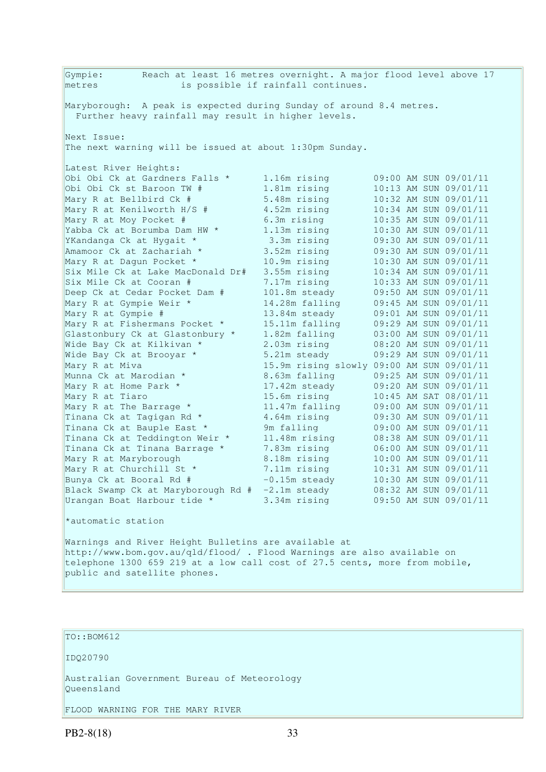Gympie: Reach at least 16 metres overnight. A major flood level above 17 metres is possible if rainfall continues. Maryborough: A peak is expected during Sunday of around 8.4 metres. Further heavy rainfall may result in higher levels. Next Issue: The next warning will be issued at about 1:30pm Sunday. Latest River Heights: Obi Obi Ck at Gardners Falls \* 1.16m rising 09:00 AM SUN 09/01/11 Obi Obi Ck st Baroon TW # 1.81m rising 10:13 AM SUN 09/01/11 Mary R at Bellbird Ck # 5.48m rising 10:32 AM SUN 09/01/11 Mary R at Kenilworth H/S # 4.52m rising 10:34 AM SUN 09/01/11 Mary R at Moy Pocket # 6.3m rising 10:35 AM SUN 09/01/11 Yabba Ck at Borumba Dam HW \* 1.13m rising 10:30 AM SUN 09/01/11 YKandanga Ck at Hygait \* 3.3m rising 09:30 AM SUN 09/01/11 Amamoor Ck at Zachariah \* 3.52m rising 09:30 AM SUN 09/01/11 Mary R at Dagun Pocket \* 10.9m rising 10:30 AM SUN 09/01/11 Six Mile Ck at Lake MacDonald Dr# 3.55m rising 10:34 AM SUN 09/01/11 Six Mile Ck at Cooran # 7.17m rising 10:33 AM SUN 09/01/11 Deep Ck at Cedar Pocket Dam # 101.8m steady 09:50 AM SUN 09/01/11 Mary R at Gympie Weir \* 14.28m falling 09:45 AM SUN 09/01/11 Mary R at Gympie # 13.84m steady 09:01 AM SUN 09/01/11 Mary R at Fishermans Pocket \* 15.11m falling 09:29 AM SUN 09/01/11 Glastonbury Ck at Glastonbury \* 1.82m falling 03:00 AM SUN 09/01/11 Wide Bay Ck at Kilkivan \* 2.03m rising 08:20 AM SUN 09/01/11 Wide Bay Ck at Brooyar \* 5.21m steady 09:29 AM SUN 09/01/11 Mary R at Miva 15.9m rising slowly 09:00 AM SUN 09/01/11 Munna Ck at Marodian \* 8.63m falling 09:25 AM SUN 09/01/11 Mary R at Home Park \* 17.42m steady 09:20 AM SUN 09/01/11 Mary R at Tiaro 15.6m rising 10:45 AM SAT 08/01/11 Mary R at The Barrage \* 11.47m falling 09:00 AM SUN 09/01/11 Tinana Ck at Tagigan Rd  $\star$  4.64m rising 09:30 AM SUN 09/01/11 Tinana Ck at Bauple East \* 9m falling 09:00 AM SUN 09/01/11 Tinana Ck at Teddington Weir \* 11.48m rising 08:38 AM SUN 09/01/11 Tinana Ck at Tinana Barrage \* 7.83m rising 06:00 AM SUN 09/01/11 Mary R at Maryborough 8.18m rising 10:00 AM SUN 09/01/11 Mary R at Churchill St \* 7.11m rising 10:31 AM SUN 09/01/11 Bunya Ck at Booral Rd # -0.15m steady 10:30 AM SUN 09/01/11 Black Swamp Ck at Maryborough Rd # -2.1m steady 08:32 AM SUN 09/01/11 Urangan Boat Harbour tide \* 3.34m rising 09:50 AM SUN 09/01/11 \*automatic station

Warnings and River Height Bulletins are available at http://www.bom.gov.au/qld/flood/ . Flood Warnings are also available on telephone 1300 659 219 at a low call cost of 27.5 cents, more from mobile, public and satellite phones.

TO::BOM612

IDQ20790

Australian Government Bureau of Meteorology Queensland

FLOOD WARNING FOR THE MARY RIVER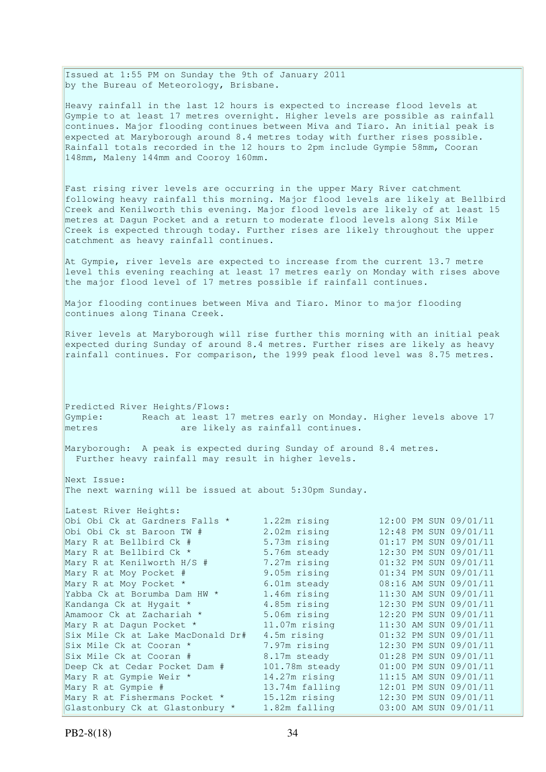Issued at 1:55 PM on Sunday the 9th of January 2011 by the Bureau of Meteorology, Brisbane.

Heavy rainfall in the last 12 hours is expected to increase flood levels at Gympie to at least 17 metres overnight. Higher levels are possible as rainfall continues. Major flooding continues between Miva and Tiaro. An initial peak is expected at Maryborough around 8.4 metres today with further rises possible. Rainfall totals recorded in the 12 hours to 2pm include Gympie 58mm, Cooran 148mm, Maleny 144mm and Cooroy 160mm.

Fast rising river levels are occurring in the upper Mary River catchment following heavy rainfall this morning. Major flood levels are likely at Bellbird Creek and Kenilworth this evening. Major flood levels are likely of at least 15 metres at Dagun Pocket and a return to moderate flood levels along Six Mile Creek is expected through today. Further rises are likely throughout the upper catchment as heavy rainfall continues.

At Gympie, river levels are expected to increase from the current 13.7 metre level this evening reaching at least 17 metres early on Monday with rises above the major flood level of 17 metres possible if rainfall continues.

Major flooding continues between Miva and Tiaro. Minor to major flooding continues along Tinana Creek.

River levels at Maryborough will rise further this morning with an initial peak expected during Sunday of around 8.4 metres. Further rises are likely as heavy rainfall continues. For comparison, the 1999 peak flood level was 8.75 metres.

Predicted River Heights/Flows: Gympie: Reach at least 17 metres early on Monday. Higher levels above 17 metres are likely as rainfall continues.

Maryborough: A peak is expected during Sunday of around 8.4 metres. Further heavy rainfall may result in higher levels.

Next Issue: The next warning will be issued at about 5:30pm Sunday.

| Latest River Heights:             |                 |                       |
|-----------------------------------|-----------------|-----------------------|
| Obi Obi Ck at Gardners Falls *    | 1.22m rising    | 12:00 PM SUN 09/01/11 |
| Obi Obi Ck st Baroon TW #         | 2.02m rising    | 12:48 PM SUN 09/01/11 |
| Mary R at Bellbird Ck #           | 5.73m rising    | 01:17 PM SUN 09/01/11 |
| Mary R at Bellbird Ck *           | 5.76m steady    | 12:30 PM SUN 09/01/11 |
| Mary R at Kenilworth H/S #        | 7.27m rising    | 01:32 PM SUN 09/01/11 |
| Mary R at Moy Pocket #            | 9.05m rising    | 01:34 PM SUN 09/01/11 |
| Mary R at Moy Pocket *            | 6.01m steady    | 08:16 AM SUN 09/01/11 |
| Yabba Ck at Borumba Dam HW *      | 1.46m rising    | 11:30 AM SUN 09/01/11 |
| Kandanga Ck at Hygait *           | 4.85m rising    | 12:30 PM SUN 09/01/11 |
| Amamoor Ck at Zachariah *         | 5.06m rising    | 12:20 PM SUN 09/01/11 |
| Mary R at Dagun Pocket *          | $11.07m$ rising | 11:30 AM SUN 09/01/11 |
| Six Mile Ck at Lake MacDonald Dr# | 4.5m rising     | 01:32 PM SUN 09/01/11 |
| Six Mile Ck at Cooran *           | 7.97m rising    | 12:30 PM SUN 09/01/11 |
| Six Mile Ck at Cooran #           | 8.17m steady    | 01:28 PM SUN 09/01/11 |
| Deep Ck at Cedar Pocket Dam #     | 101.78m steady  | 01:00 PM SUN 09/01/11 |
| Mary R at Gympie Weir *           | 14.27m rising   | 11:15 AM SUN 09/01/11 |
| Mary R at Gympie #                | 13.74m falling  | 12:01 PM SUN 09/01/11 |
| Mary R at Fishermans Pocket *     | 15.12m rising   | 12:30 PM SUN 09/01/11 |
| Glastonbury Ck at Glastonbury *   | 1.82m falling   | 03:00 AM SUN 09/01/11 |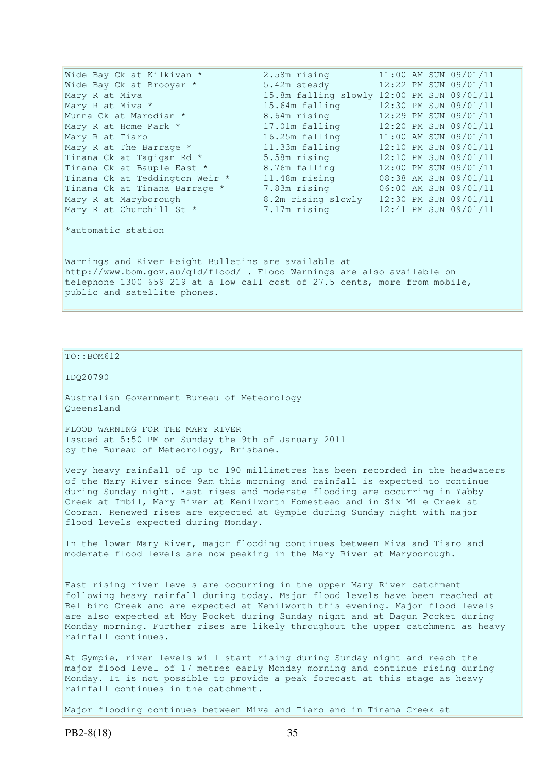| Wide Bay Ck at Kilkivan *                                                                                                       | 2.58m rising       | 11:00 AM SUN 09/01/11                      |  |  |
|---------------------------------------------------------------------------------------------------------------------------------|--------------------|--------------------------------------------|--|--|
| Wide Bay Ck at Brooyar *                                                                                                        | 5.42m steady       | 12:22 PM SUN 09/01/11                      |  |  |
| Mary R at Miva                                                                                                                  |                    | 15.8m falling slowly 12:00 PM SUN 09/01/11 |  |  |
| Mary R at Miva *                                                                                                                | 15.64m falling     | 12:30 PM SUN 09/01/11                      |  |  |
| Munna Ck at Marodian *                                                                                                          | 8.64m rising       | 12:29 PM SUN 09/01/11                      |  |  |
| Mary R at Home Park *                                                                                                           | 17.01m falling     | 12:20 PM SUN 09/01/11                      |  |  |
| Mary R at Tiaro                                                                                                                 | 16.25m falling     | 11:00 AM SUN 09/01/11                      |  |  |
| Mary R at The Barrage *                                                                                                         | 11.33m falling     | 12:10 PM SUN 09/01/11                      |  |  |
| Tinana Ck at Tagigan Rd *                                                                                                       | 5.58m rising       | 12:10 PM SUN 09/01/11                      |  |  |
| Tinana Ck at Bauple East *                                                                                                      | 8.76m falling      | 12:00 PM SUN 09/01/11                      |  |  |
| Tinana Ck at Teddington Weir *                                                                                                  | 11.48m rising      | 08:38 AM SUN 09/01/11                      |  |  |
| Tinana Ck at Tinana Barrage *                                                                                                   |                    | 7.83m rising 06:00 AM SUN 09/01/11         |  |  |
| Mary R at Maryborough                                                                                                           | 8.2m rising slowly | 12:30 PM SUN 09/01/11                      |  |  |
| Mary R at Churchill St *                                                                                                        | 7.17m rising       | 12:41 PM SUN 09/01/11                      |  |  |
| *automatic station                                                                                                              |                    |                                            |  |  |
| Warnings and River Height Bulletins are available at<br>http://www.bom.gov.au/qld/flood/ . Flood Warnings are also available on |                    |                                            |  |  |

telephone 1300 659 219 at a low call cost of 27.5 cents, more from mobile, public and satellite phones.

## TO::BOM612

IDQ20790

Australian Government Bureau of Meteorology Queensland

FLOOD WARNING FOR THE MARY RIVER Issued at 5:50 PM on Sunday the 9th of January 2011 by the Bureau of Meteorology, Brisbane.

Very heavy rainfall of up to 190 millimetres has been recorded in the headwaters of the Mary River since 9am this morning and rainfall is expected to continue during Sunday night. Fast rises and moderate flooding are occurring in Yabby Creek at Imbil, Mary River at Kenilworth Homestead and in Six Mile Creek at Cooran. Renewed rises are expected at Gympie during Sunday night with major flood levels expected during Monday.

In the lower Mary River, major flooding continues between Miva and Tiaro and moderate flood levels are now peaking in the Mary River at Maryborough.

Fast rising river levels are occurring in the upper Mary River catchment following heavy rainfall during today. Major flood levels have been reached at Bellbird Creek and are expected at Kenilworth this evening. Major flood levels are also expected at Moy Pocket during Sunday night and at Dagun Pocket during Monday morning. Further rises are likely throughout the upper catchment as heavy rainfall continues.

At Gympie, river levels will start rising during Sunday night and reach the major flood level of 17 metres early Monday morning and continue rising during Monday. It is not possible to provide a peak forecast at this stage as heavy rainfall continues in the catchment.

Major flooding continues between Miva and Tiaro and in Tinana Creek at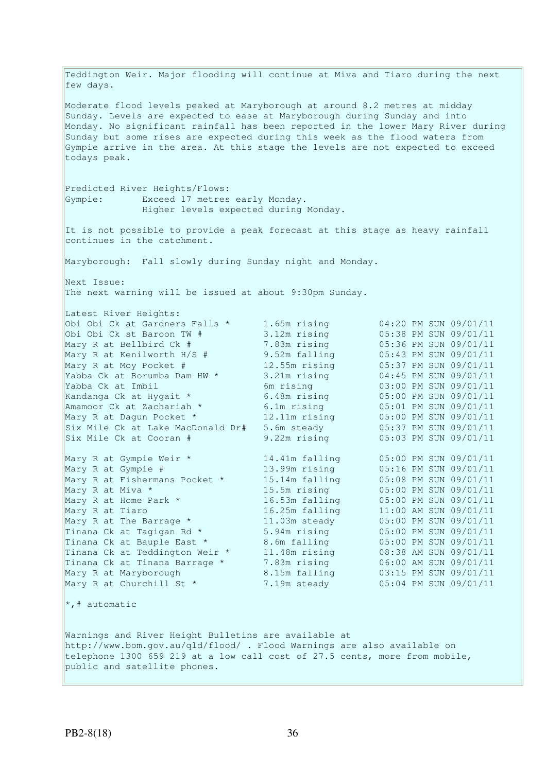Teddington Weir. Major flooding will continue at Miva and Tiaro during the next few days. Moderate flood levels peaked at Maryborough at around 8.2 metres at midday Sunday. Levels are expected to ease at Maryborough during Sunday and into Monday. No significant rainfall has been reported in the lower Mary River during Sunday but some rises are expected during this week as the flood waters from Gympie arrive in the area. At this stage the levels are not expected to exceed todays peak. Predicted River Heights/Flows: Gympie: Exceed 17 metres early Monday. Higher levels expected during Monday. It is not possible to provide a peak forecast at this stage as heavy rainfall continues in the catchment. Maryborough: Fall slowly during Sunday night and Monday. Next Issue: The next warning will be issued at about 9:30pm Sunday. Latest River Heights: Obi Obi Ck at Gardners Falls \* 1.65m rising 04:20 PM SUN 09/01/11 Obi Obi Ck st Baroon TW # 3.12m rising 05:38 PM SUN 09/01/11 Mary R at Bellbird Ck # 7.83m rising 05:36 PM SUN 09/01/11 Mary R at Kenilworth H/S # 9.52m falling 05:43 PM SUN 09/01/11 Mary R at Moy Pocket # 12.55m rising 05:37 PM SUN 09/01/11 Yabba Ck at Borumba Dam HW \* 3.21m rising 04:45 PM SUN 09/01/11 Yabba Ck at Imbil 6m rising 03:00 PM SUN 09/01/11 Kandanga Ck at Hygait \* 6.48m rising 05:00 PM SUN 09/01/11 Amamoor Ck at Zachariah \* 6.1m rising 05:01 PM SUN 09/01/11 Mary R at Dagun Pocket \* 12.11m rising 05:00 PM SUN 09/01/11 Six Mile Ck at Lake MacDonald Dr# 5.6m steady 05:37 PM SUN 09/01/11 Six Mile Ck at Cooran # 9.22m rising 05:03 PM SUN 09/01/11 Mary R at Gympie Weir \* 14.41m falling 05:00 PM SUN 09/01/11 Mary R at Gympie # 13.99m rising 05:16 PM SUN 09/01/11 Mary R at Fishermans Pocket \* 15.14m falling 05:08 PM SUN 09/01/11 Mary R at Miva \* 15.5m rising 05:00 PM SUN 09/01/11 Mary R at Home Park \* 16.53m falling 05:00 PM SUN 09/01/11 Mary R at Tiaro 16.25m falling 11:00 AM SUN 09/01/11 Mary R at The Barrage \* 11.03m steady 05:00 PM SUN 09/01/11 Tinana Ck at Tagigan Rd  $*$  5.94m rising  $05:00$  PM SUN 09/01/11 Tinana Ck at Bauple East \* 8.6m falling 05:00 PM SUN 09/01/11 Tinana Ck at Teddington Weir \* 11.48m rising 08:38 AM SUN 09/01/11 Tinana Ck at Tinana Barrage \* 7.83m rising 06:00 AM SUN 09/01/11 Mary R at Maryborough 8.15m falling 03:15 PM SUN 09/01/11 Mary R at Churchill St \* 7.19m steady 05:04 PM SUN 09/01/11 \*,# automatic Warnings and River Height Bulletins are available at http://www.bom.gov.au/qld/flood/ . Flood Warnings are also available on telephone 1300 659 219 at a low call cost of 27.5 cents, more from mobile, public and satellite phones.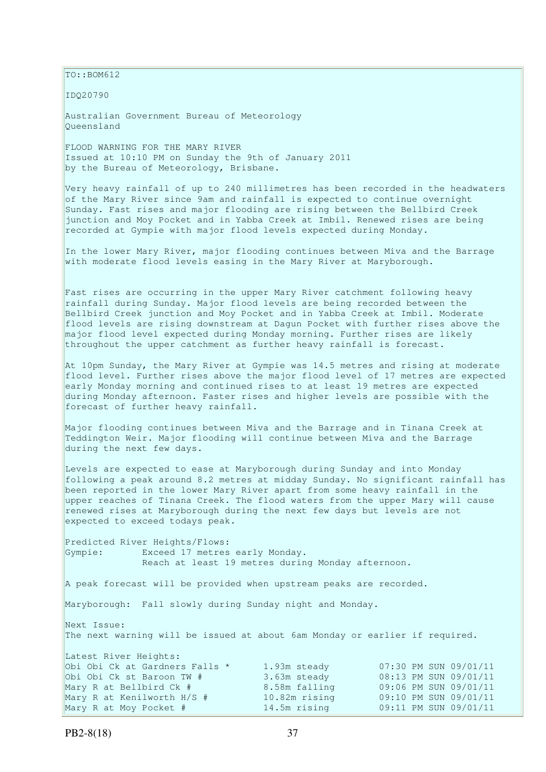$\vert$ TO::BOM612

IDQ20790

Australian Government Bureau of Meteorology Queensland

FLOOD WARNING FOR THE MARY RIVER Issued at 10:10 PM on Sunday the 9th of January 2011 by the Bureau of Meteorology, Brisbane.

Very heavy rainfall of up to 240 millimetres has been recorded in the headwaters of the Mary River since 9am and rainfall is expected to continue overnight Sunday. Fast rises and major flooding are rising between the Bellbird Creek junction and Moy Pocket and in Yabba Creek at Imbil. Renewed rises are being recorded at Gympie with major flood levels expected during Monday.

In the lower Mary River, major flooding continues between Miva and the Barrage with moderate flood levels easing in the Mary River at Maryborough.

Fast rises are occurring in the upper Mary River catchment following heavy rainfall during Sunday. Major flood levels are being recorded between the Bellbird Creek junction and Moy Pocket and in Yabba Creek at Imbil. Moderate flood levels are rising downstream at Dagun Pocket with further rises above the major flood level expected during Monday morning. Further rises are likely throughout the upper catchment as further heavy rainfall is forecast.

At 10pm Sunday, the Mary River at Gympie was 14.5 metres and rising at moderate flood level. Further rises above the major flood level of 17 metres are expected early Monday morning and continued rises to at least 19 metres are expected during Monday afternoon. Faster rises and higher levels are possible with the forecast of further heavy rainfall.

Major flooding continues between Miva and the Barrage and in Tinana Creek at Teddington Weir. Major flooding will continue between Miva and the Barrage during the next few days.

Levels are expected to ease at Maryborough during Sunday and into Monday following a peak around 8.2 metres at midday Sunday. No significant rainfall has been reported in the lower Mary River apart from some heavy rainfall in the upper reaches of Tinana Creek. The flood waters from the upper Mary will cause renewed rises at Maryborough during the next few days but levels are not expected to exceed todays peak.

Predicted River Heights/Flows: Gympie: Exceed 17 metres early Monday. Reach at least 19 metres during Monday afternoon.

A peak forecast will be provided when upstream peaks are recorded.

Maryborough: Fall slowly during Sunday night and Monday.

Next Issue: The next warning will be issued at about 6am Monday or earlier if required.

| Latest River Heights:          |               |                       |
|--------------------------------|---------------|-----------------------|
| Obi Obi Ck at Gardners Falls * | 1.93m steady  | 07:30 PM SUN 09/01/11 |
| Obi Obi Ck st Baroon TW #      | 3.63m steady  | 08:13 PM SUN 09/01/11 |
| Mary R at Bellbird Ck #        | 8.58m falling | 09:06 PM SUN 09/01/11 |
| Mary R at Kenilworth H/S #     | 10.82m rising | 09:10 PM SUN 09/01/11 |
| Mary R at Moy Pocket #         | 14.5m rising  | 09:11 PM SUN 09/01/11 |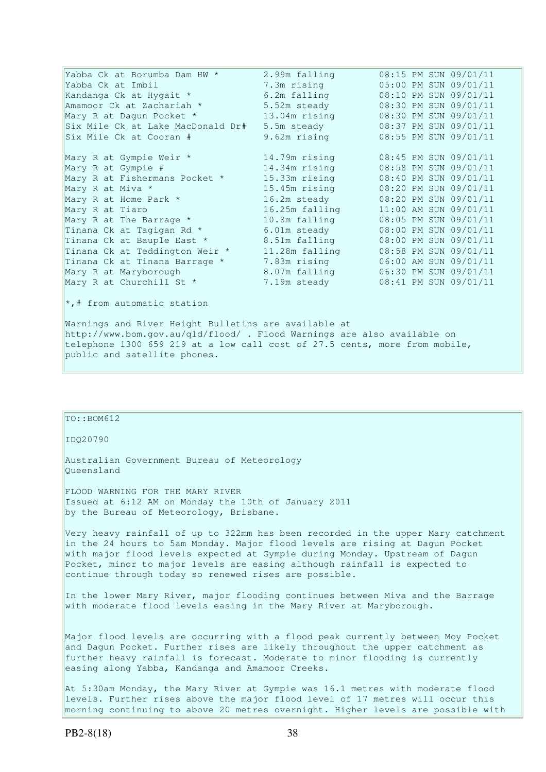| Yabba Ck at Borumba Dam HW *                                                                                                    | 2.99m falling  | 08:15 PM SUN 09/01/11 |  |  |
|---------------------------------------------------------------------------------------------------------------------------------|----------------|-----------------------|--|--|
| Yabba Ck at Imbil                                                                                                               | 7.3m rising    | 05:00 PM SUN 09/01/11 |  |  |
| Kandanga Ck at Hygait *                                                                                                         | 6.2m falling   | 08:10 PM SUN 09/01/11 |  |  |
| Amamoor Ck at Zachariah *                                                                                                       | 5.52m steady   | 08:30 PM SUN 09/01/11 |  |  |
| Mary R at Dagun Pocket *                                                                                                        | 13.04m rising  | 08:30 PM SUN 09/01/11 |  |  |
| Six Mile Ck at Lake MacDonald Dr#                                                                                               | 5.5m steady    | 08:37 PM SUN 09/01/11 |  |  |
| Six Mile Ck at Cooran #                                                                                                         | 9.62m rising   | 08:55 PM SUN 09/01/11 |  |  |
| Mary R at Gympie Weir *                                                                                                         | 14.79m rising  | 08:45 PM SUN 09/01/11 |  |  |
| Mary R at Gympie #                                                                                                              | 14.34m rising  | 08:58 PM SUN 09/01/11 |  |  |
| Mary R at Fishermans Pocket *                                                                                                   | 15.33m rising  | 08:40 PM SUN 09/01/11 |  |  |
| Mary R at Miva *                                                                                                                | 15.45m rising  | 08:20 PM SUN 09/01/11 |  |  |
| Mary R at Home Park *                                                                                                           | 16.2m steady   | 08:20 PM SUN 09/01/11 |  |  |
| Mary R at Tiaro                                                                                                                 | 16.25m falling | 11:00 AM SUN 09/01/11 |  |  |
| Mary R at The Barrage *                                                                                                         | 10.8m falling  | 08:05 PM SUN 09/01/11 |  |  |
| Tinana Ck at Tagigan Rd *                                                                                                       | 6.01m steady   | 08:00 PM SUN 09/01/11 |  |  |
| Tinana Ck at Bauple East *                                                                                                      | 8.51m falling  | 08:00 PM SUN 09/01/11 |  |  |
| Tinana Ck at Teddington Weir *                                                                                                  | 11.28m falling | 08:58 PM SUN 09/01/11 |  |  |
| Tinana Ck at Tinana Barrage *                                                                                                   | 7.83m rising   | 06:00 AM SUN 09/01/11 |  |  |
| Mary R at Maryborough                                                                                                           | 8.07m falling  | 06:30 PM SUN 09/01/11 |  |  |
| Mary R at Churchill St *                                                                                                        | 7.19m steady   | 08:41 PM SUN 09/01/11 |  |  |
| $\star$ ,# from automatic station                                                                                               |                |                       |  |  |
| Warnings and River Height Bulletins are available at<br>http://www.bom.gov.au/qld/flood/ . Flood Warnings are also available on |                |                       |  |  |

telephone 1300 659 219 at a low call cost of 27.5 cents, more from mobile, public and satellite phones.

| $TO: BOM612$                                                                                                                                                                                                                                                                                                                                                                          |
|---------------------------------------------------------------------------------------------------------------------------------------------------------------------------------------------------------------------------------------------------------------------------------------------------------------------------------------------------------------------------------------|
| ID020790                                                                                                                                                                                                                                                                                                                                                                              |
| Australian Government Bureau of Meteorology<br>Oueensland                                                                                                                                                                                                                                                                                                                             |
| FLOOD WARNING FOR THE MARY RIVER<br>Issued at 6:12 AM on Monday the 10th of January 2011<br>by the Bureau of Meteorology, Brisbane.                                                                                                                                                                                                                                                   |
| Very heavy rainfall of up to 322mm has been recorded in the upper Mary catchment<br>in the 24 hours to 5am Monday. Major flood levels are rising at Dagun Pocket<br>with major flood levels expected at Gympie during Monday. Upstream of Dagun<br>Pocket, minor to major levels are easing although rainfall is expected to<br>continue through today so renewed rises are possible. |
| In the lower Mary River, major flooding continues between Miva and the Barrage<br>with moderate flood levels easing in the Mary River at Maryborough.                                                                                                                                                                                                                                 |
| Major flood levels are occurring with a flood peak currently between Moy Pocket<br>and Dagun Pocket. Further rises are likely throughout the upper catchment as<br>further heavy rainfall is forecast. Moderate to minor flooding is currently<br>easing along Yabba, Kandanga and Amamoor Creeks.                                                                                    |

At 5:30am Monday, the Mary River at Gympie was 16.1 metres with moderate flood levels. Further rises above the major flood level of 17 metres will occur this morning continuing to above 20 metres overnight. Higher levels are possible with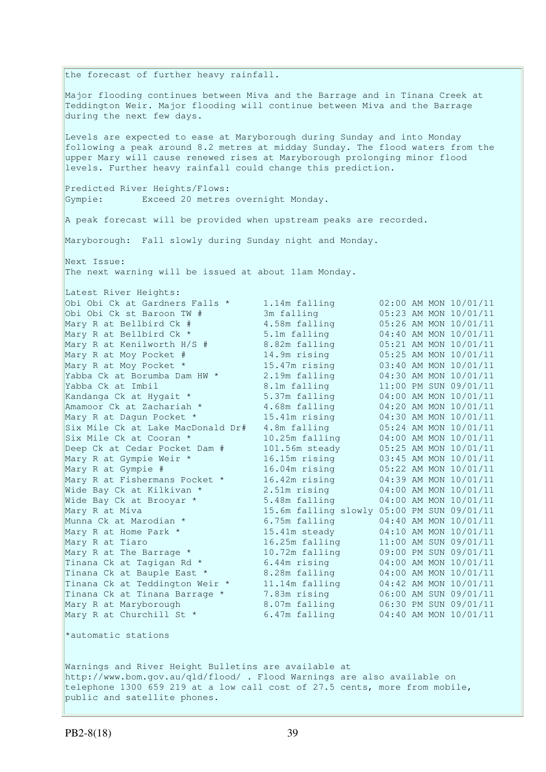the forecast of further heavy rainfall. Major flooding continues between Miva and the Barrage and in Tinana Creek at Teddington Weir. Major flooding will continue between Miva and the Barrage during the next few days. Levels are expected to ease at Maryborough during Sunday and into Monday following a peak around 8.2 metres at midday Sunday. The flood waters from the upper Mary will cause renewed rises at Maryborough prolonging minor flood levels. Further heavy rainfall could change this prediction. Predicted River Heights/Flows: Gympie: Exceed 20 metres overnight Monday. A peak forecast will be provided when upstream peaks are recorded. Maryborough: Fall slowly during Sunday night and Monday. Next Issue: The next warning will be issued at about 11am Monday. Latest River Heights: Obi Obi Ck at Gardners Falls \* 1.14m falling 02:00 AM MON 10/01/11 Obi Obi Ck st Baroon TW # 3m falling 05:23 AM MON 10/01/11 Mary R at Bellbird Ck # 4.58m falling 05:26 AM MON 10/01/11 Mary R at Bellbird Ck \* 5.1m falling 04:40 AM MON 10/01/11 Mary R at Kenilworth H/S # 8.82m falling 05:21 AM MON 10/01/11 Mary R at Moy Pocket # 14.9m rising 05:25 AM MON 10/01/11 Mary R at Moy Pocket \* 15.47m rising 03:40 AM MON 10/01/11 Yabba Ck at Borumba Dam HW \* 2.19m falling 04:30 AM MON 10/01/11 Yabba Ck at Imbil 8.1m falling 11:00 PM SUN 09/01/11 Kandanga Ck at Hygait \* 5.37m falling 04:00 AM MON 10/01/11 Amamoor Ck at Zachariah \* 3.68m falling 04:20 AM MON 10/01/11 Mary R at Dagun Pocket \* 15.41m rising 04:30 AM MON 10/01/11 Six Mile Ck at Lake MacDonald Dr# 4.8m falling 05:24 AM MON 10/01/11 Six Mile Ck at Cooran \* 10.25m falling 04:00 AM MON 10/01/11 Deep Ck at Cedar Pocket Dam # 101.56m steady 05:25 AM MON 10/01/11 Mary R at Gympie Weir \* 16.15m rising 03:45 AM MON 10/01/11 Mary R at Gympie # 16.04m rising 05:22 AM MON 10/01/11 Mary R at Fishermans Pocket \* 16.42m rising 04:39 AM MON 10/01/11 Wide Bay Ck at Kilkivan \* 2.51m rising 04:00 AM MON 10/01/11 Wide Bay Ck at Brooyar \* 5.48m falling 04:00 AM MON 10/01/11 Mary R at Miva 15.6m falling slowly 05:00 PM SUN 09/01/11 Munna Ck at Marodian \* 6.75m falling 04:40 AM MON 10/01/11 Mary R at Home Park \* 15.41m steady 04:10 AM MON 10/01/11 Mary R at Tiaro 16.25m falling 11:00 AM SUN 09/01/11 Mary R at The Barrage \* 10.72m falling 09:00 PM SUN 09/01/11 Tinana Ck at Tagigan Rd  $*$  6.44m rising  $04:00$  AM MON 10/01/11 Tinana Ck at Bauple East \* 8.28m falling 04:00 AM MON 10/01/11 Tinana Ck at Teddington Weir \* 11.14m falling 04:42 AM MON 10/01/11 Tinana Ck at Tinana Barrage \* 7.83m rising 06:00 AM SUN 09/01/11 Mary R at Maryborough 8.07m falling 06:30 PM SUN 09/01/11 Mary R at Churchill St \* 6.47m falling 04:40 AM MON 10/01/11 \*automatic stations

Warnings and River Height Bulletins are available at http://www.bom.gov.au/qld/flood/ . Flood Warnings are also available on telephone 1300 659 219 at a low call cost of 27.5 cents, more from mobile, public and satellite phones.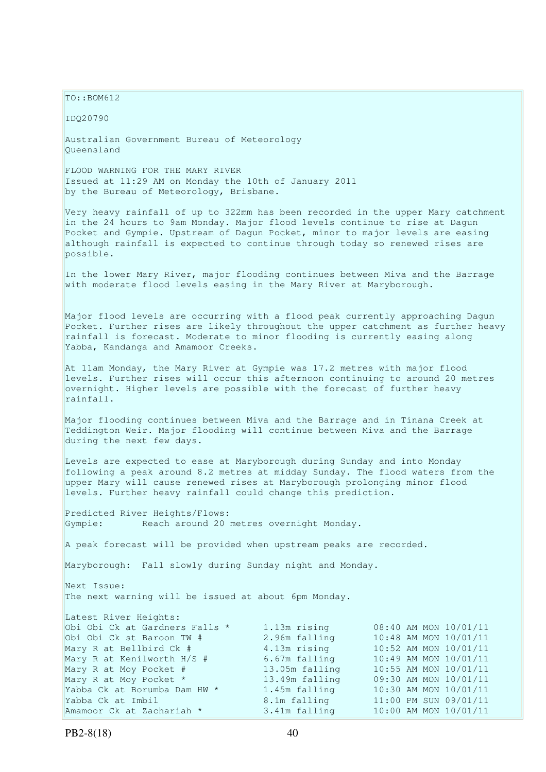$TQ: BOM612$ 

IDQ20790

Australian Government Bureau of Meteorology Queensland

FLOOD WARNING FOR THE MARY RIVER Issued at 11:29 AM on Monday the 10th of January 2011 by the Bureau of Meteorology, Brisbane.

Very heavy rainfall of up to 322mm has been recorded in the upper Mary catchment in the 24 hours to 9am Monday. Major flood levels continue to rise at Dagun Pocket and Gympie. Upstream of Dagun Pocket, minor to major levels are easing although rainfall is expected to continue through today so renewed rises are possible.

In the lower Mary River, major flooding continues between Miva and the Barrage with moderate flood levels easing in the Mary River at Maryborough.

Major flood levels are occurring with a flood peak currently approaching Dagun Pocket. Further rises are likely throughout the upper catchment as further heavy rainfall is forecast. Moderate to minor flooding is currently easing along Yabba, Kandanga and Amamoor Creeks.

At 11am Monday, the Mary River at Gympie was 17.2 metres with major flood levels. Further rises will occur this afternoon continuing to around 20 metres  $\alpha$  overnight. Higher levels are possible with the forecast of further heavy rainfall.

Major flooding continues between Miva and the Barrage and in Tinana Creek at Teddington Weir. Major flooding will continue between Miva and the Barrage during the next few days.

Levels are expected to ease at Maryborough during Sunday and into Monday following a peak around 8.2 metres at midday Sunday. The flood waters from the upper Mary will cause renewed rises at Maryborough prolonging minor flood levels. Further heavy rainfall could change this prediction.

Predicted River Heights/Flows: Gympie: Reach around 20 metres overnight Monday.

A peak forecast will be provided when upstream peaks are recorded.

Maryborough: Fall slowly during Sunday night and Monday.

Next Issue: The next warning will be issued at about 6pm Monday.

| Latest River Heights:          |                |  |                       |
|--------------------------------|----------------|--|-----------------------|
| Obi Obi Ck at Gardners Falls * | 1.13m rising   |  | 08:40 AM MON 10/01/11 |
| Obi Obi Ck st Baroon TW #      | 2.96m falling  |  | 10:48 AM MON 10/01/11 |
| Mary R at Bellbird Ck #        | 4.13m rising   |  | 10:52 AM MON 10/01/11 |
| Mary R at Kenilworth H/S #     | 6.67m falling  |  | 10:49 AM MON 10/01/11 |
| Mary R at Moy Pocket #         | 13.05m falling |  | 10:55 AM MON 10/01/11 |
| Mary R at Moy Pocket *         | 13.49m falling |  | 09:30 AM MON 10/01/11 |
| Yabba Ck at Borumba Dam HW *   | 1.45m falling  |  | 10:30 AM MON 10/01/11 |
| Yabba Ck at Imbil              | 8.1m falling   |  | 11:00 PM SUN 09/01/11 |
| Amamoor Ck at Zachariah *      | 3.41m falling  |  | 10:00 AM MON 10/01/11 |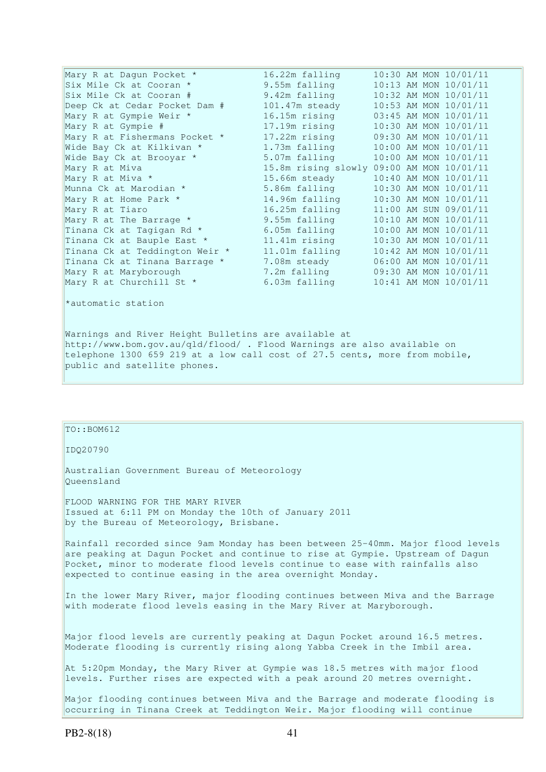| Mary R at Dagun Pocket *       | 16.22m falling                            |  | 10:30 AM MON 10/01/11 |
|--------------------------------|-------------------------------------------|--|-----------------------|
| Six Mile Ck at Cooran *        | 9.55m falling                             |  | 10:13 AM MON 10/01/11 |
| Six Mile Ck at Cooran #        | 9.42m falling                             |  | 10:32 AM MON 10/01/11 |
| Deep Ck at Cedar Pocket Dam #  | 101.47m steady                            |  | 10:53 AM MON 10/01/11 |
| Mary R at Gympie Weir *        | 16.15m rising                             |  | 03:45 AM MON 10/01/11 |
| Mary R at Gympie #             | 17.19m rising                             |  | 10:30 AM MON 10/01/11 |
| Mary R at Fishermans Pocket *  | 17.22m rising                             |  | 09:30 AM MON 10/01/11 |
| Wide Bay Ck at Kilkivan *      | 1.73m falling                             |  | 10:00 AM MON 10/01/11 |
| Wide Bay Ck at Brooyar *       | 5.07m falling                             |  | 10:00 AM MON 10/01/11 |
| Mary R at Miva                 | 15.8m rising slowly 09:00 AM MON 10/01/11 |  |                       |
| Mary R at Miva *               | 15.66m steady                             |  | 10:40 AM MON 10/01/11 |
| Munna Ck at Marodian *         | 5.86m falling                             |  | 10:30 AM MON 10/01/11 |
| Mary R at Home Park *          | 14.96m falling                            |  | 10:30 AM MON 10/01/11 |
| Mary R at Tiaro                | 16.25m falling                            |  | 11:00 AM SUN 09/01/11 |
| Mary R at The Barrage *        | 9.55m falling                             |  | 10:10 AM MON 10/01/11 |
| Tinana Ck at Tagigan Rd *      | 6.05m falling                             |  | 10:00 AM MON 10/01/11 |
| Tinana Ck at Bauple East *     | 11.41m rising                             |  | 10:30 AM MON 10/01/11 |
| Tinana Ck at Teddington Weir * | 11.01m falling                            |  | 10:42 AM MON 10/01/11 |
| Tinana Ck at Tinana Barrage *  | 7.08m steady                              |  | 06:00 AM MON 10/01/11 |
| Mary R at Maryborough          | 7.2m falling                              |  | 09:30 AM MON 10/01/11 |
| Mary R at Churchill St *       | 6.03m falling                             |  | 10:41 AM MON 10/01/11 |
|                                |                                           |  |                       |

\*automatic station

Warnings and River Height Bulletins are available at http://www.bom.gov.au/qld/flood/ . Flood Warnings are also available on telephone 1300 659 219 at a low call cost of 27.5 cents, more from mobile, public and satellite phones.

## $TO::BOM612$

IDQ20790

Australian Government Bureau of Meteorology Queensland

FLOOD WARNING FOR THE MARY RIVER Issued at 6:11 PM on Monday the 10th of January 2011 by the Bureau of Meteorology, Brisbane.

Rainfall recorded since 9am Monday has been between 25-40mm. Major flood levels are peaking at Dagun Pocket and continue to rise at Gympie. Upstream of Dagun Pocket, minor to moderate flood levels continue to ease with rainfalls also expected to continue easing in the area overnight Monday.

In the lower Mary River, major flooding continues between Miva and the Barrage with moderate flood levels easing in the Mary River at Maryborough.

Major flood levels are currently peaking at Dagun Pocket around 16.5 metres. Moderate flooding is currently rising along Yabba Creek in the Imbil area.

At 5:20pm Monday, the Mary River at Gympie was 18.5 metres with major flood levels. Further rises are expected with a peak around 20 metres overnight.

Major flooding continues between Miva and the Barrage and moderate flooding is occurring in Tinana Creek at Teddington Weir. Major flooding will continue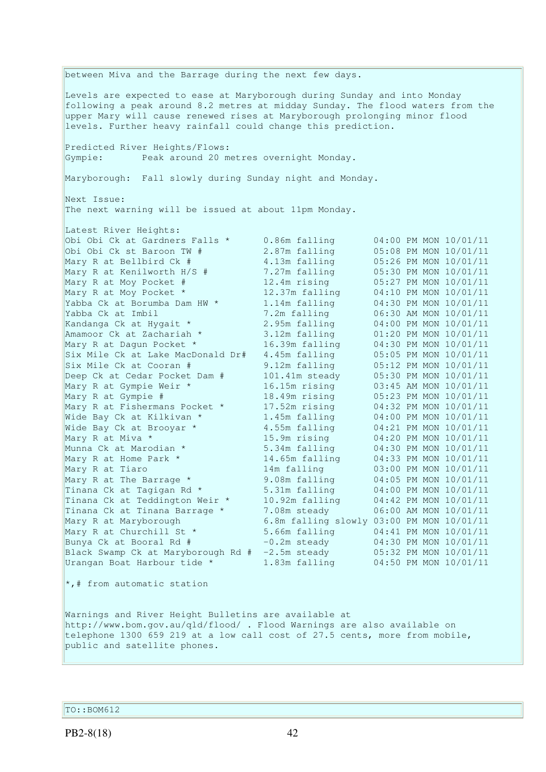between Miva and the Barrage during the next few days. Levels are expected to ease at Maryborough during Sunday and into Monday following a peak around 8.2 metres at midday Sunday. The flood waters from the upper Mary will cause renewed rises at Maryborough prolonging minor flood levels. Further heavy rainfall could change this prediction. Predicted River Heights/Flows: Gympie: Peak around 20 metres overnight Monday. Maryborough: Fall slowly during Sunday night and Monday. Next Issue: The next warning will be issued at about 11pm Monday. Latest River Heights: Obi Obi Ck at Gardners Falls \* 0.86m falling 04:00 PM MON 10/01/11 Obi Obi Ck st Baroon TW # 2.87m falling 05:08 PM MON 10/01/11 Mary R at Bellbird Ck # 4.13m falling 05:26 PM MON 10/01/11 Mary R at Kenilworth H/S # 7.27m falling 05:30 PM MON 10/01/11 Mary R at Moy Pocket # 12.4m rising 05:27 PM MON 10/01/11 Mary R at Moy Pocket \* 12.37m falling 04:10 PM MON 10/01/11 Yabba Ck at Borumba Dam HW \* 1.14m falling 04:30 PM MON 10/01/11 Yabba Ck at Imbil 7.2m falling 06:30 AM MON 10/01/11 Kandanga Ck at Hygait \* 2.95m falling 04:00 PM MON 10/01/11 Amamoor Ck at Zachariah \* 3.12m falling 01:20 PM MON 10/01/11 Mary R at Dagun Pocket \* 16.39m falling 04:30 PM MON 10/01/11 Six Mile Ck at Lake MacDonald Dr# 4.45m falling 05:05 PM MON 10/01/11 Six Mile Ck at Cooran # 9.12m falling 05:12 PM MON 10/01/11 Deep Ck at Cedar Pocket Dam # 101.41m steady 05:30 PM MON 10/01/11 Mary R at Gympie Weir \* 16.15m rising 03:45 AM MON 10/01/11 Mary R at Gympie # 18.49m rising 05:23 PM MON 10/01/11 Mary R at Fishermans Pocket \* 17.52m rising 04:32 PM MON 10/01/11 Wide Bay Ck at Kilkivan \* 1.45m falling 04:00 PM MON 10/01/11 Wide Bay Ck at Brooyar \* 4.55m falling 04:21 PM MON 10/01/11 Mary R at Miva \* 15.9m rising 04:20 PM MON 10/01/11 Munna Ck at Marodian \* 5.34m falling 04:30 PM MON 10/01/11 Mary R at Home Park \* 14.65m falling 04:33 PM MON 10/01/11 Mary R at Tiaro 14m falling 03:00 PM MON 10/01/11 Mary R at The Barrage \* 9.08m falling 04:05 PM MON 10/01/11 Tinana Ck at Tagigan Rd  $\star$  5.31m falling 04:00 PM MON 10/01/11 Tinana Ck at Teddington Weir \* 10.92m falling 04:42 PM MON 10/01/11 Tinana Ck at Tinana Barrage \* 7.08m steady 06:00 AM MON 10/01/11 Mary R at Maryborough 6.8m falling slowly 03:00 PM MON 10/01/11 Mary R at Churchill St \* 5.66m falling 04:41 PM MON 10/01/11 Bunya Ck at Booral Rd  $\#$   $-0.2$ m steady  $04:30$  PM MON  $10/01/11$ Black Swamp Ck at Maryborough Rd # -2.5m steady 05:32 PM MON 10/01/11 Urangan Boat Harbour tide \* 1.83m falling 04:50 PM MON 10/01/11 \*,# from automatic station Warnings and River Height Bulletins are available at http://www.bom.gov.au/qld/flood/ . Flood Warnings are also available on telephone 1300 659 219 at a low call cost of 27.5 cents, more from mobile, public and satellite phones.

TO::BOM612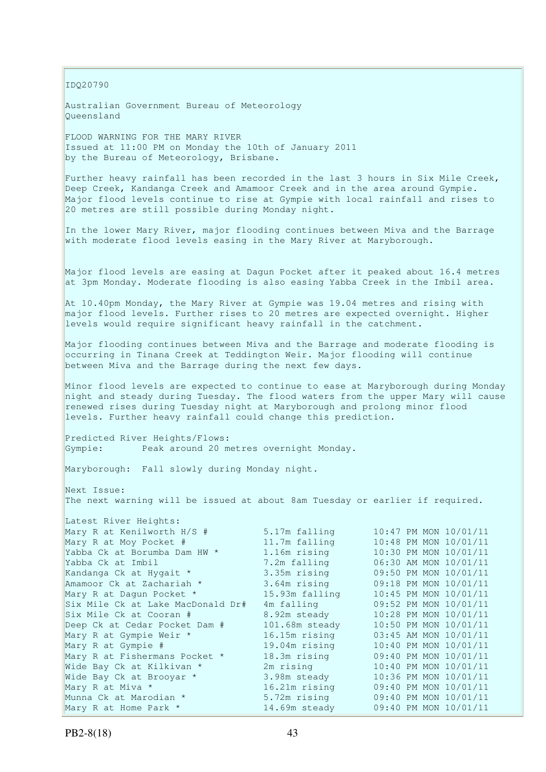IDQ20790

Australian Government Bureau of Meteorology Queensland

FLOOD WARNING FOR THE MARY RIVER Issued at 11:00 PM on Monday the 10th of January 2011 by the Bureau of Meteorology, Brisbane.

Further heavy rainfall has been recorded in the last 3 hours in Six Mile Creek, Deep Creek, Kandanga Creek and Amamoor Creek and in the area around Gympie. Major flood levels continue to rise at Gympie with local rainfall and rises to 20 metres are still possible during Monday night.

In the lower Mary River, major flooding continues between Miva and the Barrage with moderate flood levels easing in the Mary River at Maryborough.

Major flood levels are easing at Dagun Pocket after it peaked about 16.4 metres at 3pm Monday. Moderate flooding is also easing Yabba Creek in the Imbil area.

At 10.40pm Monday, the Mary River at Gympie was 19.04 metres and rising with major flood levels. Further rises to 20 metres are expected overnight. Higher levels would require significant heavy rainfall in the catchment.

Major flooding continues between Miva and the Barrage and moderate flooding is occurring in Tinana Creek at Teddington Weir. Major flooding will continue between Miva and the Barrage during the next few days.

Minor flood levels are expected to continue to ease at Maryborough during Monday night and steady during Tuesday. The flood waters from the upper Mary will cause renewed rises during Tuesday night at Maryborough and prolong minor flood levels. Further heavy rainfall could change this prediction.

Predicted River Heights/Flows: Gympie: Peak around 20 metres overnight Monday.

Maryborough: Fall slowly during Monday night.

Next Issue: The next warning will be issued at about 8am Tuesday or earlier if required.

| Latest River Heights:                    |                |  |                       |
|------------------------------------------|----------------|--|-----------------------|
| Mary R at Kenilworth H/S # 5.17m falling |                |  | 10:47 PM MON 10/01/11 |
| Mary R at Moy Pocket #                   | 11.7m falling  |  | 10:48 PM MON 10/01/11 |
| Yabba Ck at Borumba Dam HW *             | 1.16m rising   |  | 10:30 PM MON 10/01/11 |
| Yabba Ck at Imbil                        | 7.2m falling   |  | 06:30 AM MON 10/01/11 |
| Kandanga Ck at Hygait *                  | 3.35m rising   |  | 09:50 PM MON 10/01/11 |
| Amamoor Ck at Zachariah *                | 3.64m rising   |  | 09:18 PM MON 10/01/11 |
| Mary R at Dagun Pocket *                 | 15.93m falling |  | 10:45 PM MON 10/01/11 |
| Six Mile Ck at Lake MacDonald Dr#        | 4m falling     |  | 09:52 PM MON 10/01/11 |
| Six Mile Ck at Cooran #                  | 8.92m steady   |  | 10:28 PM MON 10/01/11 |
| Deep Ck at Cedar Pocket Dam #            | 101.68m steady |  | 10:50 PM MON 10/01/11 |
| Mary R at Gympie Weir *                  | 16.15m rising  |  | 03:45 AM MON 10/01/11 |
| Mary R at Gympie #                       | 19.04m rising  |  | 10:40 PM MON 10/01/11 |
| Mary R at Fishermans Pocket *            | 18.3m rising   |  | 09:40 PM MON 10/01/11 |
| Wide Bay Ck at Kilkivan *                | 2m rising      |  | 10:40 PM MON 10/01/11 |
| Wide Bay Ck at Brooyar *                 | 3.98m steady   |  | 10:36 PM MON 10/01/11 |
| <b>All College</b><br>Mary R at Miva *   | 16.21m rising  |  | 09:40 PM MON 10/01/11 |
| Munna Ck at Marodian *                   | 5.72m rising   |  | 09:40 PM MON 10/01/11 |
| Mary R at Home Park *                    | 14.69m steady  |  | 09:40 PM MON 10/01/11 |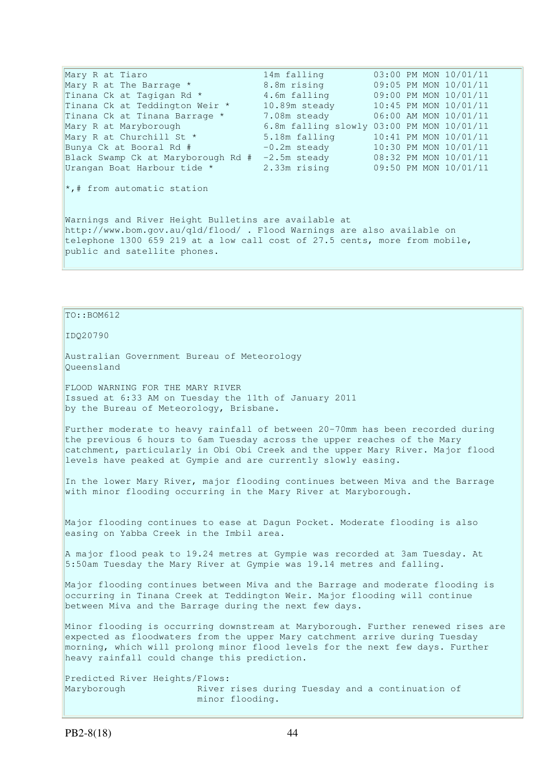Mary R at Tiaro 14m falling 03:00 PM MON 10/01/11 Mary R at The Barrage \* 8.8m rising 09:05 PM MON 10/01/11 Tinana Ck at Tagigan Rd \* 4.6m falling 09:00 PM MON 10/01/11 Tinana Ck at Teddington Weir \* 10.89m steady 10:45 PM MON 10/01/11 Tinana Ck at Tinana Barrage \* 7.08m steady 06:00 AM MON 10/01/11 Tinana Ck at Tinana Barrage \* 7.08m steady 06:00 AM MON 10/01/11<br>Mary R at Maryborough 6.8m falling slowly 03:00 PM MON 10/01/11 Mary R at Churchill St \* 5.18m falling  $10:41$  PM MON  $10/01/11$ <br>Bunva Ck at Booral Rd #  $-0.2$ m steady  $10:30$  PM MON  $10/01/11$ Bunya Ck at Booral Rd  $#$  -0.2m steady 10:30 PM MON 10/01/11<br>Black Swamp Ck at Maryborough Rd  $#$  -2.5m steady 10:30 PM MON 10/01/11 Black Swamp Ck at Maryborough Rd # -2.5m steady Urangan Boat Harbour tide \* 2.33m rising 09:50 PM MON 10/01/11 \*,# from automatic station Warnings and River Height Bulletins are available at http://www.bom.gov.au/qld/flood/ . Flood Warnings are also available on telephone 1300 659 219 at a low call cost of 27.5 cents, more from mobile, public and satellite phones.

## TO::BOM612

IDQ20790

Australian Government Bureau of Meteorology Queensland

FLOOD WARNING FOR THE MARY RIVER Issued at 6:33 AM on Tuesday the 11th of January 2011 by the Bureau of Meteorology, Brisbane.

Further moderate to heavy rainfall of between 20-70mm has been recorded during the previous 6 hours to 6am Tuesday across the upper reaches of the Mary catchment, particularly in Obi Obi Creek and the upper Mary River. Major flood levels have peaked at Gympie and are currently slowly easing.

In the lower Mary River, major flooding continues between Miva and the Barrage with minor flooding occurring in the Mary River at Maryborough.

Major flooding continues to ease at Dagun Pocket. Moderate flooding is also easing on Yabba Creek in the Imbil area.

A major flood peak to 19.24 metres at Gympie was recorded at 3am Tuesday. At 5:50am Tuesday the Mary River at Gympie was 19.14 metres and falling.

Major flooding continues between Miva and the Barrage and moderate flooding is occurring in Tinana Creek at Teddington Weir. Major flooding will continue between Miva and the Barrage during the next few days.

Minor flooding is occurring downstream at Maryborough. Further renewed rises are expected as floodwaters from the upper Mary catchment arrive during Tuesday morning, which will prolong minor flood levels for the next few days. Further heavy rainfall could change this prediction.

Predicted River Heights/Flows: Maryborough **River rises during Tuesday and a continuation of** minor flooding.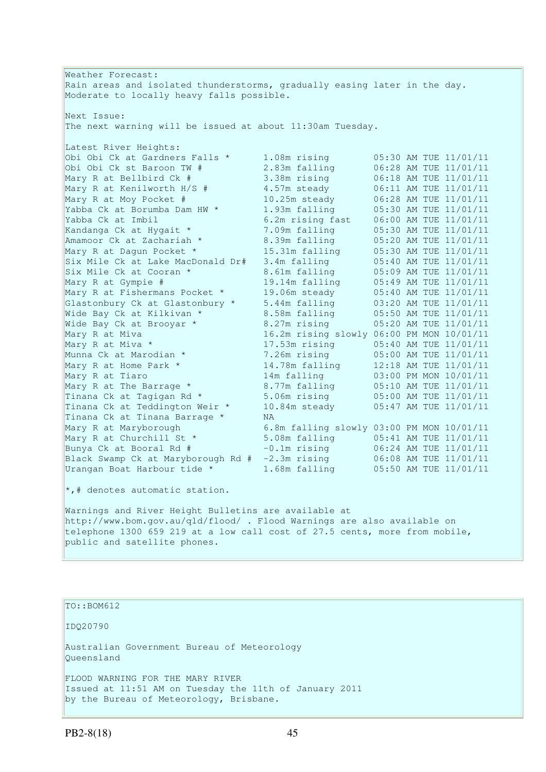Weather Forecast: Rain areas and isolated thunderstorms, gradually easing later in the day. Moderate to locally heavy falls possible. Next Issue: The next warning will be issued at about 11:30am Tuesday. Latest River Heights: Obi Obi Ck at Gardners Falls \* 1.08m rising 05:30 AM TUE 11/01/11 Obi Obi Ck st Baroon TW # 2.83m falling 06:28 AM TUE 11/01/11 Mary R at Bellbird Ck # 3.38m rising 06:18 AM TUE 11/01/11 Mary R at Kenilworth H/S # 4.57m steady 06:11 AM TUE 11/01/11 Mary R at Moy Pocket # 10.25m steady 06:28 AM TUE 11/01/11 Yabba Ck at Borumba Dam HW \* 1.93m falling 05:30 AM TUE 11/01/11 Yabba Ck at Imbil 6.2m rising fast 06:00 AM TUE 11/01/11 Kandanga Ck at Hygait \* 7.09m falling 05:30 AM TUE 11/01/11 Amamoor Ck at Zachariah \* 3.39m falling 05:20 AM TUE 11/01/11 Mary R at Dagun Pocket \* 15.31m falling 05:30 AM TUE 11/01/11 Six Mile Ck at Lake MacDonald Dr# 3.4m falling 05:40 AM TUE 11/01/11 Six Mile Ck at Cooran \* 3.61m falling 05:09 AM TUE 11/01/11 Mary R at Gympie # 19.14m falling 05:49 AM TUE 11/01/11 Mary R at Fishermans Pocket \* 19.06m steady 05:40 AM TUE 11/01/11 Glastonbury Ck at Glastonbury \* 5.44m falling 03:20 AM TUE 11/01/11 Wide Bay Ck at Kilkivan \* 8.58m falling 05:50 AM TUE 11/01/11 Wide Bay Ck at Brooyar \* 8.27m rising 05:20 AM TUE 11/01/11 Mary R at Miva 16.2m rising slowly 06:00 PM MON 10/01/11 Mary R at Miva \* 17.53m rising 05:40 AM TUE 11/01/11 Munna Ck at Marodian \* 7.26m rising 05:00 AM TUE 11/01/11 Mary R at Home Park \* 14.78m falling 12:18 AM TUE 11/01/11 Mary R at Tiaro 14m falling 03:00 PM MON 10/01/11 Mary R at The Barrage \* 8.77m falling 05:10 AM TUE 11/01/11 Tinana Ck at Tagigan Rd  $*$  5.06m rising  $05:00$  AM TUE 11/01/11 Tinana Ck at Teddington Weir \* 10.84m steady 05:47 AM TUE 11/01/11 Tinana Ck at Tinana Barrage \* NA Mary R at Maryborough 6.8m falling slowly 03:00 PM MON 10/01/11 Mary R at Churchill St \* 5.08m falling 05:41 AM TUE 11/01/11 Bunya Ck at Booral Rd # -0.1m rising 06:24 AM TUE 11/01/11 Black Swamp Ck at Maryborough Rd # -2.3m rising 06:08 AM TUE 11/01/11 Urangan Boat Harbour tide \* 1.68m falling 05:50 AM TUE 11/01/11  $\star$ ,# denotes automatic station.

Warnings and River Height Bulletins are available at http://www.bom.gov.au/qld/flood/ . Flood Warnings are also available on telephone 1300 659 219 at a low call cost of 27.5 cents, more from mobile, public and satellite phones.

TO::BOM612

IDQ20790

Australian Government Bureau of Meteorology Queensland

FLOOD WARNING FOR THE MARY RIVER Issued at 11:51 AM on Tuesday the 11th of January 2011 by the Bureau of Meteorology, Brisbane.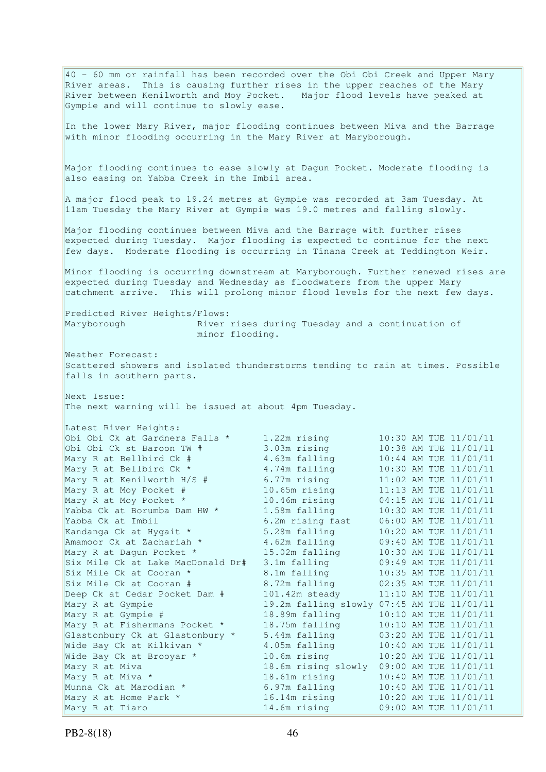40 - 60 mm or rainfall has been recorded over the Obi Obi Creek and Upper Mary River areas. This is causing further rises in the upper reaches of the Mary River between Kenilworth and Moy Pocket. Major flood levels have peaked at Gympie and will continue to slowly ease. In the lower Mary River, major flooding continues between Miva and the Barrage with minor flooding occurring in the Mary River at Maryborough. Major flooding continues to ease slowly at Dagun Pocket. Moderate flooding is also easing on Yabba Creek in the Imbil area. A major flood peak to 19.24 metres at Gympie was recorded at 3am Tuesday. At 11am Tuesday the Mary River at Gympie was 19.0 metres and falling slowly. Major flooding continues between Miva and the Barrage with further rises expected during Tuesday. Major flooding is expected to continue for the next few days. Moderate flooding is occurring in Tinana Creek at Teddington Weir. Minor flooding is occurring downstream at Maryborough. Further renewed rises are expected during Tuesday and Wednesday as floodwaters from the upper Mary catchment arrive. This will prolong minor flood levels for the next few days. Predicted River Heights/Flows: Maryborough **River rises during Tuesday and a continuation of**  minor flooding. Weather Forecast: Scattered showers and isolated thunderstorms tending to rain at times. Possible falls in southern parts. Next Issue: The next warning will be issued at about 4pm Tuesday. Latest River Heights: Obi Obi Ck at Gardners Falls \* 1.22m rising 10:30 AM TUE 11/01/11 Obi Obi Ck st Baroon TW # 3.03m rising 10:38 AM TUE 11/01/11 Mary R at Bellbird Ck # 4.63m falling 10:44 AM TUE 11/01/11 Mary R at Bellbird Ck \* 4.74m falling 10:30 AM TUE 11/01/11 Mary R at Kenilworth H/S  $\#$  6.77m rising 11:02 AM TUE 11/01/11 Mary R at Moy Pocket # 10.65m rising 11:13 AM TUE 11/01/11 Mary R at Moy Pocket \* 10.46m rising 04:15 AM TUE 11/01/11 Yabba Ck at Borumba Dam HW  $*$  1.58m falling 10:30 AM TUE 11/01/11 Yabba Ck at Imbil 6.2m rising fast 06:00 AM TUE 11/01/11 Kandanga Ck at Hygait \* 5.28m falling 10:20 AM TUE 11/01/11 Amamoor Ck at Zachariah \* 4.62m falling 09:40 AM TUE 11/01/11 Mary R at Dagun Pocket \* 15.02m falling 10:30 AM TUE 11/01/11 Six Mile Ck at Lake MacDonald Dr# 3.1m falling 09:49 AM TUE 11/01/11 Six Mile Ck at Cooran \* 3.1m falling 10:35 AM TUE 11/01/11 Six Mile Ck at Cooran # 8.72m falling 02:35 AM TUE 11/01/11 Deep Ck at Cedar Pocket Dam # 101.42m steady 11:10 AM TUE 11/01/11 Mary R at Gympie 19.2m falling slowly 07:45 AM TUE 11/01/11 Mary R at Gympie # 18.89m falling 10:10 AM TUE 11/01/11 Mary R at Fishermans Pocket \* 18.75m falling 10:10 AM TUE 11/01/11 Glastonbury Ck at Glastonbury \* 5.44m falling 03:20 AM TUE 11/01/11 Wide Bay Ck at Kilkivan \* 4.05m falling 10:40 AM TUE 11/01/11 Wide Bay Ck at Brooyar \* 10.6m rising 10:20 AM TUE 11/01/11 Mary R at Miva 18.6m rising slowly 09:00 AM TUE 11/01/11 Mary R at Miva \* 18.61m rising 10:40 AM TUE 11/01/11 Munna Ck at Marodian  $\star$  6.97m falling 10:40 AM TUE 11/01/11 Mary R at Home Park \* 16.14m rising 10:20 AM TUE 11/01/11 Mary R at Tiaro 14.6m rising 09:00 AM TUE 11/01/11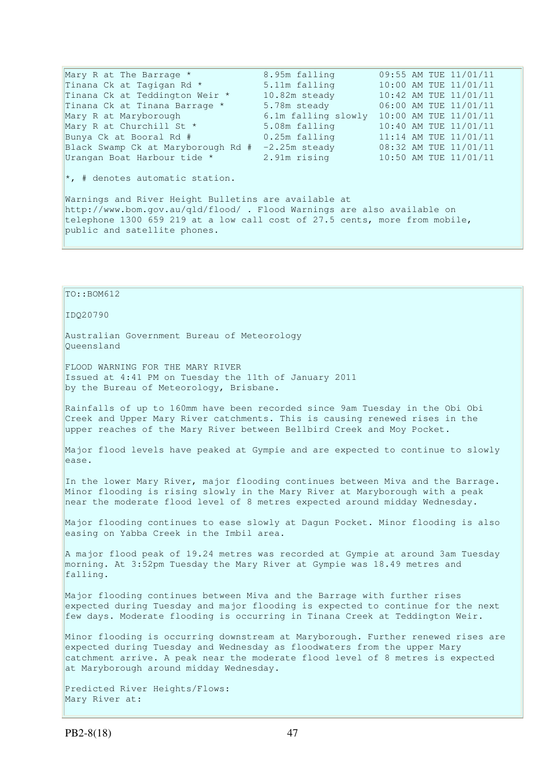| Mary R at The Barrage *                | 8.95m falling       |  | 09:55 AM TUE 11/01/11 |
|----------------------------------------|---------------------|--|-----------------------|
| Tinana Ck at Tagigan Rd *              | 5.11m falling       |  | 10:00 AM TUE 11/01/11 |
| Tinana Ck at Teddington Weir *         | 10.82m steady       |  | 10:42 AM TUE 11/01/11 |
| Tinana Ck at Tinana Barrage *          | 5.78m steady        |  | 06:00 AM TUE 11/01/11 |
| Mary R at Maryborough                  | 6.1m falling slowly |  | 10:00 AM TUE 11/01/11 |
| Mary R at Churchill St *               | 5.08m falling       |  | 10:40 AM TUE 11/01/11 |
| Bunya Ck at Booral Rd #                | 0.25m falling       |  | 11:14 AM TUE 11/01/11 |
| Black Swamp Ck at Maryborough Rd #     | $-2.25m$ steady     |  | 08:32 AM TUE 11/01/11 |
| Urangan Boat Harbour tide *            | 2.91m rising        |  | 10:50 AM TUE 11/01/11 |
| $\star$ , # denotes automatic station. |                     |  |                       |

Warnings and River Height Bulletins are available at http://www.bom.gov.au/qld/flood/ . Flood Warnings are also available on telephone 1300 659 219 at a low call cost of 27.5 cents, more from mobile, public and satellite phones.

TO::BOM612

IDQ20790

Australian Government Bureau of Meteorology Queensland

FLOOD WARNING FOR THE MARY RIVER Issued at 4:41 PM on Tuesday the 11th of January 2011 by the Bureau of Meteorology, Brisbane.

Rainfalls of up to 160mm have been recorded since 9am Tuesday in the Obi Obi Creek and Upper Mary River catchments. This is causing renewed rises in the upper reaches of the Mary River between Bellbird Creek and Moy Pocket.

Major flood levels have peaked at Gympie and are expected to continue to slowly ease.

In the lower Mary River, major flooding continues between Miva and the Barrage. Minor flooding is rising slowly in the Mary River at Maryborough with a peak near the moderate flood level of 8 metres expected around midday Wednesday.

Major flooding continues to ease slowly at Dagun Pocket. Minor flooding is also easing on Yabba Creek in the Imbil area.

A major flood peak of 19.24 metres was recorded at Gympie at around 3am Tuesday morning. At 3:52pm Tuesday the Mary River at Gympie was 18.49 metres and falling.

Major flooding continues between Miva and the Barrage with further rises expected during Tuesday and major flooding is expected to continue for the next few days. Moderate flooding is occurring in Tinana Creek at Teddington Weir.

Minor flooding is occurring downstream at Maryborough. Further renewed rises are expected during Tuesday and Wednesday as floodwaters from the upper Mary catchment arrive. A peak near the moderate flood level of 8 metres is expected at Maryborough around midday Wednesday.

Predicted River Heights/Flows: Mary River at: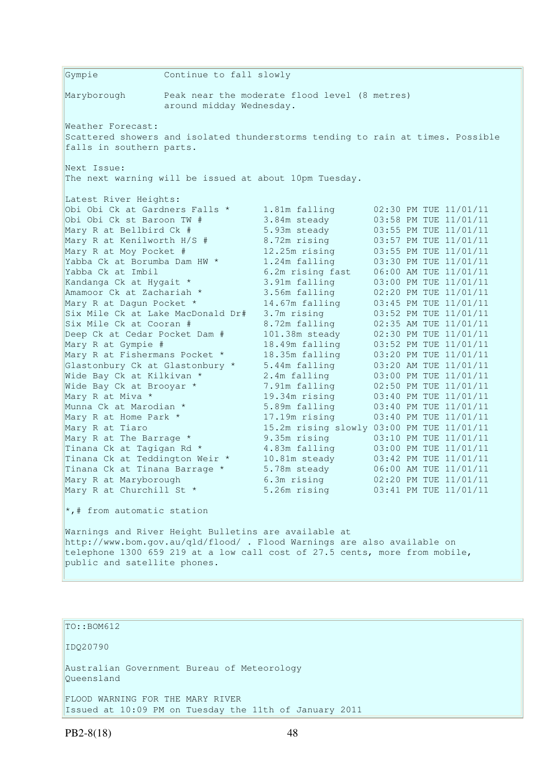Gympie Continue to fall slowly Maryborough Peak near the moderate flood level (8 metres) around midday Wednesday. Weather Forecast: Scattered showers and isolated thunderstorms tending to rain at times. Possible falls in southern parts. Next Issue: The next warning will be issued at about 10pm Tuesday. Latest River Heights: Obi Obi Ck at Gardners Falls \* 1.81m falling 02:30 PM TUE 11/01/11 Obi Obi Ck st Baroon TW # 3.84m steady 03:58 PM TUE 11/01/11 Mary R at Bellbird Ck # 5.93m steady 03:55 PM TUE 11/01/11 Mary R at Kenilworth H/S # 8.72m rising 03:57 PM TUE 11/01/11 Mary R at Moy Pocket # 12.25m rising 03:55 PM TUE 11/01/11 Yabba Ck at Borumba Dam HW  $\star$  1.24m falling 03:30 PM TUE 11/01/11 Yabba Ck at Imbil 6.2m rising fast 06:00 AM TUE 11/01/11 Kandanga Ck at Hygait \* 3.91m falling 03:00 PM TUE 11/01/11 Amamoor Ck at Zachariah \* 3.56m falling 02:20 PM TUE 11/01/11 Mary R at Dagun Pocket \* 14.67m falling 03:45 PM TUE 11/01/11 Six Mile Ck at Lake MacDonald Dr# 3.7m rising 03:52 PM TUE 11/01/11 Six Mile Ck at Cooran # 8.72m falling 02:35 AM TUE 11/01/11 Deep Ck at Cedar Pocket Dam # 101.38m steady 02:30 PM TUE 11/01/11 Mary R at Gympie # 18.49m falling 03:52 PM TUE 11/01/11 Mary R at Fishermans Pocket \* 18.35m falling 03:20 PM TUE 11/01/11 Glastonbury Ck at Glastonbury \* 5.44m falling 03:20 AM TUE 11/01/11 Wide Bay Ck at Kilkivan \* 2.4m falling 03:00 PM TUE 11/01/11 Wide Bay Ck at Brooyar \* 7.91m falling 02:50 PM TUE 11/01/11 Mary R at Miva \* 19.34m rising 03:40 PM TUE 11/01/11 Munna Ck at Marodian \* 5.89m falling 03:40 PM TUE 11/01/11 Munna Ck at Marodian \* 5.89m falling 03:40 PM TUE 11/01/11<br>Mary R at Home Park \* 17.19m rising 03:40 PM TUE 11/01/11 Mary R at Tiaro 15.2m rising slowly 03:00 PM TUE 11/01/11 Mary R at The Barrage \* 9.35m rising 03:10 PM TUE 11/01/11 Tinana Ck at Tagigan Rd  $\star$  4.83m falling 03:00 PM TUE 11/01/11 Tinana Ck at Teddington Weir \* 10.81m steady 03:42 PM TUE 11/01/11 Tinana Ck at Tinana Barrage \* 5.78m steady 06:00 AM TUE 11/01/11 Mary R at Maryborough 6.3m rising 02:20 PM TUE 11/01/11 Mary R at Churchill St \* 5.26m rising 03:41 PM TUE 11/01/11  $\star$ ,# from automatic station Warnings and River Height Bulletins are available at http://www.bom.gov.au/qld/flood/ . Flood Warnings are also available on telephone 1300 659 219 at a low call cost of 27.5 cents, more from mobile, public and satellite phones.

## TO::BOM612

IDQ20790

Australian Government Bureau of Meteorology Queensland

FLOOD WARNING FOR THE MARY RIVER Issued at 10:09 PM on Tuesday the 11th of January 2011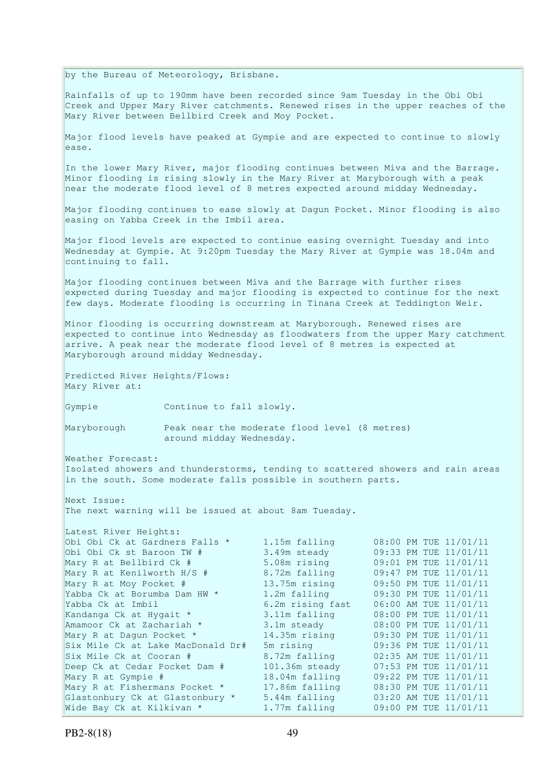by the Bureau of Meteorology, Brisbane.

Rainfalls of up to 190mm have been recorded since 9am Tuesday in the Obi Obi Creek and Upper Mary River catchments. Renewed rises in the upper reaches of the Mary River between Bellbird Creek and Moy Pocket.

Major flood levels have peaked at Gympie and are expected to continue to slowly ease.

In the lower Mary River, major flooding continues between Miva and the Barrage. Minor flooding is rising slowly in the Mary River at Maryborough with a peak near the moderate flood level of 8 metres expected around midday Wednesday.

Major flooding continues to ease slowly at Dagun Pocket. Minor flooding is also easing on Yabba Creek in the Imbil area.

Major flood levels are expected to continue easing overnight Tuesday and into Wednesday at Gympie. At 9:20pm Tuesday the Mary River at Gympie was 18.04m and continuing to fall.

Major flooding continues between Miva and the Barrage with further rises expected during Tuesday and major flooding is expected to continue for the next few days. Moderate flooding is occurring in Tinana Creek at Teddington Weir.

Minor flooding is occurring downstream at Maryborough. Renewed rises are expected to continue into Wednesday as floodwaters from the upper Mary catchment arrive. A peak near the moderate flood level of 8 metres is expected at Maryborough around midday Wednesday.

Predicted River Heights/Flows: Mary River at:

Gympie Continue to fall slowly.

Maryborough Peak near the moderate flood level (8 metres) around midday Wednesday.

Weather Forecast: Isolated showers and thunderstorms, tending to scattered showers and rain areas in the south. Some moderate falls possible in southern parts.

Next Issue: The next warning will be issued at about 8am Tuesday.

| Latest River Heights:             |                  |  |                       |
|-----------------------------------|------------------|--|-----------------------|
| Obi Obi Ck at Gardners Falls *    | 1.15m falling    |  | 08:00 PM TUE 11/01/11 |
| Obi Obi Ck st Baroon TW #         | 3.49m steady     |  | 09:33 PM TUE 11/01/11 |
| Mary R at Bellbird Ck #           | 5.08m rising     |  | 09:01 PM TUE 11/01/11 |
| Mary R at Kenilworth H/S #        | 8.72m falling    |  | 09:47 PM TUE 11/01/11 |
| Mary R at Moy Pocket #            | 13.75m rising    |  | 09:50 PM TUE 11/01/11 |
| Yabba Ck at Borumba Dam HW *      | 1.2m falling     |  | 09:30 PM TUE 11/01/11 |
| Yabba Ck at Imbil                 | 6.2m rising fast |  | 06:00 AM TUE 11/01/11 |
| Kandanga Ck at Hygait *           | 3.11m falling    |  | 08:00 PM TUE 11/01/11 |
| Amamoor Ck at Zachariah *         | 3.1m steady      |  | 08:00 PM TUE 11/01/11 |
| Mary R at Dagun Pocket *          | 14.35m rising    |  | 09:30 PM TUE 11/01/11 |
| Six Mile Ck at Lake MacDonald Dr# | 5m rising        |  | 09:36 PM TUE 11/01/11 |
| Six Mile Ck at Cooran #           | 8.72m falling    |  | 02:35 AM TUE 11/01/11 |
| Deep Ck at Cedar Pocket Dam #     | 101.36m steady   |  | 07:53 PM TUE 11/01/11 |
| Mary R at Gympie #                | 18.04m falling   |  | 09:22 PM TUE 11/01/11 |
| Mary R at Fishermans Pocket *     | 17.86m falling   |  | 08:30 PM TUE 11/01/11 |
| Glastonbury Ck at Glastonbury *   | 5.44m falling    |  | 03:20 AM TUE 11/01/11 |
| Wide Bay Ck at Kilkivan *         | 1.77m falling    |  | 09:00 PM TUE 11/01/11 |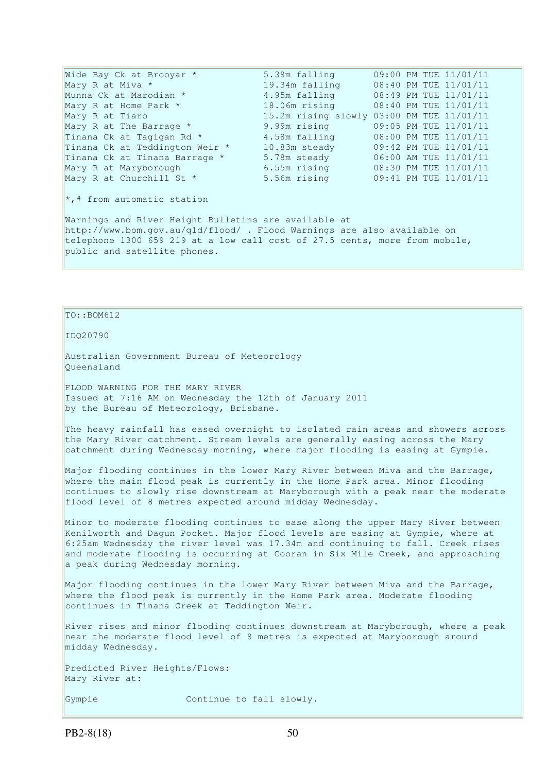Wide Bay Ck at Brooyar \* 5.38m falling 09:00 PM TUE 11/01/11 Mary R at Miva \* 19.34m falling 08:40 PM TUE 11/01/11 Munna Ck at Marodian \* 4.95m falling<br>Mary R at Home Park \* 18.06m rising 08:49 PM TUE 11/01/11 1.55 1.151111119 08:45 111 102 11/01/11<br>18.06 nrising 08:40 PM TUE 11/01/11 Mary R at Tiaro 15.2m rising slowly 03:00 PM TUE 11/01/11<br>Mary R at The Barrage \* 9.99m rising 09:05 PM TUE 11/01/11 Mary R at The Barrage \* 9.99m rising 09:05 PM TUE 11/01/11 Tinana Ck at Tagigan Rd  $\star$  4.58m falling 08:00 PM TUE 11/01/11 Tinana Ck at Teddington Weir \* 10.83m steady 09:42 PM TUE 11/01/11 Tinana Ck at Tinana Barrage \* 5.78m steady 06:00 AM TUE 11/01/11 Mary R at Maryborough 6.55m rising 08:30 PM TUE 11/01/11 Mary R at The Barrage \* 9.99m rising STOWIY 05:00 FM TOE 11/01/11<br>
Tinana Ck at Tagigan Rd \* 4.58m falling 08:00 PM TUE 11/01/11<br>
Tinana Ck at Teddington Weir \* 10.83m steady 09:42 PM TUE 11/01/11<br>
Tinana Ck at Tinana Barr \*,# from automatic station Warnings and River Height Bulletins are available at http://www.bom.gov.au/qld/flood/ . Flood Warnings are also available on telephone 1300 659 219 at a low call cost of 27.5 cents, more from mobile, public and satellite phones.

## $To::BOM612$

IDQ20790

Australian Government Bureau of Meteorology Queensland

FLOOD WARNING FOR THE MARY RIVER Issued at 7:16 AM on Wednesday the 12th of January 2011 by the Bureau of Meteorology, Brisbane.

The heavy rainfall has eased overnight to isolated rain areas and showers across the Mary River catchment. Stream levels are generally easing across the Mary catchment during Wednesday morning, where major flooding is easing at Gympie.

Major flooding continues in the lower Mary River between Miva and the Barrage, where the main flood peak is currently in the Home Park area. Minor flooding continues to slowly rise downstream at Maryborough with a peak near the moderate flood level of 8 metres expected around midday Wednesday.

Minor to moderate flooding continues to ease along the upper Mary River between Kenilworth and Dagun Pocket. Major flood levels are easing at Gympie, where at 6:25am Wednesday the river level was 17.34m and continuing to fall. Creek rises and moderate flooding is occurring at Cooran in Six Mile Creek, and approaching a peak during Wednesday morning.

Major flooding continues in the lower Mary River between Miva and the Barrage, where the flood peak is currently in the Home Park area. Moderate flooding continues in Tinana Creek at Teddington Weir.

River rises and minor flooding continues downstream at Maryborough, where a peak near the moderate flood level of 8 metres is expected at Maryborough around midday Wednesday.

Predicted River Heights/Flows: Mary River at:

Gympie Continue to fall slowly.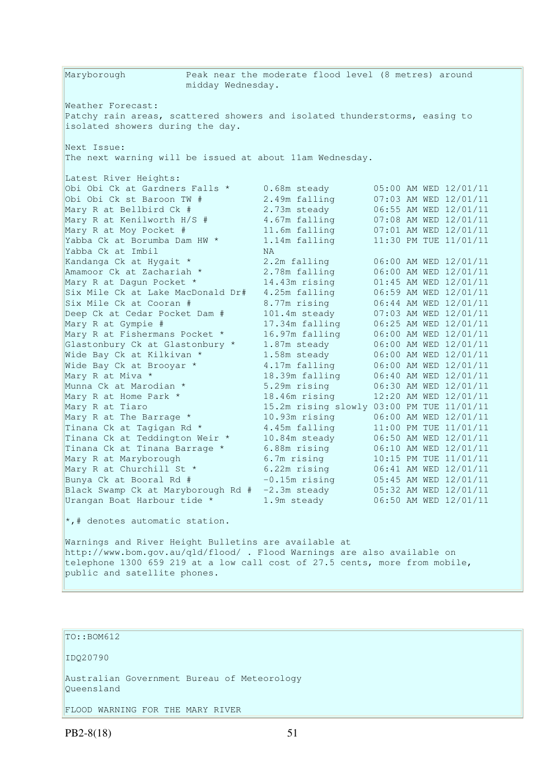Maryborough Peak near the moderate flood level (8 metres) around midday Wednesday. Weather Forecast: Patchy rain areas, scattered showers and isolated thunderstorms, easing to isolated showers during the day. Next Issue: The next warning will be issued at about 11am Wednesday. Latest River Heights: Obi Obi Ck at Gardners Falls \* 0.68m steady<br>
Obi Obi Ck st Baroon TW # 2.49m falling Obi Obi Ck st Baroon TW # Obi Obi Ck at Gardners Falls \* 0.68m steady 05:00 AM WED 12/01/11<br>
Obi Obi Ck st Baroon TW # 2.49m falling 07:03 AM WED 12/01/11<br>
Mary R at Bellbird Ck # 2.73m steady 06:55 AM WED 12/01/11<br>
Mary R at Kenilworth H/S # 4.67m Mary R at Kenilworth H/S # 4.67m falling 07:08 AM WED 12/01/11 Mary R at Moy Pocket # 11.6m falling 07:01 AM WED 12/01/11 Yabba Ck at Borumba Dam HW  $\star$  1.14m falling 11:30 PM TUE 11/01/11 Yabba Ck at Imbil NA Kandanga Ck at Hygait \* 2.2m falling 06:00 AM WED 12/01/11 Amamoor Ck at Zachariah \* 2.78m falling 06:00 AM WED 12/01/11 Mary R at Dagun Pocket \* 14.43m rising 01:45 AM WED 12/01/11 Six Mile Ck at Lake MacDonald Dr# 4.25m falling 06:59 AM WED 12/01/11 Six Mile Ck at Cooran # 8.77m rising 06:44 AM WED 12/01/11 Deep Ck at Cedar Pocket Dam # 101.4m steady 07:03 AM WED 12/01/11 Mary R at Gympie # 17.34m falling 06:25 AM WED 12/01/11 Mary R at Fishermans Pocket \* 16.97m falling 06:00 AM WED 12/01/11 Glastonbury Ck at Glastonbury \* 1.87m steady 06:00 AM WED 12/01/11 Wide Bay Ck at Kilkivan  $\star$  1.58m steady 06:00 AM WED 12/01/11 Wide Bay Ck at Brooyar  $*$  4.17m falling 06:00 AM WED 12/01/11 Mary R at Miva \* 18.39m falling 06:40 AM WED 12/01/11 Munna Ck at Marodian \* 5.29m rising 06:30 AM WED 12/01/11 Munna Ck at Marodian \* 18.29m rising 12:20 AM WED 12/01/11<br>
Mary R at Home Park \* 18.46m rising 12:20 AM WED 12/01/11<br>
Mary R at Tiaro 15.2m rising slowly 03:00 PM TUE 11/01/11 Mary R at Tiaro 15.2m rising slowly 03:00 PM TUE 11/01/11 Mary R at The Barrage \* 10.93m rising 06:00 AM WED 12/01/11 Tinana Ck at Tagigan Rd  $\star$  4.45m falling 11:00 PM TUE 11/01/11 Tinana Ck at Teddington Weir \* 10.84m steady 06:50 AM WED 12/01/11 Tinana Ck at Tinana Barrage \* 6.88m rising 06:10 AM WED 12/01/11 Mary R at Maryborough 6.7m rising 10:15 PM TUE 11/01/11 Mary R at Churchill St \* 6.22m rising 06:41 AM WED 12/01/11 Bunya Ck at Booral Rd # -0.15m rising 05:45 AM WED 12/01/11 Black Swamp Ck at Maryborough Rd # -2.3m steady 05:32 AM WED 12/01/11 Urangan Boat Harbour tide \* 1.9m steady 06:50 AM WED 12/01/11  $\star$ ,# denotes automatic station.

Warnings and River Height Bulletins are available at http://www.bom.gov.au/qld/flood/ . Flood Warnings are also available on telephone 1300 659 219 at a low call cost of 27.5 cents, more from mobile, public and satellite phones.

TO::BOM612

IDQ20790

Australian Government Bureau of Meteorology Queensland

FLOOD WARNING FOR THE MARY RIVER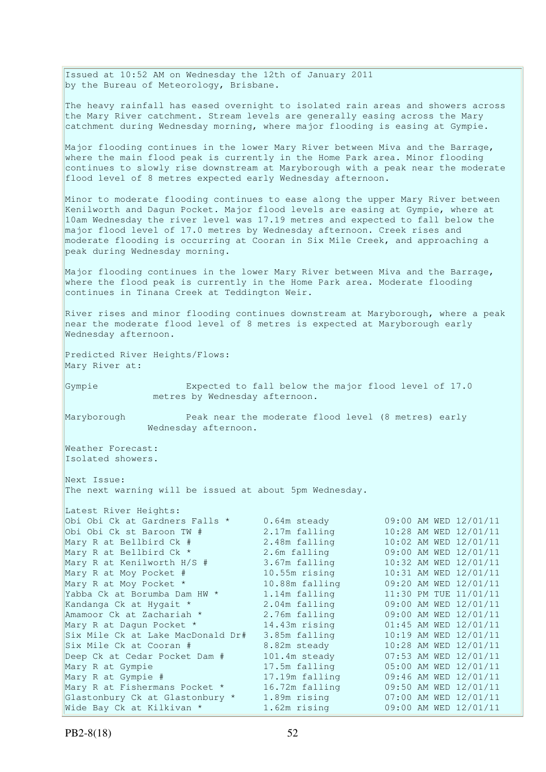Issued at 10:52 AM on Wednesday the 12th of January 2011 by the Bureau of Meteorology, Brisbane.

The heavy rainfall has eased overnight to isolated rain areas and showers across the Mary River catchment. Stream levels are generally easing across the Mary catchment during Wednesday morning, where major flooding is easing at Gympie.

Major flooding continues in the lower Mary River between Miva and the Barrage, where the main flood peak is currently in the Home Park area. Minor flooding continues to slowly rise downstream at Maryborough with a peak near the moderate flood level of 8 metres expected early Wednesday afternoon.

Minor to moderate flooding continues to ease along the upper Mary River between Kenilworth and Dagun Pocket. Major flood levels are easing at Gympie, where at 10am Wednesday the river level was 17.19 metres and expected to fall below the major flood level of 17.0 metres by Wednesday afternoon. Creek rises and moderate flooding is occurring at Cooran in Six Mile Creek, and approaching a peak during Wednesday morning.

Major flooding continues in the lower Mary River between Miva and the Barrage, where the flood peak is currently in the Home Park area. Moderate flooding continues in Tinana Creek at Teddington Weir.

River rises and minor flooding continues downstream at Maryborough, where a peak near the moderate flood level of 8 metres is expected at Maryborough early Wednesday afternoon.

Predicted River Heights/Flows: Mary River at:

Gympie Expected to fall below the major flood level of 17.0 metres by Wednesday afternoon.

Maryborough Peak near the moderate flood level (8 metres) early Wednesday afternoon.

Weather Forecast: Isolated showers.

Next Issue: The next warning will be issued at about 5pm Wednesday.

| Latest River Heights:             |                 |                       |
|-----------------------------------|-----------------|-----------------------|
| Obi Obi Ck at Gardners Falls *    | 0.64m steady    | 09:00 AM WED 12/01/11 |
| Obi Obi Ck st Baroon TW #         | 2.17m falling   | 10:28 AM WED 12/01/11 |
| Mary R at Bellbird Ck #           | 2.48m falling   | 10:02 AM WED 12/01/11 |
| Mary R at Bellbird Ck *           | 2.6m falling    | 09:00 AM WED 12/01/11 |
| Mary R at Kenilworth $H/S$ #      | 3.67m falling   | 10:32 AM WED 12/01/11 |
| Mary R at Moy Pocket #            | $10.55m$ rising | 10:31 AM WED 12/01/11 |
| Mary R at Moy Pocket *            | 10.88m falling  | 09:20 AM WED 12/01/11 |
| Yabba Ck at Borumba Dam HW *      | 1.14m falling   | 11:30 PM TUE 11/01/11 |
| Kandanga Ck at Hygait *           | 2.04m falling   | 09:00 AM WED 12/01/11 |
| Amamoor Ck at Zachariah *         | 2.76m falling   | 09:00 AM WED 12/01/11 |
| Mary R at Dagun Pocket *          | 14.43m rising   | 01:45 AM WED 12/01/11 |
| Six Mile Ck at Lake MacDonald Dr# | 3.85m falling   | 10:19 AM WED 12/01/11 |
| Six Mile Ck at Cooran #           | 8.82m steady    | 10:28 AM WED 12/01/11 |
| Deep Ck at Cedar Pocket Dam #     | 101.4m steady   | 07:53 AM WED 12/01/11 |
| Mary R at Gympie                  | 17.5m falling   | 05:00 AM WED 12/01/11 |
| Mary R at Gympie #                | 17.19m falling  | 09:46 AM WED 12/01/11 |
| Mary R at Fishermans Pocket *     | 16.72m falling  | 09:50 AM WED 12/01/11 |
| Glastonbury Ck at Glastonbury *   | 1.89m rising    | 07:00 AM WED 12/01/11 |
| Wide Bay Ck at Kilkivan *         | 1.62m rising    | 09:00 AM WED 12/01/11 |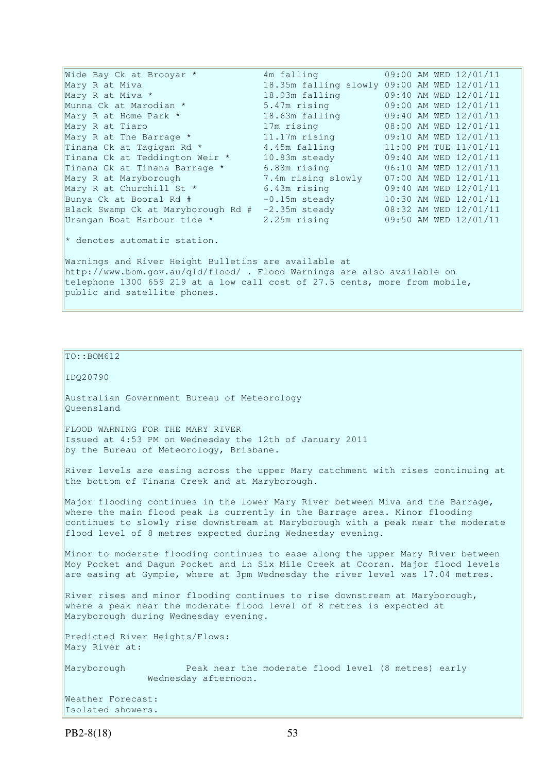Wide Bay Ck at Brooyar \* 4m falling 09:00 AM WED 12/01/11 Mary R at Miva<br>
Mary R at Miva \* 18.35m falling slowly 09:00 AM WED 12/01/11<br>
18.03m falling 09:40 AM WED 12/01/11 Mary R at Miva \* 18.03m falling 09:40 AM WED 12/01/11 Munna Ck at Marodian \* 5.47m rising 09:00 AM WED 12/01/11 Mary R at Home Park \* 18.63m falling 09:40 AM WED 12/01/11 Mary R at Tiaro 17m rising 08:00 AM WED 12/01/11 Mary R at The Barrage \* 11.17m rising 09:10 AM WED 12/01/11 Tinana Ck at Tagigan Rd  $*$  4.45m falling 11:00 PM TUE 11/01/11 Tinana Ck at Teddington Weir \* 10.83m steady 09:40 AM WED 12/01/11 Tinana Ck at Tinana Barrage \* 6.88m rising 06:10 AM WED 12/01/11 Mary R at Maryborough 7.4m rising slowly 07:00 AM WED 12/01/11 Mary R at Churchill St \* 6.43m rising 09:40 AM WED 12/01/11 Bunya Ck at Booral Rd # -0.15m steady 10:30 AM WED 12/01/11 Black Swamp Ck at Maryborough Rd # -2.35m steady 08:32 AM WED 12/01/11 Urangan Boat Harbour tide \* 2.25m rising 09:50 AM WED 12/01/11 \* denotes automatic station.

Warnings and River Height Bulletins are available at http://www.bom.gov.au/qld/flood/ . Flood Warnings are also available on telephone 1300 659 219 at a low call cost of 27.5 cents, more from mobile, public and satellite phones.

TO::BOM612

IDQ20790

Australian Government Bureau of Meteorology Queensland

FLOOD WARNING FOR THE MARY RIVER Issued at 4:53 PM on Wednesday the 12th of January 2011 by the Bureau of Meteorology, Brisbane.

River levels are easing across the upper Mary catchment with rises continuing at the bottom of Tinana Creek and at Maryborough.

Major flooding continues in the lower Mary River between Miva and the Barrage, where the main flood peak is currently in the Barrage area. Minor flooding continues to slowly rise downstream at Maryborough with a peak near the moderate flood level of 8 metres expected during Wednesday evening.

Minor to moderate flooding continues to ease along the upper Mary River between Moy Pocket and Dagun Pocket and in Six Mile Creek at Cooran. Major flood levels are easing at Gympie, where at 3pm Wednesday the river level was 17.04 metres.

River rises and minor flooding continues to rise downstream at Maryborough, where a peak near the moderate flood level of 8 metres is expected at Maryborough during Wednesday evening.

Predicted River Heights/Flows: Mary River at:

Maryborough Peak near the moderate flood level (8 metres) early Wednesday afternoon.

```
Weather Forecast: 
Isolated showers.
```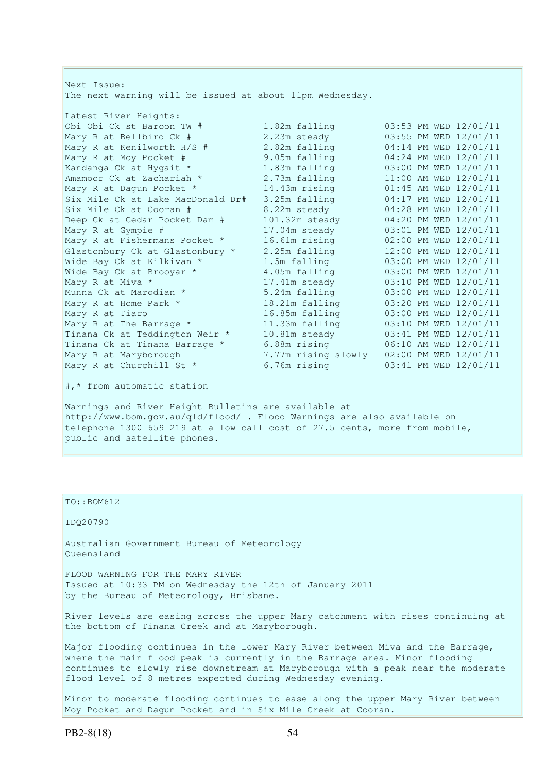Next Issue: The next warning will be issued at about 11pm Wednesday. Latest River Heights: Obi Obi Ck st Baroon TW # 1.82m falling 03:53 PM WED 12/01/11 Mary R at Bellbird Ck # 2.23m steady 03:55 PM WED 12/01/11 Mary R at Kenilworth H/S # 2.82m falling 04:14 PM WED 12/01/11 Mary R at Moy Pocket # 9.05m falling 04:24 PM WED 12/01/11 Kandanga Ck at Hygait \* 1.83m falling 03:00 PM WED 12/01/11 Amamoor Ck at Zachariah  $\star$  2.73m falling 11:00 AM WED 12/01/11 Mary R at Dagun Pocket \* 14.43m rising 01:45 AM WED 12/01/11 Six Mile Ck at Lake MacDonald Dr# 3.25m falling 04:17 PM WED 12/01/11 Six Mile Ck at Cooran # 8.22m steady 04:28 PM WED 12/01/11 Deep Ck at Cedar Pocket Dam # 101.32m steady 04:20 PM WED 12/01/11 Mary R at Gympie # 17.04m steady 03:01 PM WED 12/01/11 Mary R at Fishermans Pocket \* 16.61m rising 02:00 PM WED 12/01/11 Glastonbury Ck at Glastonbury \* 2.25m falling 12:00 PM WED 12/01/11 Wide Bay Ck at Kilkivan \* 1.5m falling 03:00 PM WED 12/01/11 Wide Bay Ck at Brooyar \* 4.05m falling 03:00 PM WED 12/01/11 Mary R at Miva \* 17.41m steady 03:10 PM WED 12/01/11 Munna Ck at Marodian \* 5.24m falling 03:00 PM WED 12/01/11 Mary R at Home Park \* 18.21m falling 03:20 PM WED 12/01/11 Mary R at Tiaro 16.85m falling 03:00 PM WED 12/01/11 Mary R at The Barrage \* 11.33m falling 03:10 PM WED 12/01/11 Tinana Ck at Teddington Weir \* 10.81m steady 03:41 PM WED 12/01/11 Tinana Ck at Tinana Barrage \* 6.88m rising 06:10 AM WED 12/01/11 Mary R at Maryborough 7.77m rising slowly 02:00 PM WED 12/01/11 Mary R at Churchill St \* 6.76m rising 03:41 PM WED 12/01/11 #,\* from automatic station Warnings and River Height Bulletins are available at http://www.bom.gov.au/qld/flood/ . Flood Warnings are also available on

telephone 1300 659 219 at a low call cost of 27.5 cents, more from mobile, public and satellite phones.

### TO::BOM612

IDQ20790

Australian Government Bureau of Meteorology Queensland

FLOOD WARNING FOR THE MARY RIVER Issued at 10:33 PM on Wednesday the 12th of January 2011 by the Bureau of Meteorology, Brisbane.

River levels are easing across the upper Mary catchment with rises continuing at the bottom of Tinana Creek and at Maryborough.

Major flooding continues in the lower Mary River between Miva and the Barrage, where the main flood peak is currently in the Barrage area. Minor flooding continues to slowly rise downstream at Maryborough with a peak near the moderate flood level of 8 metres expected during Wednesday evening.

Minor to moderate flooding continues to ease along the upper Mary River between Moy Pocket and Dagun Pocket and in Six Mile Creek at Cooran.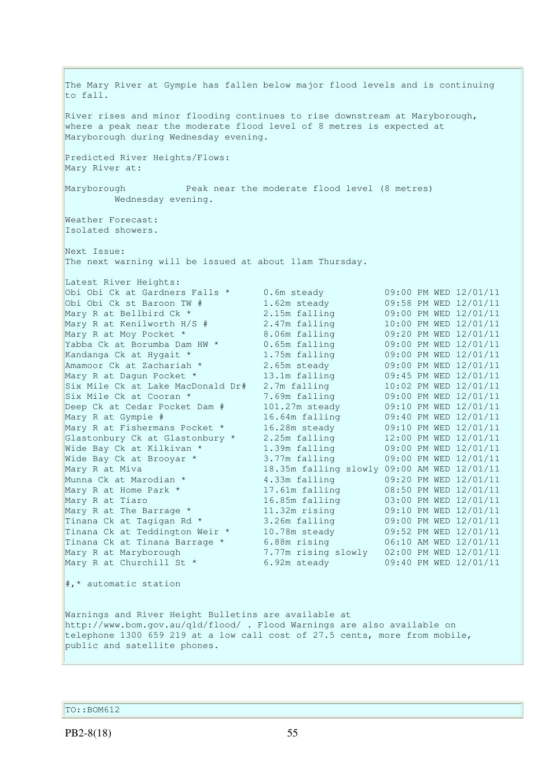The Mary River at Gympie has fallen below major flood levels and is continuing to fall. River rises and minor flooding continues to rise downstream at Maryborough, where a peak near the moderate flood level of 8 metres is expected at Maryborough during Wednesday evening. Predicted River Heights/Flows: Mary River at: Maryborough Peak near the moderate flood level (8 metres) Wednesday evening. Weather Forecast: Isolated showers. Next Issue: The next warning will be issued at about 11am Thursday. Latest River Heights: Obi Obi Ck at Gardners Falls \* 0.6m steady 09:00 PM WED 12/01/11 Obi Obi Ck st Baroon TW # 1.62m steady 09:58 PM WED 12/01/11 Mary R at Bellbird Ck \* 2.15m falling 09:00 PM WED 12/01/11 Mary R at Kenilworth H/S # 2.47m falling 10:00 PM WED 12/01/11 Mary R at Moy Pocket \* 8.06m falling 09:20 PM WED 12/01/11 Yabba Ck at Borumba Dam HW \* 0.65m falling 09:00 PM WED 12/01/11 Kandanga Ck at Hygait \* 1.75m falling 09:00 PM WED 12/01/11 Amamoor Ck at Zachariah  $\star$  2.65m steady 09:00 PM WED 12/01/11 Mary R at Dagun Pocket \* 13.1m falling 09:45 PM WED 12/01/11 Six Mile Ck at Lake MacDonald Dr# 2.7m falling 10:02 PM WED 12/01/11 Six Mile Ck at Cooran \* 7.69m falling 09:00 PM WED 12/01/11 Deep Ck at Cedar Pocket Dam # 101.27m steady 09:10 PM WED 12/01/11 Mary R at Gympie # 16.64m falling 09:40 PM WED 12/01/11 Mary R at Fishermans Pocket \* 16.28m steady 09:10 PM WED 12/01/11 Glastonbury Ck at Glastonbury \* 2.25m falling 12:00 PM WED 12/01/11 Wide Bay Ck at Kilkivan \* 1.39m falling 09:00 PM WED 12/01/11 Wide Bay Ck at Brooyar \* 3.77m falling 09:00 PM WED 12/01/11 Mary R at Miva 18.35m falling slowly 09:00 AM WED 12/01/11 Munna Ck at Marodian \* 4.33m falling 09:20 PM WED 12/01/11 Mary R at Home Park \* 17.61m falling 08:50 PM WED 12/01/11 Mary R at Tiaro 16.85m falling 03:00 PM WED 12/01/11 Mary R at The Barrage \* 11.32m rising 09:10 PM WED 12/01/11 Tinana Ck at Tagigan Rd \* 3.26m falling 09:00 PM WED 12/01/11 Tinana Ck at Teddington Weir \* 10.78m steady 09:52 PM WED 12/01/11 Tinana Ck at Tinana Barrage \* 6.88m rising 06:10 AM WED 12/01/11 Mary R at Maryborough 7.77m rising slowly 02:00 PM WED 12/01/11 Mary R at Churchill St \* 6.92m steady 09:40 PM WED 12/01/11 #,\* automatic station Warnings and River Height Bulletins are available at http://www.bom.gov.au/qld/flood/ . Flood Warnings are also available on telephone 1300 659 219 at a low call cost of 27.5 cents, more from mobile, public and satellite phones.

TO::BOM612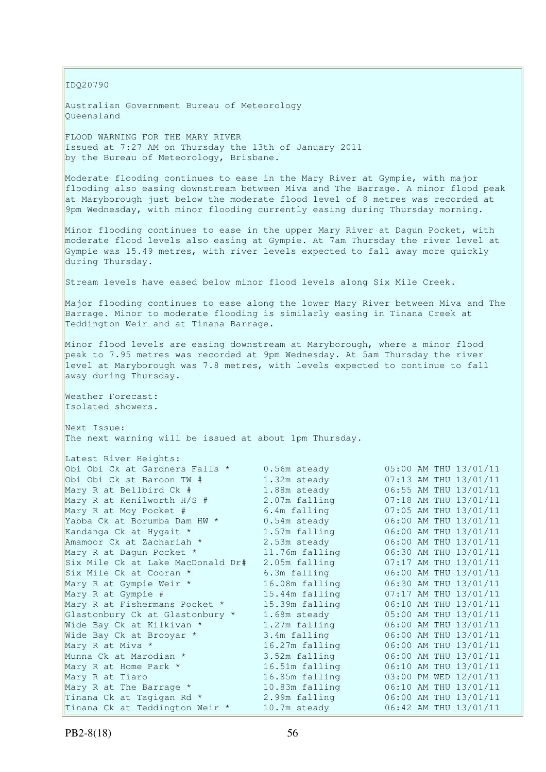IDQ20790

Australian Government Bureau of Meteorology Queensland

FLOOD WARNING FOR THE MARY RIVER Issued at 7:27 AM on Thursday the 13th of January 2011 by the Bureau of Meteorology, Brisbane.

Moderate flooding continues to ease in the Mary River at Gympie, with major flooding also easing downstream between Miva and The Barrage. A minor flood peak at Maryborough just below the moderate flood level of 8 metres was recorded at 9pm Wednesday, with minor flooding currently easing during Thursday morning.

Minor flooding continues to ease in the upper Mary River at Dagun Pocket, with moderate flood levels also easing at Gympie. At 7am Thursday the river level at Gympie was 15.49 metres, with river levels expected to fall away more quickly during Thursday.

Stream levels have eased below minor flood levels along Six Mile Creek.

Major flooding continues to ease along the lower Mary River between Miva and The Barrage. Minor to moderate flooding is similarly easing in Tinana Creek at Teddington Weir and at Tinana Barrage.

Minor flood levels are easing downstream at Maryborough, where a minor flood peak to 7.95 metres was recorded at 9pm Wednesday. At 5am Thursday the river level at Maryborough was 7.8 metres, with levels expected to continue to fall away during Thursday.

Weather Forecast: Isolated showers.

Next Issue: The next warning will be issued at about 1pm Thursday.

| Latest River Heights:             |                |                       |
|-----------------------------------|----------------|-----------------------|
| Obi Obi Ck at Gardners Falls *    | 0.56m steady   | 05:00 AM THU 13/01/11 |
| Obi Obi Ck st Baroon TW #         | 1.32m steady   | 07:13 AM THU 13/01/11 |
| Mary R at Bellbird Ck #           | 1.88m steady   | 06:55 AM THU 13/01/11 |
| Mary R at Kenilworth H/S #        | 2.07m falling  | 07:18 AM THU 13/01/11 |
| Mary R at Moy Pocket #            | 6.4m falling   | 07:05 AM THU 13/01/11 |
| Yabba Ck at Borumba Dam HW *      | 0.54m steady   | 06:00 AM THU 13/01/11 |
| Kandanga Ck at Hygait *           | 1.57m falling  | 06:00 AM THU 13/01/11 |
| Amamoor Ck at Zachariah *         | 2.53m steady   | 06:00 AM THU 13/01/11 |
| Mary R at Dagun Pocket *          | 11.76m falling | 06:30 AM THU 13/01/11 |
| Six Mile Ck at Lake MacDonald Dr# | 2.05m falling  | 07:17 AM THU 13/01/11 |
| Six Mile Ck at Cooran *           | 6.3m falling   | 06:00 AM THU 13/01/11 |
| Mary R at Gympie Weir *           | 16.08m falling | 06:30 AM THU 13/01/11 |
| Mary R at Gympie #                | 15.44m falling | 07:17 AM THU 13/01/11 |
| Mary R at Fishermans Pocket *     | 15.39m falling | 06:10 AM THU 13/01/11 |
| Glastonbury Ck at Glastonbury *   | 1.68m steady   | 05:00 AM THU 13/01/11 |
| Wide Bay Ck at Kilkivan *         | 1.27m falling  | 06:00 AM THU 13/01/11 |
| Wide Bay Ck at Brooyar *          | 3.4m falling   | 06:00 AM THU 13/01/11 |
| Mary R at Miva *                  | 16.27m falling | 06:00 AM THU 13/01/11 |
| Munna Ck at Marodian *            | 3.52m falling  | 06:00 AM THU 13/01/11 |
| Mary R at Home Park *             | 16.51m falling | 06:10 AM THU 13/01/11 |
| Mary R at Tiaro                   | 16.85m falling | 03:00 PM WED 12/01/11 |
| Mary R at The Barrage *           | 10.83m falling | 06:10 AM THU 13/01/11 |
| Tinana Ck at Tagigan Rd *         | 2.99m falling  | 06:00 AM THU 13/01/11 |
| Tinana Ck at Teddington Weir *    | 10.7m steady   | 06:42 AM THU 13/01/11 |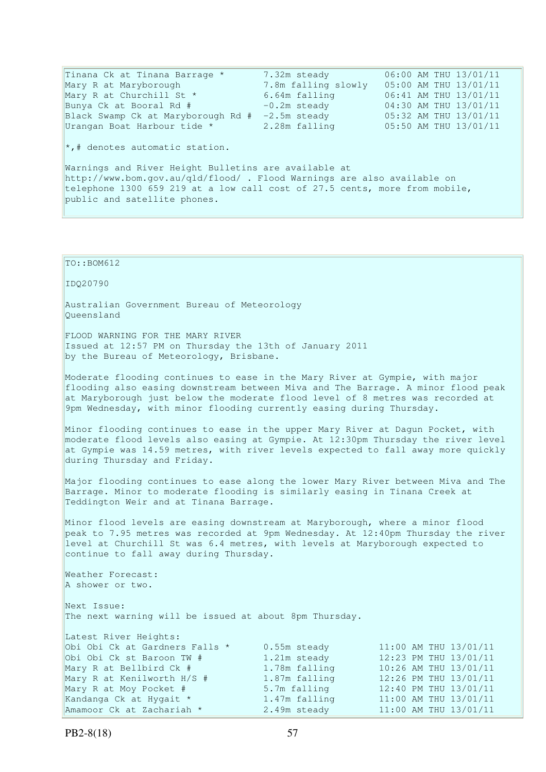Tinana Ck at Tinana Barrage \* 7.32m steady 06:00 AM THU 13/01/11 Mary R at Maryborough 7.8m falling slowly 05:00 AM THU 13/01/11 Mary R at Churchill St \* 6.64m falling 06:41 AM THU 13/01/11 Bunya Ck at Booral Rd # -0.2m steady 04:30 AM THU 13/01/11 Black Swamp Ck at Maryborough Rd # -2.5m steady 05:32 AM THU 13/01/11 Urangan Boat Harbour tide \* 2.28m falling 05:50 AM THU 13/01/11  $\star$ ,# denotes automatic station. Warnings and River Height Bulletins are available at http://www.bom.gov.au/qld/flood/ . Flood Warnings are also available on telephone 1300 659 219 at a low call cost of 27.5 cents, more from mobile, public and satellite phones.

# TO::BOM612 IDQ20790 Australian Government Bureau of Meteorology Queensland FLOOD WARNING FOR THE MARY RIVER Issued at 12:57 PM on Thursday the 13th of January 2011 by the Bureau of Meteorology, Brisbane. Moderate flooding continues to ease in the Mary River at Gympie, with major flooding also easing downstream between Miva and The Barrage. A minor flood peak at Maryborough just below the moderate flood level of 8 metres was recorded at 9pm Wednesday, with minor flooding currently easing during Thursday. Minor flooding continues to ease in the upper Mary River at Dagun Pocket, with moderate flood levels also easing at Gympie. At 12:30pm Thursday the river level at Gympie was 14.59 metres, with river levels expected to fall away more quickly during Thursday and Friday. Major flooding continues to ease along the lower Mary River between Miva and The Barrage. Minor to moderate flooding is similarly easing in Tinana Creek at Teddington Weir and at Tinana Barrage. Minor flood levels are easing downstream at Maryborough, where a minor flood peak to 7.95 metres was recorded at 9pm Wednesday. At 12:40pm Thursday the river level at Churchill St was 6.4 metres, with levels at Maryborough expected to continue to fall away during Thursday. Weather Forecast: A shower or two. Next Issue: The next warning will be issued at about 8pm Thursday. Latest River Heights: Obi Obi Ck at Gardners Falls \* 0.55m steady 11:00 AM THU 13/01/11<br>
Obi Obi Ck st Baroon TW # 1.21m steady 12:23 PM THU 13/01/11 Obi Obi Ck st Baroon TW # 1.21m steady<br>Mary R at Bellbird Ck # 1.78m falling Mary R at Bellbird Ck # 1.78m falling 10:26 AM THU 13/01/11<br>Mary R at Kenilworth H/S # 1.87m falling 12:26 PM THU 13/01/11 Mary R at Kenilworth H/S # 1.87m falling 12:26 PM THU 13/01/11<br>Mary R at Moy Pocket # 5.7m falling 12:40 PM THU 13/01/11 Mary R at Moy Pocket #<br>Kandanga Ck at Hygait \* Kandanga Ck at Hygait \* 1.47m falling 11:00 AM THU 13/01/11 Amamoor Ck at Zachariah  $\star$  2.49m steady 11:00 AM THU 13/01/11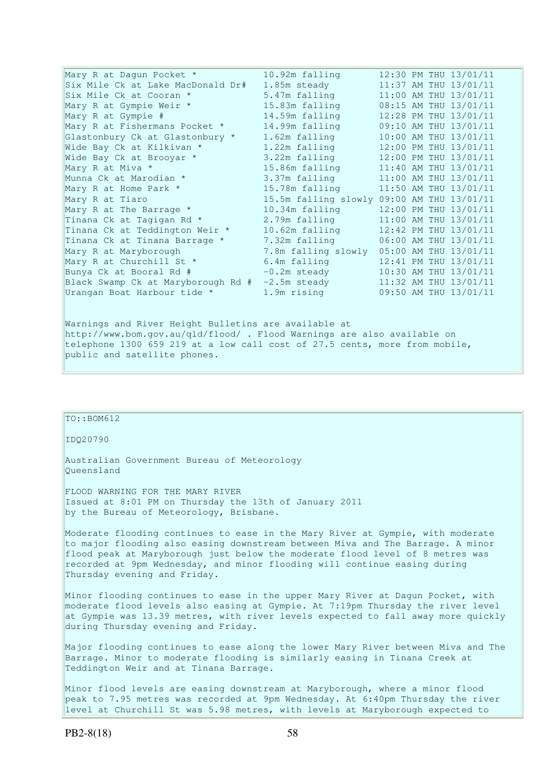| Mary R at Daqun Pocket *           | 10.92m falling                             |  | 12:30 PM THU 13/01/11 |
|------------------------------------|--------------------------------------------|--|-----------------------|
| Six Mile Ck at Lake MacDonald Dr#  | 1.85m steady                               |  | 11:37 AM THU 13/01/11 |
| Six Mile Ck at Cooran *            | 5.47m falling                              |  | 11:00 AM THU 13/01/11 |
| Mary R at Gympie Weir *            | 15.83m falling                             |  | 08:15 AM THU 13/01/11 |
| Mary R at Gympie #                 | 14.59m falling                             |  | 12:28 PM THU 13/01/11 |
| Mary R at Fishermans Pocket *      | 14.99m falling                             |  | 09:10 AM THU 13/01/11 |
| Glastonbury Ck at Glastonbury *    | 1.62m falling                              |  | 10:00 AM THU 13/01/11 |
| Wide Bay Ck at Kilkivan *          | 1.22m falling                              |  | 12:00 PM THU 13/01/11 |
| Wide Bay Ck at Brooyar *           | 3.22m falling                              |  | 12:00 PM THU 13/01/11 |
| Mary R at Miva *                   | 15.86m falling                             |  | 11:40 AM THU 13/01/11 |
| Munna Ck at Marodian *             | 3.37m falling                              |  | 11:00 AM THU 13/01/11 |
| Mary R at Home Park *              | 15.78m falling                             |  | 11:50 AM THU 13/01/11 |
| Mary R at Tiaro                    | 15.5m falling slowly 09:00 AM THU 13/01/11 |  |                       |
| Mary R at The Barrage *            | 10.34m falling                             |  | 12:00 PM THU 13/01/11 |
| Tinana Ck at Tagigan Rd *          | 2.79m falling                              |  | 11:00 AM THU 13/01/11 |
| Tinana Ck at Teddington Weir *     | 10.62m falling                             |  | 12:42 PM THU 13/01/11 |
| Tinana Ck at Tinana Barrage *      | 7.32m falling                              |  | 06:00 AM THU 13/01/11 |
| Mary R at Maryborough              | 7.8m falling slowly                        |  | 05:00 AM THU 13/01/11 |
| Mary R at Churchill St *           | 6.4m falling                               |  | 12:41 PM THU 13/01/11 |
| Bunya Ck at Booral Rd #            | $-0.2m$ steady                             |  | 10:30 AM THU 13/01/11 |
| Black Swamp Ck at Maryborough Rd # | $-2.5m$ steady                             |  | 11:32 AM THU 13/01/11 |
| Urangan Boat Harbour tide *        | 1.9m rising                                |  | 09:50 AM THU 13/01/11 |

Warnings and River Height Bulletins are available at http://www.bom.gov.au/qld/flood/ . Flood Warnings are also available on telephone 1300 659 219 at a low call cost of 27.5 cents, more from mobile, public and satellite phones.

TO::BOM612 IDQ20790 Australian Government Bureau of Meteorology Queensland FLOOD WARNING FOR THE MARY RIVER Issued at 8:01 PM on Thursday the 13th of January 2011 by the Bureau of Meteorology, Brisbane. Moderate flooding continues to ease in the Mary River at Gympie, with moderate to major flooding also easing downstream between Miva and The Barrage. A minor flood peak at Maryborough just below the moderate flood level of 8 metres was recorded at 9pm Wednesday, and minor flooding will continue easing during Thursday evening and Friday. Minor flooding continues to ease in the upper Mary River at Dagun Pocket, with moderate flood levels also easing at Gympie. At 7:19pm Thursday the river level at Gympie was 13.39 metres, with river levels expected to fall away more quickly during Thursday evening and Friday. Major flooding continues to ease along the lower Mary River between Miva and The Barrage. Minor to moderate flooding is similarly easing in Tinana Creek at Teddington Weir and at Tinana Barrage. Minor flood levels are easing downstream at Maryborough, where a minor flood peak to 7.95 metres was recorded at 9pm Wednesday. At 6:40pm Thursday the river level at Churchill St was 5.98 metres, with levels at Maryborough expected to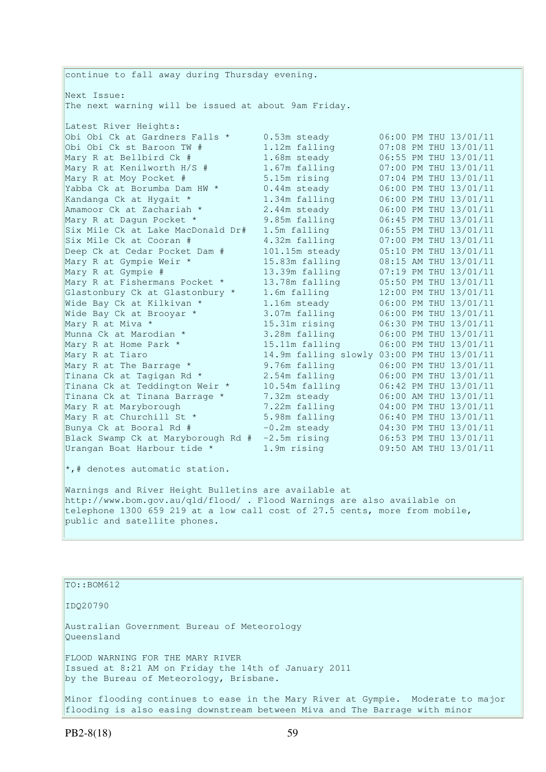continue to fall away during Thursday evening. Next Issue: The next warning will be issued at about 9am Friday. Latest River Heights: Obi Obi Ck at Gardners Falls \* 0.53m steady 06:00 PM THU 13/01/11 Obi Obi Ck st Baroon TW # 1.12m falling 07:08 PM THU 13/01/11 Mary R at Bellbird Ck # 1.68m steady 06:55 PM THU 13/01/11 Mary R at Kenilworth H/S # 1.67m falling 07:00 PM THU 13/01/11 Mary R at Moy Pocket # 5.15m rising 07:04 PM THU 13/01/11 Yabba Ck at Borumba Dam HW \*  $0.44$ m steady  $0.6:00$  PM THU 13/01/11 Kandanga Ck at Hygait \* 1.34m falling 06:00 PM THU 13/01/11 Amamoor Ck at Zachariah \* 2.44m steady 06:00 PM THU 13/01/11 Mary R at Dagun Pocket \* 9.85m falling 06:45 PM THU 13/01/11 Six Mile Ck at Lake MacDonald Dr# 1.5m falling 06:55 PM THU 13/01/11 Six Mile Ck at Cooran # 4.32m falling 07:00 PM THU 13/01/11 Deep Ck at Cedar Pocket Dam # 101.15m steady 05:10 PM THU 13/01/11 Mary R at Gympie Weir \* 15.83m falling 08:15 AM THU 13/01/11 Mary R at Gympie # 13.39m falling 07:19 PM THU 13/01/11 Mary R at Fishermans Pocket \* 13.78m falling 05:50 PM THU 13/01/11 Glastonbury Ck at Glastonbury \* 1.6m falling 12:00 PM THU 13/01/11 Wide Bay Ck at Kilkivan \* 1.16m steady 06:00 PM THU 13/01/11 Wide Bay Ck at Brooyar \* 3.07m falling 06:00 PM THU 13/01/11 Mary R at Miva \* 15.31m rising 06:30 PM THU 13/01/11 Munna Ck at Marodian \* 3.28m falling 06:00 PM THU 13/01/11 Mary R at Home Park \* 15.11m falling 06:00 PM THU 13/01/11 Mary R at Tiaro 14.9m falling slowly 03:00 PM THU 13/01/11 Mary R at The Barrage \* 9.76m falling 06:00 PM THU 13/01/11 Tinana Ck at Tagigan Rd \* 2.54m falling 06:00 PM THU 13/01/11 Tinana Ck at Teddington Weir \* 10.54m falling 06:42 PM THU 13/01/11 Tinana Ck at Tinana Barrage \* 7.32m steady 06:00 AM THU 13/01/11 Mary R at Maryborough 7.22m falling 04:00 PM THU 13/01/11 Mary R at Churchill St \* 5.98m falling 06:40 PM THU 13/01/11 Bunya Ck at Booral Rd  $\#$   $-0.2$ m steady  $04:30$  PM THU  $13/01/11$ Black Swamp Ck at Maryborough Rd # -2.5m rising 06:53 PM THU 13/01/11 Urangan Boat Harbour tide \* 1.9m rising 09:50 AM THU 13/01/11  $\star$ ,# denotes automatic station. Warnings and River Height Bulletins are available at http://www.bom.gov.au/qld/flood/ . Flood Warnings are also available on telephone 1300 659 219 at a low call cost of 27.5 cents, more from mobile, public and satellite phones.

TO::BOM612

IDQ20790

Australian Government Bureau of Meteorology Queensland FLOOD WARNING FOR THE MARY RIVER

Issued at 8:21 AM on Friday the 14th of January 2011 by the Bureau of Meteorology, Brisbane.

Minor flooding continues to ease in the Mary River at Gympie. Moderate to major flooding is also easing downstream between Miva and The Barrage with minor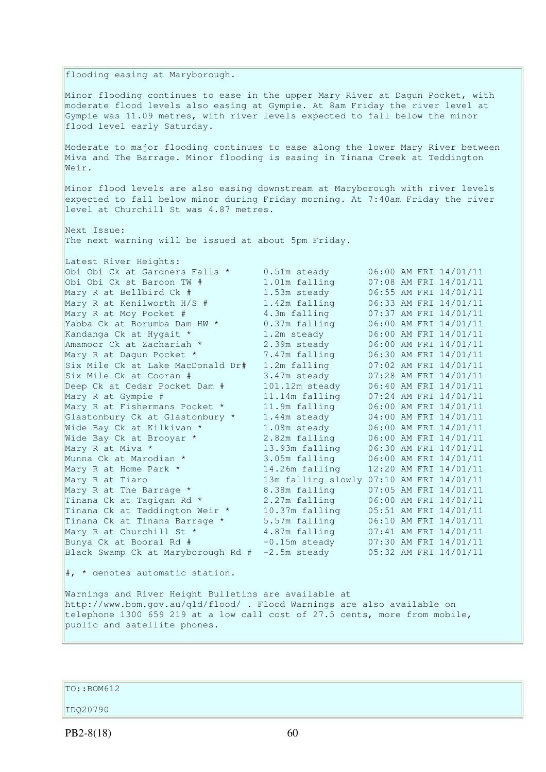flooding easing at Maryborough. Minor flooding continues to ease in the upper Mary River at Dagun Pocket, with moderate flood levels also easing at Gympie. At 8am Friday the river level at Gympie was 11.09 metres, with river levels expected to fall below the minor flood level early Saturday. Moderate to major flooding continues to ease along the lower Mary River between Miva and The Barrage. Minor flooding is easing in Tinana Creek at Teddington Weir. Minor flood levels are also easing downstream at Maryborough with river levels expected to fall below minor during Friday morning. At 7:40am Friday the river level at Churchill St was 4.87 metres. Next Issue: The next warning will be issued at about 5pm Friday. Latest River Heights: Obi Obi Ck at Gardners Falls \* 0.51m steady 06:00 AM FRI 14/01/11<br>
Obi Obi Ck st Baroon TW # 1.01m falling 07:08 AM FRI 14/01/11 Obi Obi Ck st Baroon TW # 0bi Obi Ck st Baroon TW # 1.01m falling 07:08 AM FRI 14/01/11<br>
Mary R at Bellbird Ck # 1.53m steady 06:55 AM FRI 14/01/11<br>
Mary R at Kenilworth H/S # 1.42m falling 06:33 AM FRI 14/01/11<br>
Mary R at Moy Pocket # 4.3m falling  $Mary R$ at Kenilworth H/S # Mary R at Moy Pocket # 4.3m falling 07:37 AM FRI 14/01/11<br>
Yabba Ck at Borumba Dam HW \* 0.37m falling 06:00 AM FRI 14/01/11<br>
Kandanga Ck at Hygait \* 1.2m steady 06:00 AM FRI 14/01/11 Yabba Ck at Borumba Dam HW \* 0.37m falling 06:00 AM FRI 14/01/11 Kandanga Ck at Hygait \* 1.2m steady 06:00 AM FRI 14/01/11 Amamoor Ck at Zachariah  $*$  2.39m steady 06:00 AM FRI 14/01/11 Mary R at Dagun Pocket \* 7.47m falling 06:30 AM FRI 14/01/11 Six Mile Ck at Lake MacDonald Dr# 1.2m falling 07:02 AM FRI 14/01/11 Six Mile Ck at Cooran # 3.47m steady 07:28 AM FRI 14/01/11 Deep Ck at Cedar Pocket Dam # 101.12m steady 06:40 AM FRI 14/01/11 Mary R at Gympie # 11.14m falling 07:24 AM FRI 14/01/11 Mary R at Fishermans Pocket \* 11.9m falling 06:00 AM FRI 14/01/11 Glastonbury Ck at Glastonbury \* 1.44m steady 04:00 AM FRI 14/01/11 Wide Bay Ck at Kilkivan \* 1.08m steady 06:00 AM FRI 14/01/11 Wide Bay Ck at Brooyar \* 2.82m falling 06:00 AM FRI 14/01/11 Mary R at Miva \* 13.93m falling 06:30 AM FRI 14/01/11 Munna Ck at Marodian \* 3.05m falling 06:00 AM FRI 14/01/11 Munna Ck at Marodian \* 3.05m falling 06:00 AM FRI 14/01/11<br>
Mary R at Home Park \* 14.26m falling 12:20 AM FRI 14/01/11<br>
Mary R at Tiaro 13m falling slowly 07:10 AM FRI 14/01/11 Mary R at Tiaro 13m falling slowly 07:10 AM FRI 14/01/11 Mary R at The Barrage \* 8.38m falling 07:05 AM FRI 14/01/11 Tinana Ck at Tagigan Rd  $*$  2.27m falling  $06:00$  AM FRI 14/01/11 Tinana Ck at Teddington Weir \* 10.37m falling 05:51 AM FRI 14/01/11 Tinana Ck at Tinana Barrage \* 5.57m falling 06:10 AM FRI 14/01/11 Mary R at Churchill St \* 4.87m falling 07:41 AM FRI 14/01/11 Bunya Ck at Booral Rd # -0.15m steady 07:30 AM FRI 14/01/11 Black Swamp Ck at Maryborough Rd # -2.5m steady 05:32 AM FRI 14/01/11  $|$  \* denotes automatic station.

Warnings and River Height Bulletins are available at http://www.bom.gov.au/qld/flood/ . Flood Warnings are also available on telephone 1300 659 219 at a low call cost of 27.5 cents, more from mobile, public and satellite phones.

TO::BOM612

IDQ20790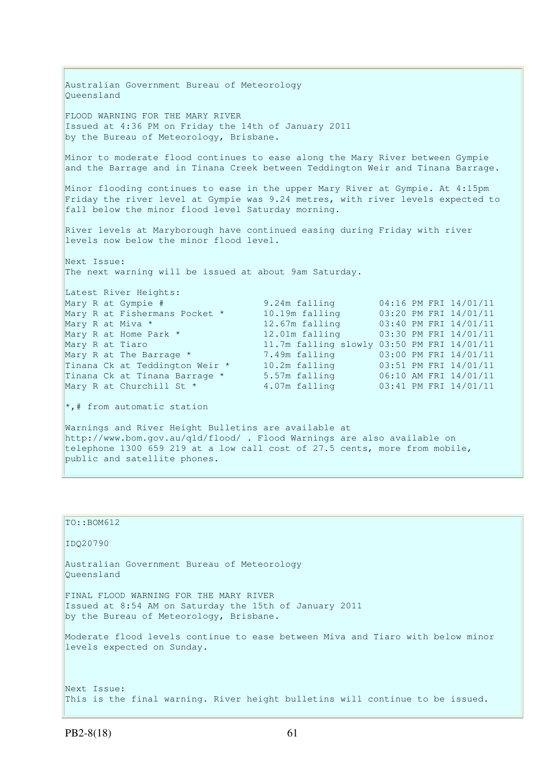Australian Government Bureau of Meteorology Queensland FLOOD WARNING FOR THE MARY RIVER Issued at 4:36 PM on Friday the 14th of January 2011 by the Bureau of Meteorology, Brisbane. Minor to moderate flood continues to ease along the Mary River between Gympie and the Barrage and in Tinana Creek between Teddington Weir and Tinana Barrage. Minor flooding continues to ease in the upper Mary River at Gympie. At 4:15pm Friday the river level at Gympie was 9.24 metres, with river levels expected to fall below the minor flood level Saturday morning. River levels at Maryborough have continued easing during Friday with river levels now below the minor flood level. Next Issue: The next warning will be issued at about 9am Saturday. Latest River Heights: Mary R at Gympie # 9.24m falling 04:16 PM FRI 14/01/11 Mary R at Fishermans Pocket \* 10.19m falling 03:20 PM FRI 14/01/11 Mary R at Miva \* 12.67m falling 03:40 PM FRI 14/01/11 Mary R at Home Park \* 12.01m falling 03:30 PM FRI 14/01/11 Mary R at Tiaro 11.7m falling slowly 03:50 PM FRI 14/01/11 Mary R at The Barrage \* 7.49m falling 03:00 PM FRI 14/01/11 Tinana Ck at Teddington Weir \* 10.2m falling 03:51 PM FRI 14/01/11 Tinana Ck at Tinana Barrage \* 5.57m falling 06:10 AM FRI 14/01/11 Mary R at Churchill St \* 4.07m falling 03:41 PM FRI 14/01/11 \*,# from automatic station Warnings and River Height Bulletins are available at

http://www.bom.gov.au/qld/flood/ . Flood Warnings are also available on telephone 1300 659 219 at a low call cost of 27.5 cents, more from mobile, public and satellite phones.

TO::BOM612 IDQ20790 Australian Government Bureau of Meteorology Queensland FINAL FLOOD WARNING FOR THE MARY RIVER Issued at 8:54 AM on Saturday the 15th of January 2011 by the Bureau of Meteorology, Brisbane. Moderate flood levels continue to ease between Miva and Tiaro with below minor levels expected on Sunday. Next Issue: This is the final warning. River height bulletins will continue to be issued.